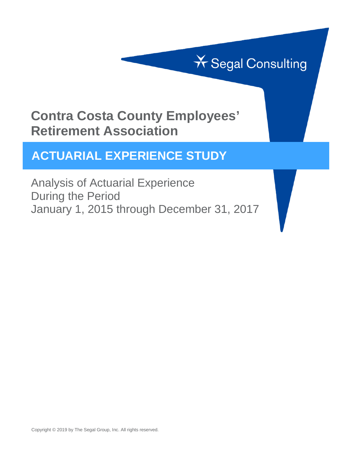# **X** Segal Consulting

### **Contra Costa County Employees' Retirement Association**

### **ACTUARIAL EXPERIENCE STUDY**

Analysis of Actuarial Experience During the Period January 1, 2015 through December 31, 2017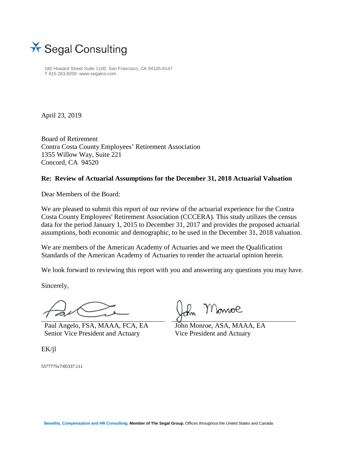

180 Howard Street Suite 1100 San Francisco, CA 94105-6147 T 415.263.8200 www.segalco.com

April 23, 2019

Board of Retirement Contra Costa County Employees' Retirement Association 1355 Willow Way, Suite 221 Concord, CA 94520

#### **Re: Review of Actuarial Assumptions for the December 31, 2018 Actuarial Valuation**

Dear Members of the Board:

We are pleased to submit this report of our review of the actuarial experience for the Contra Costa County Employees' Retirement Association (CCCERA). This study utilizes the census data for the period January 1, 2015 to December 31, 2017 and provides the proposed actuarial assumptions, both economic and demographic, to be used in the December 31, 2018 valuation.

We are members of the American Academy of Actuaries and we meet the Qualification Standards of the American Academy of Actuaries to render the actuarial opinion herein.

We look forward to reviewing this report with you and answering any questions you may have.

Sincerely,

Paul Angelo, FSA, MAAA, FCA, EA Senior Vice President and Actuary

Monroe

John Monroe, ASA, MAAA, EA Vice President and Actuary

EK/jl

5577775v7/05337.111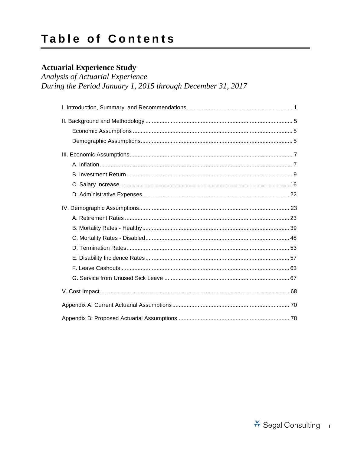### **Table of Contents**

### **Actuarial Experience Study**

Analysis of Actuarial Experience During the Period January 1, 2015 through December 31, 2017

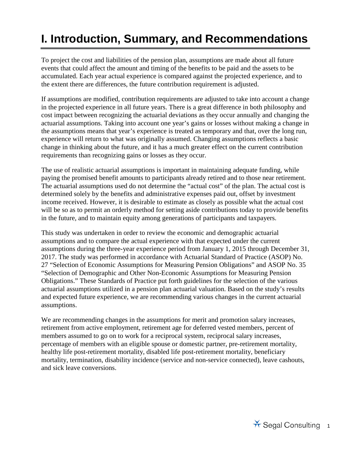# <span id="page-3-0"></span>**I. Introduction, Summary, and Recommendations**

To project the cost and liabilities of the pension plan, assumptions are made about all future events that could affect the amount and timing of the benefits to be paid and the assets to be accumulated. Each year actual experience is compared against the projected experience, and to the extent there are differences, the future contribution requirement is adjusted.

If assumptions are modified, contribution requirements are adjusted to take into account a change in the projected experience in all future years. There is a great difference in both philosophy and cost impact between recognizing the actuarial deviations as they occur annually and changing the actuarial assumptions. Taking into account one year's gains or losses without making a change in the assumptions means that year's experience is treated as temporary and that, over the long run, experience will return to what was originally assumed. Changing assumptions reflects a basic change in thinking about the future, and it has a much greater effect on the current contribution requirements than recognizing gains or losses as they occur.

The use of realistic actuarial assumptions is important in maintaining adequate funding, while paying the promised benefit amounts to participants already retired and to those near retirement. The actuarial assumptions used do not determine the "actual cost" of the plan. The actual cost is determined solely by the benefits and administrative expenses paid out, offset by investment income received. However, it is desirable to estimate as closely as possible what the actual cost will be so as to permit an orderly method for setting aside contributions today to provide benefits in the future, and to maintain equity among generations of participants and taxpayers.

This study was undertaken in order to review the economic and demographic actuarial assumptions and to compare the actual experience with that expected under the current assumptions during the three-year experience period from January 1, 2015 through December 31, 2017. The study was performed in accordance with Actuarial Standard of Practice (ASOP) No. 27 "Selection of Economic Assumptions for Measuring Pension Obligations" and ASOP No. 35 "Selection of Demographic and Other Non-Economic Assumptions for Measuring Pension Obligations." These Standards of Practice put forth guidelines for the selection of the various actuarial assumptions utilized in a pension plan actuarial valuation. Based on the study's results and expected future experience, we are recommending various changes in the current actuarial assumptions.

We are recommending changes in the assumptions for merit and promotion salary increases, retirement from active employment, retirement age for deferred vested members, percent of members assumed to go on to work for a reciprocal system, reciprocal salary increases, percentage of members with an eligible spouse or domestic partner, pre-retirement mortality, healthy life post-retirement mortality, disabled life post-retirement mortality, beneficiary mortality, termination, disability incidence (service and non-service connected), leave cashouts, and sick leave conversions.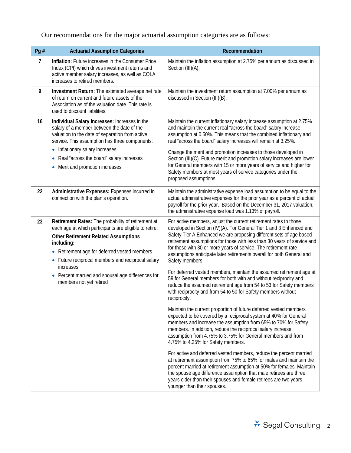### Our recommendations for the major actuarial assumption categories are as follows:

| Pg #           | <b>Actuarial Assumption Categories</b>                                                                                                                                                                                                                                                                                                     | Recommendation                                                                                                                                                                                                                                                                                                                                                                                                                                                                                                                                                                                 |
|----------------|--------------------------------------------------------------------------------------------------------------------------------------------------------------------------------------------------------------------------------------------------------------------------------------------------------------------------------------------|------------------------------------------------------------------------------------------------------------------------------------------------------------------------------------------------------------------------------------------------------------------------------------------------------------------------------------------------------------------------------------------------------------------------------------------------------------------------------------------------------------------------------------------------------------------------------------------------|
| $\overline{7}$ | Inflation: Future increases in the Consumer Price<br>Index (CPI) which drives investment returns and<br>active member salary increases, as well as COLA<br>increases to retired members.                                                                                                                                                   | Maintain the inflation assumption at 2.75% per annum as discussed in<br>Section (III)(A).                                                                                                                                                                                                                                                                                                                                                                                                                                                                                                      |
| 9              | Investment Return: The estimated average net rate<br>of return on current and future assets of the<br>Association as of the valuation date. This rate is<br>used to discount liabilities.                                                                                                                                                  | Maintain the investment return assumption at 7.00% per annum as<br>discussed in Section (III)(B).                                                                                                                                                                                                                                                                                                                                                                                                                                                                                              |
| 16             | Individual Salary Increases: Increases in the<br>salary of a member between the date of the<br>valuation to the date of separation from active<br>service. This assumption has three components:<br>• Inflationary salary increases<br>Real "across the board" salary increases<br>$\bullet$<br>Merit and promotion increases<br>$\bullet$ | Maintain the current inflationary salary increase assumption at 2.75%<br>and maintain the current real "across the board" salary increase<br>assumption at 0.50%. This means that the combined inflationary and<br>real "across the board" salary increases will remain at 3.25%.<br>Change the merit and promotion increases to those developed in<br>Section (III)(C). Future merit and promotion salary increases are lower<br>for General members with 15 or more years of service and higher for<br>Safety members at most years of service categories under the<br>proposed assumptions. |
| 22             | Administrative Expenses: Expenses incurred in<br>connection with the plan's operation.                                                                                                                                                                                                                                                     | Maintain the administrative expense load assumption to be equal to the<br>actual administrative expenses for the prior year as a percent of actual<br>payroll for the prior year. Based on the December 31, 2017 valuation,<br>the administrative expense load was 1.13% of payroll.                                                                                                                                                                                                                                                                                                           |
| 23             | Retirement Rates: The probability of retirement at<br>each age at which participants are eligible to retire.<br><b>Other Retirement Related Assumptions</b><br>including:<br>• Retirement age for deferred vested members<br>• Future reciprocal members and reciprocal salary                                                             | For active members, adjust the current retirement rates to those<br>developed in Section (IV)(A). For General Tier 1 and 3 Enhanced and<br>Safety Tier A Enhanced we are proposing different sets of age based<br>retirement assumptions for those with less than 30 years of service and<br>for those with 30 or more years of service. The retirement rate<br>assumptions anticipate later retirements overall for both General and<br>Safety members.                                                                                                                                       |
|                | increases<br>• Percent married and spousal age differences for<br>members not yet retired                                                                                                                                                                                                                                                  | For deferred vested members, maintain the assumed retirement age at<br>59 for General members for both with and without reciprocity and<br>reduce the assumed retirement age from 54 to 53 for Safety members<br>with reciprocity and from 54 to 50 for Safety members without<br>reciprocity.                                                                                                                                                                                                                                                                                                 |
|                |                                                                                                                                                                                                                                                                                                                                            | Maintain the current proportion of future deferred vested members<br>expected to be covered by a reciprocal system at 40% for General<br>members and increase the assumption from 65% to 70% for Safety<br>members. In addition, reduce the reciprocal salary increase<br>assumption from 4.75% to 3.75% for General members and from<br>4.75% to 4.25% for Safety members.                                                                                                                                                                                                                    |
|                |                                                                                                                                                                                                                                                                                                                                            | For active and deferred vested members, reduce the percent married<br>at retirement assumption from 75% to 65% for males and maintain the<br>percent married at retirement assumption at 50% for females. Maintain<br>the spouse age difference assumption that male retirees are three<br>years older than their spouses and female retirees are two years<br>younger than their spouses.                                                                                                                                                                                                     |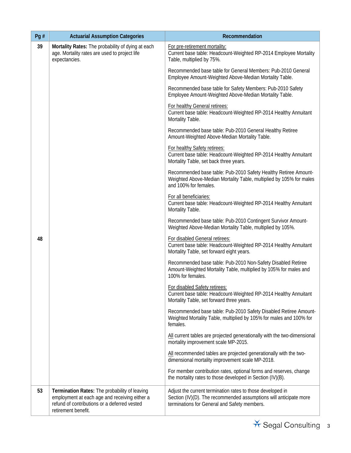| Pg# | <b>Actuarial Assumption Categories</b>                                                                                                                                | Recommendation                                                                                                                                                                  |
|-----|-----------------------------------------------------------------------------------------------------------------------------------------------------------------------|---------------------------------------------------------------------------------------------------------------------------------------------------------------------------------|
| 39  | Mortality Rates: The probability of dying at each<br>age. Mortality rates are used to project life<br>expectancies.                                                   | For pre-retirement mortality:<br>Current base table: Headcount-Weighted RP-2014 Employee Mortality<br>Table, multiplied by 75%.                                                 |
|     |                                                                                                                                                                       | Recommended base table for General Members: Pub-2010 General<br>Employee Amount-Weighted Above-Median Mortality Table.                                                          |
|     |                                                                                                                                                                       | Recommended base table for Safety Members: Pub-2010 Safety<br>Employee Amount-Weighted Above-Median Mortality Table.                                                            |
|     |                                                                                                                                                                       | For healthy General retirees:<br>Current base table: Headcount-Weighted RP-2014 Healthy Annuitant<br>Mortality Table.                                                           |
|     |                                                                                                                                                                       | Recommended base table: Pub-2010 General Healthy Retiree<br>Amount-Weighted Above-Median Mortality Table.                                                                       |
|     |                                                                                                                                                                       | For healthy Safety retirees:<br>Current base table: Headcount-Weighted RP-2014 Healthy Annuitant<br>Mortality Table, set back three years.                                      |
|     |                                                                                                                                                                       | Recommended base table: Pub-2010 Safety Healthy Retiree Amount-<br>Weighted Above-Median Mortality Table, multiplied by 105% for males<br>and 100% for females.                 |
|     |                                                                                                                                                                       | For all beneficiaries:<br>Current base table: Headcount-Weighted RP-2014 Healthy Annuitant<br>Mortality Table.                                                                  |
|     |                                                                                                                                                                       | Recommended base table: Pub-2010 Contingent Survivor Amount-<br>Weighted Above-Median Mortality Table, multiplied by 105%.                                                      |
| 48  |                                                                                                                                                                       | For disabled General retirees:<br>Current base table: Headcount-Weighted RP-2014 Healthy Annuitant<br>Mortality Table, set forward eight years.                                 |
|     |                                                                                                                                                                       | Recommended base table: Pub-2010 Non-Safety Disabled Retiree<br>Amount-Weighted Mortality Table, multiplied by 105% for males and<br>100% for females.                          |
|     |                                                                                                                                                                       | For disabled Safety retirees:<br>Current base table: Headcount-Weighted RP-2014 Healthy Annuitant<br>Mortality Table, set forward three years.                                  |
|     |                                                                                                                                                                       | Recommended base table: Pub-2010 Safety Disabled Retiree Amount-<br>Weighted Mortality Table, multiplied by 105% for males and 100% for<br>females.                             |
|     |                                                                                                                                                                       | All current tables are projected generationally with the two-dimensional<br>mortality improvement scale MP-2015.                                                                |
|     |                                                                                                                                                                       | All recommended tables are projected generationally with the two-<br>dimensional mortality improvement scale MP-2018.                                                           |
|     |                                                                                                                                                                       | For member contribution rates, optional forms and reserves, change<br>the mortality rates to those developed in Section (IV)(B).                                                |
| 53  | Termination Rates: The probability of leaving<br>employment at each age and receiving either a<br>refund of contributions or a deferred vested<br>retirement benefit. | Adjust the current termination rates to those developed in<br>Section (IV)(D). The recommended assumptions will anticipate more<br>terminations for General and Safety members. |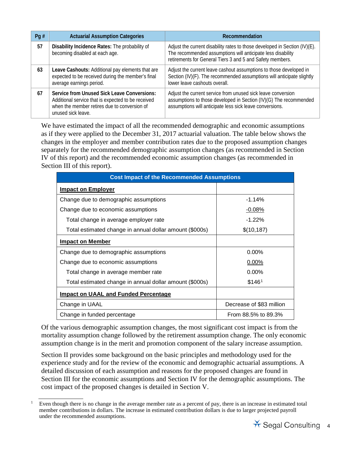| Pg $#$ | <b>Actuarial Assumption Categories</b>                                                                                                                                  | Recommendation                                                                                                                                                                                         |
|--------|-------------------------------------------------------------------------------------------------------------------------------------------------------------------------|--------------------------------------------------------------------------------------------------------------------------------------------------------------------------------------------------------|
| 57     | Disability Incidence Rates: The probability of<br>becoming disabled at each age.                                                                                        | Adjust the current disability rates to those developed in Section (IV)(E).<br>The recommended assumptions will anticipate less disability<br>retirements for General Tiers 3 and 5 and Safety members. |
| 63     | Leave Cashouts: Additional pay elements that are<br>expected to be received during the member's final<br>average earnings period.                                       | Adjust the current leave cashout assumptions to those developed in<br>Section (IV)(F). The recommended assumptions will anticipate slightly<br>lower leave cashouts overall.                           |
| 67     | Service from Unused Sick Leave Conversions:<br>Additional service that is expected to be received<br>when the member retires due to conversion of<br>unused sick leave. | Adjust the current service from unused sick leave conversion<br>assumptions to those developed in Section (IV)(G) The recommended<br>assumptions will anticipate less sick leave conversions.          |

We have estimated the impact of all the recommended demographic and economic assumptions as if they were applied to the December 31, 2017 actuarial valuation. The table below shows the changes in the employer and member contribution rates due to the proposed assumption changes separately for the recommended demographic assumption changes (as recommended in Section IV of this report) and the recommended economic assumption changes (as recommended in Section III of this report).

| <b>Cost Impact of the Recommended Assumptions</b>       |                          |  |  |
|---------------------------------------------------------|--------------------------|--|--|
| <b>Impact on Employer</b>                               |                          |  |  |
| Change due to demographic assumptions                   | $-1.14%$                 |  |  |
| Change due to economic assumptions                      | $-0.08\%$                |  |  |
| Total change in average employer rate                   | $-1.22%$                 |  |  |
| Total estimated change in annual dollar amount (\$000s) | \$(10, 187)              |  |  |
| <b>Impact on Member</b>                                 |                          |  |  |
| Change due to demographic assumptions                   | $0.00\%$                 |  |  |
| Change due to economic assumptions                      | 0.00%                    |  |  |
| Total change in average member rate                     | $0.00\%$                 |  |  |
| Total estimated change in annual dollar amount (\$000s) | \$146 <sup>1</sup>       |  |  |
| Impact on UAAL and Funded Percentage                    |                          |  |  |
| Change in UAAL                                          | Decrease of \$83 million |  |  |
| Change in funded percentage                             | From 88.5% to 89.3%      |  |  |

Of the various demographic assumption changes, the most significant cost impact is from the mortality assumption change followed by the retirement assumption change. The only economic assumption change is in the merit and promotion component of the salary increase assumption.

Section II provides some background on the basic principles and methodology used for the experience study and for the review of the economic and demographic actuarial assumptions. A detailed discussion of each assumption and reasons for the proposed changes are found in Section III for the economic assumptions and Section IV for the demographic assumptions. The cost impact of the proposed changes is detailed in Section V.

<span id="page-6-0"></span>1

Even though there is no change in the average member rate as a percent of pay, there is an increase in estimated total member contributions in dollars. The increase in estimated contribution dollars is due to larger projected payroll under the recommended assumptions.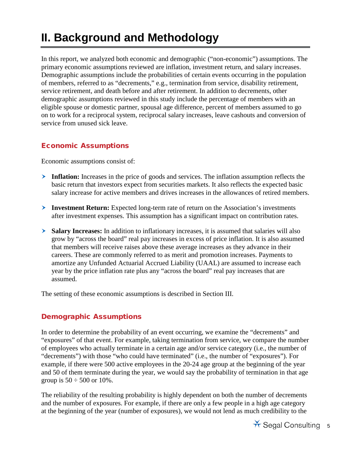## <span id="page-7-0"></span>**II. Background and Methodology**

In this report, we analyzed both economic and demographic ("non-economic") assumptions. The primary economic assumptions reviewed are inflation, investment return, and salary increases. Demographic assumptions include the probabilities of certain events occurring in the population of members, referred to as "decrements," e.g., termination from service, disability retirement, service retirement, and death before and after retirement. In addition to decrements, other demographic assumptions reviewed in this study include the percentage of members with an eligible spouse or domestic partner, spousal age difference, percent of members assumed to go on to work for a reciprocal system, reciprocal salary increases, leave cashouts and conversion of service from unused sick leave.

#### <span id="page-7-1"></span>Economic Assumptions

Economic assumptions consist of:

- **Inflation:** Increases in the price of goods and services. The inflation assumption reflects the basic return that investors expect from securities markets. It also reflects the expected basic salary increase for active members and drives increases in the allowances of retired members.
- **Investment Return:** Expected long-term rate of return on the Association's investments after investment expenses. This assumption has a significant impact on contribution rates.
- **Salary Increases:** In addition to inflationary increases, it is assumed that salaries will also grow by "across the board" real pay increases in excess of price inflation. It is also assumed that members will receive raises above these average increases as they advance in their careers. These are commonly referred to as merit and promotion increases. Payments to amortize any Unfunded Actuarial Accrued Liability (UAAL) are assumed to increase each year by the price inflation rate plus any "across the board" real pay increases that are assumed.

<span id="page-7-2"></span>The setting of these economic assumptions is described in Section III.

#### Demographic Assumptions

In order to determine the probability of an event occurring, we examine the "decrements" and "exposures" of that event. For example, taking termination from service, we compare the number of employees who actually terminate in a certain age and/or service category (i.e., the number of "decrements") with those "who could have terminated" (i.e., the number of "exposures"). For example, if there were 500 active employees in the 20-24 age group at the beginning of the year and 50 of them terminate during the year, we would say the probability of termination in that age group is  $50 \div 500$  or 10%.

The reliability of the resulting probability is highly dependent on both the number of decrements and the number of exposures. For example, if there are only a few people in a high age category at the beginning of the year (number of exposures), we would not lend as much credibility to the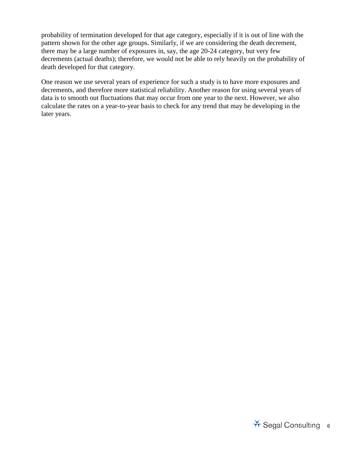probability of termination developed for that age category, especially if it is out of line with the pattern shown for the other age groups. Similarly, if we are considering the death decrement, there may be a large number of exposures in, say, the age 20-24 category, but very few decrements (actual deaths); therefore, we would not be able to rely heavily on the probability of death developed for that category.

One reason we use several years of experience for such a study is to have more exposures and decrements, and therefore more statistical reliability. Another reason for using several years of data is to smooth out fluctuations that may occur from one year to the next. However, we also calculate the rates on a year-to-year basis to check for any trend that may be developing in the later years.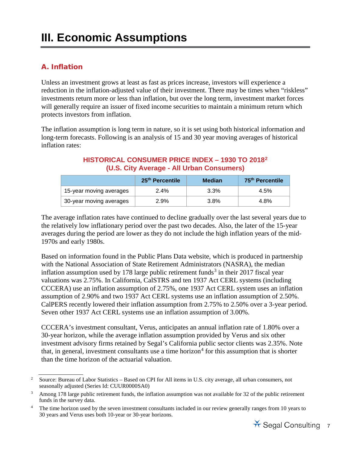### <span id="page-9-0"></span>**III. Economic Assumptions**

#### <span id="page-9-1"></span>A. Inflation

Unless an investment grows at least as fast as prices increase, investors will experience a reduction in the inflation-adjusted value of their investment. There may be times when "riskless" investments return more or less than inflation, but over the long term, investment market forces will generally require an issuer of fixed income securities to maintain a minimum return which protects investors from inflation.

The inflation assumption is long term in nature, so it is set using both historical information and long-term forecasts. Following is an analysis of 15 and 30 year moving averages of historical inflation rates:

#### **HISTORICAL CONSUMER PRICE INDEX – 1930 TO 2018[2](#page-9-2) (U.S. City Average - All Urban Consumers)**

|                         | 25 <sup>th</sup> Percentile | Median  | 75 <sup>th</sup> Percentile |
|-------------------------|-----------------------------|---------|-----------------------------|
| 15-year moving averages | 2.4%                        | $3.3\%$ | 4.5%                        |
| 30-year moving averages | 2.9%                        | $3.8\%$ | 4.8%                        |

The average inflation rates have continued to decline gradually over the last several years due to the relatively low inflationary period over the past two decades. Also, the later of the 15-year averages during the period are lower as they do not include the high inflation years of the mid-1970s and early 1980s.

Based on information found in the Public Plans Data website, which is produced in partnership with the National Association of State Retirement Administrators (NASRA), the median inflation assumption used by 178 large public retirement funds<sup>[3](#page-9-3)</sup> in their 2017 fiscal year valuations was 2.75%. In California, CalSTRS and ten 1937 Act CERL systems (including CCCERA) use an inflation assumption of 2.75%, one 1937 Act CERL system uses an inflation assumption of 2.90% and two 1937 Act CERL systems use an inflation assumption of 2.50%. CalPERS recently lowered their inflation assumption from 2.75% to 2.50% over a 3-year period. Seven other 1937 Act CERL systems use an inflation assumption of 3.00%.

CCCERA's investment consultant, Verus, anticipates an annual inflation rate of 1.80% over a 30-year horizon, while the average inflation assumption provided by Verus and six other investment advisory firms retained by Segal's California public sector clients was 2.35%. Note that, in general, investment consultants use a time horizon<sup>[4](#page-9-4)</sup> for this assumption that is shorter than the time horizon of the actuarial valuation.

<span id="page-9-2"></span><sup>2</sup> Source: Bureau of Labor Statistics – Based on CPI for All items in U.S. city average, all urban consumers, not seasonally adjusted (Series Id: CUUR0000SA0)

<span id="page-9-3"></span><sup>&</sup>lt;sup>3</sup> Among 178 large public retirement funds, the inflation assumption was not available for 32 of the public retirement funds in the survey data.

<span id="page-9-4"></span><sup>4</sup> The time horizon used by the seven investment consultants included in our review generally ranges from 10 years to 30 years and Verus uses both 10-year or 30-year horizons.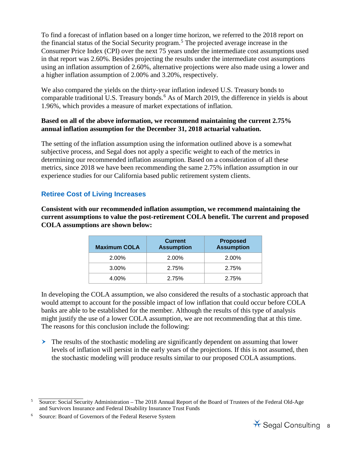To find a forecast of inflation based on a longer time horizon, we referred to the 2018 report on the financial status of the Social Security program.[5](#page-10-0) The projected average increase in the Consumer Price Index (CPI) over the next 75 years under the intermediate cost assumptions used in that report was 2.60%. Besides projecting the results under the intermediate cost assumptions using an inflation assumption of 2.60%, alternative projections were also made using a lower and a higher inflation assumption of 2.00% and 3.20%, respectively.

We also compared the yields on the thirty-year inflation indexed U.S. Treasury bonds to comparable traditional U.S. Treasury bonds.<sup>[6](#page-10-1)</sup> As of March 2019, the difference in yields is about 1.96%, which provides a measure of market expectations of inflation.

#### **Based on all of the above information, we recommend maintaining the current 2.75% annual inflation assumption for the December 31, 2018 actuarial valuation.**

The setting of the inflation assumption using the information outlined above is a somewhat subjective process, and Segal does not apply a specific weight to each of the metrics in determining our recommended inflation assumption. Based on a consideration of all these metrics, since 2018 we have been recommending the same 2.75% inflation assumption in our experience studies for our California based public retirement system clients.

#### **Retiree Cost of Living Increases**

**Consistent with our recommended inflation assumption, we recommend maintaining the current assumptions to value the post-retirement COLA benefit. The current and proposed COLA assumptions are shown below:**

| <b>Maximum COLA</b> | <b>Current</b><br><b>Assumption</b> | <b>Proposed</b><br><b>Assumption</b> |
|---------------------|-------------------------------------|--------------------------------------|
| 2.00%               | 2.00%                               | 2.00%                                |
| 3.00%               | 2.75%                               | 2.75%                                |
| 4.00%               | 2.75%                               | 2.75%                                |

In developing the COLA assumption, we also considered the results of a stochastic approach that would attempt to account for the possible impact of low inflation that could occur before COLA banks are able to be established for the member. Although the results of this type of analysis might justify the use of a lower COLA assumption, we are not recommending that at this time. The reasons for this conclusion include the following:

 $\geq$  The results of the stochastic modeling are significantly dependent on assuming that lower levels of inflation will persist in the early years of the projections. If this is not assumed, then the stochastic modeling will produce results similar to our proposed COLA assumptions.



<span id="page-10-0"></span><sup>5</sup> Source: Social Security Administration – The 2018 Annual Report of the Board of Trustees of the Federal Old-Age and Survivors Insurance and Federal Disability Insurance Trust Funds

<span id="page-10-1"></span><sup>6</sup> Source: Board of Governors of the Federal Reserve System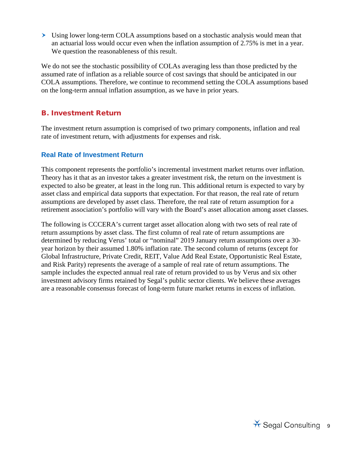Using lower long-term COLA assumptions based on a stochastic analysis would mean that an actuarial loss would occur even when the inflation assumption of 2.75% is met in a year. We question the reasonableness of this result.

We do not see the stochastic possibility of COLAs averaging less than those predicted by the assumed rate of inflation as a reliable source of cost savings that should be anticipated in our COLA assumptions. Therefore, we continue to recommend setting the COLA assumptions based on the long-term annual inflation assumption, as we have in prior years.

#### <span id="page-11-0"></span>B. Investment Return

The investment return assumption is comprised of two primary components, inflation and real rate of investment return, with adjustments for expenses and risk.

#### **Real Rate of Investment Return**

This component represents the portfolio's incremental investment market returns over inflation. Theory has it that as an investor takes a greater investment risk, the return on the investment is expected to also be greater, at least in the long run. This additional return is expected to vary by asset class and empirical data supports that expectation. For that reason, the real rate of return assumptions are developed by asset class. Therefore, the real rate of return assumption for a retirement association's portfolio will vary with the Board's asset allocation among asset classes.

The following is CCCERA's current target asset allocation along with two sets of real rate of return assumptions by asset class. The first column of real rate of return assumptions are determined by reducing Verus' total or "nominal" 2019 January return assumptions over a 30 year horizon by their assumed 1.80% inflation rate. The second column of returns (except for Global Infrastructure, Private Credit, REIT, Value Add Real Estate, Opportunistic Real Estate, and Risk Parity) represents the average of a sample of real rate of return assumptions. The sample includes the expected annual real rate of return provided to us by Verus and six other investment advisory firms retained by Segal's public sector clients. We believe these averages are a reasonable consensus forecast of long-term future market returns in excess of inflation.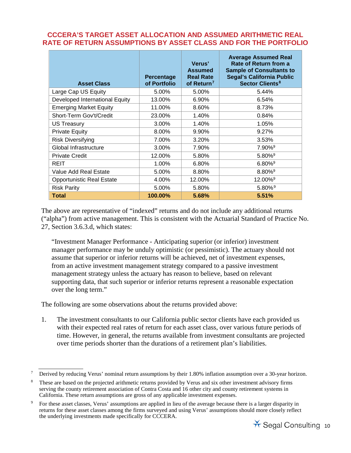#### **CCCERA'S TARGET ASSET ALLOCATION AND ASSUMED ARITHMETIC REAL RATE OF RETURN ASSUMPTIONS BY ASSET CLASS AND FOR THE PORTFOLIO**

| <b>Asset Class</b>               | <b>Percentage</b><br>of Portfolio | Verus'<br><b>Assumed</b><br><b>Real Rate</b><br>of Return <sup>7</sup> | <b>Average Assumed Real</b><br>Rate of Return from a<br><b>Sample of Consultants to</b><br><b>Segal's California Public</b><br><b>Sector Clients<sup>8</sup></b> |
|----------------------------------|-----------------------------------|------------------------------------------------------------------------|------------------------------------------------------------------------------------------------------------------------------------------------------------------|
| Large Cap US Equity              | 5.00%                             | 5.00%                                                                  | 5.44%                                                                                                                                                            |
| Developed International Equity   | 13.00%                            | 6.90%                                                                  | 6.54%                                                                                                                                                            |
| <b>Emerging Market Equity</b>    | 11.00%                            | 8.60%                                                                  | 8.73%                                                                                                                                                            |
| Short-Term Gov't/Credit          | 23.00%                            | 1.40%                                                                  | 0.84%                                                                                                                                                            |
| US Treasury                      | 3.00%                             | 1.40%                                                                  | 1.05%                                                                                                                                                            |
| <b>Private Equity</b>            | 8.00%                             | 9.90%                                                                  | 9.27%                                                                                                                                                            |
| <b>Risk Diversifying</b>         | 7.00%                             | 3.20%                                                                  | 3.53%                                                                                                                                                            |
| Global Infrastructure            | 3.00%                             | 7.90%                                                                  | $7.90\%$ <sup>9</sup>                                                                                                                                            |
| <b>Private Credit</b>            | 12.00%                            | 5.80%                                                                  | $5.80\%$ <sup>9</sup>                                                                                                                                            |
| REIT                             | 1.00%                             | 6.80%                                                                  | $6.80\%$ <sup>9</sup>                                                                                                                                            |
| Value Add Real Estate            | 5.00%                             | 8.80%                                                                  | $8.80\%$ <sup>9</sup>                                                                                                                                            |
| <b>Opportunistic Real Estate</b> | 4.00%                             | 12.00%                                                                 | $12.00\%$ <sup>9</sup>                                                                                                                                           |
| <b>Risk Parity</b>               | 5.00%                             | 5.80%                                                                  | $5.80\%$ <sup>9</sup>                                                                                                                                            |
| <b>Total</b>                     | 100.00%                           | 5.68%                                                                  | 5.51%                                                                                                                                                            |

The above are representative of "indexed" returns and do not include any additional returns ("alpha") from active management. This is consistent with the Actuarial Standard of Practice No. 27, Section 3.6.3.d, which states:

"Investment Manager Performance - Anticipating superior (or inferior) investment manager performance may be unduly optimistic (or pessimistic). The actuary should not assume that superior or inferior returns will be achieved, net of investment expenses, from an active investment management strategy compared to a passive investment management strategy unless the actuary has reason to believe, based on relevant supporting data, that such superior or inferior returns represent a reasonable expectation over the long term."

The following are some observations about the returns provided above:

1. The investment consultants to our California public sector clients have each provided us with their expected real rates of return for each asset class, over various future periods of time. However, in general, the returns available from investment consultants are projected over time periods shorter than the durations of a retirement plan's liabilities.

<span id="page-12-0"></span><sup>7</sup> Derived by reducing Verus' nominal return assumptions by their 1.80% inflation assumption over a 30-year horizon.

<span id="page-12-1"></span><sup>8</sup> These are based on the projected arithmetic returns provided by Verus and six other investment advisory firms serving the county retirement association of Contra Costa and 16 other city and county retirement systems in California. These return assumptions are gross of any applicable investment expenses.

<span id="page-12-2"></span><sup>9</sup> For these asset classes, Verus' assumptions are applied in lieu of the average because there is a larger disparity in returns for these asset classes among the firms surveyed and using Verus' assumptions should more closely reflect the underlying investments made specifically for CCCERA.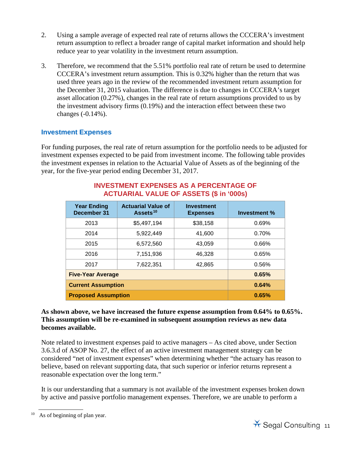- 2. Using a sample average of expected real rate of returns allows the CCCERA's investment return assumption to reflect a broader range of capital market information and should help reduce year to year volatility in the investment return assumption.
- 3. Therefore, we recommend that the 5.51% portfolio real rate of return be used to determine CCCERA's investment return assumption. This is 0.32% higher than the return that was used three years ago in the review of the recommended investment return assumption for the December 31, 2015 valuation. The difference is due to changes in CCCERA's target asset allocation (0.27%), changes in the real rate of return assumptions provided to us by the investment advisory firms (0.19%) and the interaction effect between these two changes (-0.14%).

#### **Investment Expenses**

For funding purposes, the real rate of return assumption for the portfolio needs to be adjusted for investment expenses expected to be paid from investment income. The following table provides the investment expenses in relation to the Actuarial Value of Assets as of the beginning of the year, for the five-year period ending December 31, 2017.

| <b>Year Ending</b><br>December 31 | <b>Actuarial Value of</b><br>Assets <sup>10</sup> | Investment<br><b>Expenses</b> | Investment % |
|-----------------------------------|---------------------------------------------------|-------------------------------|--------------|
| 2013                              | \$5,497,194                                       | \$38,158                      | 0.69%        |
| 2014                              | 5,922,449                                         | 41,600                        | 0.70%        |
| 2015                              | 6.572.560                                         | 43.059                        | 0.66%        |
| 2016                              | 7,151,936                                         | 46,328                        | 0.65%        |
| 2017                              | 7,622,351                                         | 42,865                        | 0.56%        |
| <b>Five-Year Average</b>          | 0.65%                                             |                               |              |
| <b>Current Assumption</b>         | 0.64%                                             |                               |              |
| <b>Proposed Assumption</b>        | 0.65%                                             |                               |              |

#### **INVESTMENT EXPENSES AS A PERCENTAGE OF ACTUARIAL VALUE OF ASSETS (\$ in '000s)**

#### **As shown above, we have increased the future expense assumption from 0.64% to 0.65%. This assumption will be re-examined in subsequent assumption reviews as new data becomes available.**

Note related to investment expenses paid to active managers – As cited above, under Section 3.6.3.d of ASOP No. 27, the effect of an active investment management strategy can be considered "net of investment expenses" when determining whether "the actuary has reason to believe, based on relevant supporting data, that such superior or inferior returns represent a reasonable expectation over the long term."

It is our understanding that a summary is not available of the investment expenses broken down by active and passive portfolio management expenses. Therefore, we are unable to perform a



<span id="page-13-0"></span> $10$  As of beginning of plan year.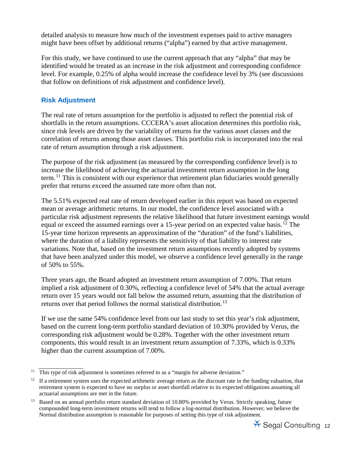detailed analysis to measure how much of the investment expenses paid to active managers might have been offset by additional returns ("alpha") earned by that active management.

For this study, we have continued to use the current approach that any "alpha" that may be identified would be treated as an increase in the risk adjustment and corresponding confidence level. For example, 0.25% of alpha would increase the confidence level by 3% (see discussions that follow on definitions of risk adjustment and confidence level).

#### **Risk Adjustment**

The real rate of return assumption for the portfolio is adjusted to reflect the potential risk of shortfalls in the return assumptions. CCCERA's asset allocation determines this portfolio risk, since risk levels are driven by the variability of returns for the various asset classes and the correlation of returns among those asset classes. This portfolio risk is incorporated into the real rate of return assumption through a risk adjustment.

The purpose of the risk adjustment (as measured by the corresponding confidence level) is to increase the likelihood of achieving the actuarial investment return assumption in the long term.[11](#page-14-0) This is consistent with our experience that retirement plan fiduciaries would generally prefer that returns exceed the assumed rate more often than not.

The 5.51% expected real rate of return developed earlier in this report was based on expected mean or average arithmetic returns. In our model, the confidence level associated with a particular risk adjustment represents the relative likelihood that future investment earnings would equal or exceed the assumed earnings over a 15-year period on an expected value basis.<sup>[12](#page-14-1)</sup> The 15-year time horizon represents an approximation of the "duration" of the fund's liabilities, where the duration of a liability represents the sensitivity of that liability to interest rate variations. Note that, based on the investment return assumptions recently adopted by systems that have been analyzed under this model, we observe a confidence level generally in the range of 50% to 55%.

Three years ago, the Board adopted an investment return assumption of 7.00%. That return implied a risk adjustment of 0.30%, reflecting a confidence level of 54% that the actual average return over 15 years would not fall below the assumed return, assuming that the distribution of returns over that period follows the normal statistical distribution.<sup>[13](#page-14-2)</sup>

If we use the same 54% confidence level from our last study to set this year's risk adjustment, based on the current long-term portfolio standard deviation of 10.30% provided by Verus, the corresponding risk adjustment would be 0.28%. Together with the other investment return components, this would result in an investment return assumption of 7.33%, which is 0.33% higher than the current assumption of 7.00%.

<span id="page-14-2"></span><sup>&</sup>lt;sup>13</sup> Based on an annual portfolio return standard deviation of 10.80% provided by Verus. Strictly speaking, future compounded long-term investment returns will tend to follow a log-normal distribution. However, we believe the Normal distribution assumption is reasonable for purposes of setting this type of risk adjustment.



<span id="page-14-0"></span> $11$  This type of risk adjustment is sometimes referred to as a "margin for adverse deviation."

<span id="page-14-1"></span> $12$  If a retirement system uses the expected arithmetic average return as the discount rate in the funding valuation, that retirement system is expected to have no surplus or asset shortfall relative to its expected obligations assuming all actuarial assumptions are met in the future.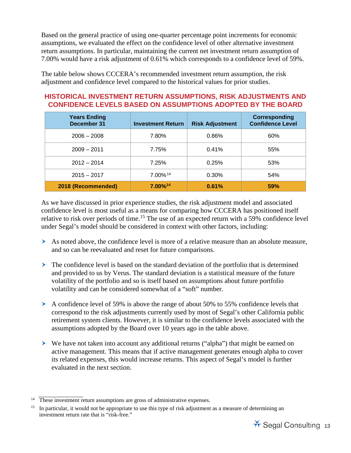Based on the general practice of using one-quarter percentage point increments for economic assumptions, we evaluated the effect on the confidence level of other alternative investment return assumptions. In particular, maintaining the current net investment return assumption of 7.00% would have a risk adjustment of 0.61% which corresponds to a confidence level of 59%.

The table below shows CCCERA's recommended investment return assumption, the risk adjustment and confidence level compared to the historical values for prior studies.

#### **HISTORICAL INVESTMENT RETURN ASSUMPTIONS, RISK ADJUSTMENTS AND CONFIDENCE LEVELS BASED ON ASSUMPTIONS ADOPTED BY THE BOARD**

| <b>Years Ending</b><br>December 31 | <b>Investment Return</b> | <b>Risk Adjustment</b> | Corresponding<br><b>Confidence Level</b> |
|------------------------------------|--------------------------|------------------------|------------------------------------------|
| $2006 - 2008$                      | 7.80%                    | 0.86%                  | 60%                                      |
| $2009 - 2011$                      | 7.75%                    | 0.41%                  | 55%                                      |
| $2012 - 2014$                      | 7.25%                    | 0.25%                  | 53%                                      |
| $2015 - 2017$                      | $7.00\%$ <sup>14</sup>   | $0.30\%$               | 54%                                      |
| 2018 (Recommended)                 | 7.00% <sup>14</sup>      | 0.61%                  | <b>59%</b>                               |

As we have discussed in prior experience studies, the risk adjustment model and associated confidence level is most useful as a means for comparing how CCCERA has positioned itself relative to risk over periods of time.<sup>15</sup> The use of an expected return with a 59% confidence level under Segal's model should be considered in context with other factors, including:

- $\triangleright$  As noted above, the confidence level is more of a relative measure than an absolute measure, and so can be reevaluated and reset for future comparisons.
- $\geq$  The confidence level is based on the standard deviation of the portfolio that is determined and provided to us by Verus. The standard deviation is a statistical measure of the future volatility of the portfolio and so is itself based on assumptions about future portfolio volatility and can be considered somewhat of a "soft" number.
- A confidence level of 59% is above the range of about 50% to 55% confidence levels that correspond to the risk adjustments currently used by most of Segal's other California public retirement system clients. However, it is similar to the confidence levels associated with the assumptions adopted by the Board over 10 years ago in the table above.
- We have not taken into account any additional returns ("alpha") that might be earned on active management. This means that if active management generates enough alpha to cover its related expenses, this would increase returns. This aspect of Segal's model is further evaluated in the next section.

<span id="page-15-1"></span> $<sup>15</sup>$  In particular, it would not be appropriate to use this type of risk adjustment as a measure of determining an</sup> investment return rate that is "risk-free."



<span id="page-15-0"></span><sup>&</sup>lt;sup>14</sup> These investment return assumptions are gross of administrative expenses.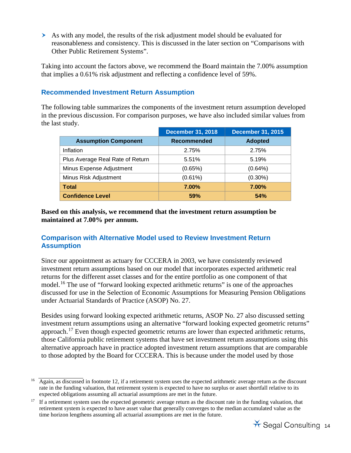As with any model, the results of the risk adjustment model should be evaluated for reasonableness and consistency. This is discussed in the later section on "Comparisons with Other Public Retirement Systems".

Taking into account the factors above, we recommend the Board maintain the 7.00% assumption that implies a 0.61% risk adjustment and reflecting a confidence level of 59%.

#### **Recommended Investment Return Assumption**

The following table summarizes the components of the investment return assumption developed in the previous discussion. For comparison purposes, we have also included similar values from the last study.

|                                  | <b>December 31, 2015</b><br><b>December 31, 2018</b> |                |
|----------------------------------|------------------------------------------------------|----------------|
| <b>Assumption Component</b>      | <b>Recommended</b>                                   | <b>Adopted</b> |
| Inflation                        | 2.75%                                                | 2.75%          |
| Plus Average Real Rate of Return | 5.51%                                                | 5.19%          |
| Minus Expense Adjustment         | (0.65%)                                              | $(0.64\%)$     |
| Minus Risk Adjustment            | $(0.61\%)$                                           | $(0.30\%)$     |
| <b>Total</b>                     | 7.00%                                                | 7.00%          |
| <b>Confidence Level</b>          | 59%                                                  | <b>54%</b>     |

**Based on this analysis, we recommend that the investment return assumption be maintained at 7.00% per annum.**

#### **Comparison with Alternative Model used to Review Investment Return Assumption**

Since our appointment as actuary for CCCERA in 2003, we have consistently reviewed investment return assumptions based on our model that incorporates expected arithmetic real returns for the different asset classes and for the entire portfolio as one component of that model.<sup>16</sup> The use of "forward looking expected arithmetic returns" is one of the approaches discussed for use in the Selection of Economic Assumptions for Measuring Pension Obligations under Actuarial Standards of Practice (ASOP) No. 27.

Besides using forward looking expected arithmetic returns, ASOP No. 27 also discussed setting investment return assumptions using an alternative "forward looking expected geometric returns" approach.[17](#page-16-1) Even though expected geometric returns are lower than expected arithmetic returns, those California public retirement systems that have set investment return assumptions using this alternative approach have in practice adopted investment return assumptions that are comparable to those adopted by the Board for CCCERA. This is because under the model used by those

<span id="page-16-0"></span> $\frac{16}{\text{Again, as discussed in footnote 12, if a retirement system uses the expected arithmetic average return as the discount.}$ rate in the funding valuation, that retirement system is expected to have no surplus or asset shortfall relative to its expected obligations assuming all actuarial assumptions are met in the future.

<span id="page-16-1"></span><sup>&</sup>lt;sup>17</sup> If a retirement system uses the expected geometric average return as the discount rate in the funding valuation, that retirement system is expected to have asset value that generally converges to the median accumulated value as the time horizon lengthens assuming all actuarial assumptions are met in the future.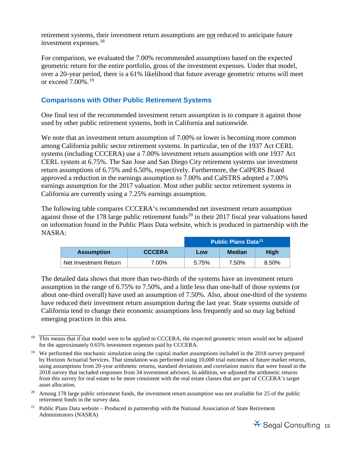retirement systems, their investment return assumptions are not reduced to anticipate future investment expenses.[18](#page-17-0) 

For comparison, we evaluated the 7.00% recommended assumptions based on the expected geometric return for the entire portfolio, gross of the investment expenses. Under that model, over a 20-year period, there is a 61% likelihood that future average geometric returns will meet or exceed 7.00%.[19](#page-17-1)

#### **Comparisons with Other Public Retirement Systems**

One final test of the recommended investment return assumption is to compare it against those used by other public retirement systems, both in California and nationwide.

We note that an investment return assumption of 7.00% or lower is becoming more common among California public sector retirement systems. In particular, ten of the 1937 Act CERL systems (including CCCERA) use a 7.00% investment return assumption with one 1937 Act CERL system at 6.75%. The San Jose and San Diego City retirement systems use investment return assumptions of 6.75% and 6.50%, respectively. Furthermore, the CalPERS Board approved a reduction in the earnings assumption to 7.00% and CalSTRS adopted a 7.00% earnings assumption for the 2017 valuation. Most other public sector retirement systems in California are currently using a 7.25% earnings assumption.

The following table compares CCCERA's recommended net investment return assumption against those of the 178 large public retirement funds<sup>20</sup> in their 2017 fiscal year valuations based on information found in the Public Plans Data website, which is produced in partnership with the NASRA:

| <b>Public Plans Data<sup>21</sup></b> |               |       |        |             |
|---------------------------------------|---------------|-------|--------|-------------|
| <b>Assumption</b>                     | <b>CCCERA</b> | Low   | Median | <b>High</b> |
| Net Investment Return                 | 7.00%         | 5.75% | 7.50%  | 8.50%       |

The detailed data shows that more than two-thirds of the systems have an investment return assumption in the range of 6.75% to 7.50%, and a little less than one-half of those systems (or about one-third overall) have used an assumption of 7.50%. Also, about one-third of the systems have reduced their investment return assumption during the last year. State systems outside of California tend to change their economic assumptions less frequently and so may lag behind emerging practices in this area.

<span id="page-17-3"></span><sup>&</sup>lt;sup>21</sup> Public Plans Data website – Produced in partnership with the National Association of State Retirement Administrators (NASRA)



<span id="page-17-0"></span><sup>&</sup>lt;sup>18</sup> This means that if that model were to be applied to CCCERA, the expected geometric return would not be adjusted for the approximately 0.65% investment expenses paid by CCCERA.

<span id="page-17-1"></span><sup>&</sup>lt;sup>19</sup> We performed this stochastic simulation using the capital market assumptions included in the 2018 survey prepared by Horizon Actuarial Services. That simulation was performed using 10,000 trial outcomes of future market returns, using assumptions from 20-year arithmetic returns, standard deviations and correlation matrix that were found in the 2018 survey that included responses from 34 investment advisors. In addition, we adjusted the arithmetic returns from this survey for real estate to be more consistent with the real estate classes that are part of CCCERA's target asset allocation.

<span id="page-17-2"></span><sup>&</sup>lt;sup>20</sup> Among 178 large public retirement funds, the investment return assumption was not available for 25 of the public retirement funds in the survey data.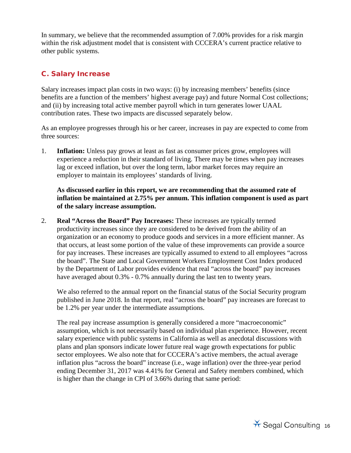In summary, we believe that the recommended assumption of 7.00% provides for a risk margin within the risk adjustment model that is consistent with CCCERA's current practice relative to other public systems.

#### <span id="page-18-0"></span>C. Salary Increase

Salary increases impact plan costs in two ways: (i) by increasing members' benefits (since benefits are a function of the members' highest average pay) and future Normal Cost collections; and (ii) by increasing total active member payroll which in turn generates lower UAAL contribution rates. These two impacts are discussed separately below.

As an employee progresses through his or her career, increases in pay are expected to come from three sources:

1. **Inflation:** Unless pay grows at least as fast as consumer prices grow, employees will experience a reduction in their standard of living. There may be times when pay increases lag or exceed inflation, but over the long term, labor market forces may require an employer to maintain its employees' standards of living.

**As discussed earlier in this report, we are recommending that the assumed rate of inflation be maintained at 2.75% per annum. This inflation component is used as part of the salary increase assumption.** 

2. **Real "Across the Board" Pay Increases:** These increases are typically termed productivity increases since they are considered to be derived from the ability of an organization or an economy to produce goods and services in a more efficient manner. As that occurs, at least some portion of the value of these improvements can provide a source for pay increases. These increases are typically assumed to extend to all employees "across the board". The State and Local Government Workers Employment Cost Index produced by the Department of Labor provides evidence that real "across the board" pay increases have averaged about 0.3% - 0.7% annually during the last ten to twenty years.

We also referred to the annual report on the financial status of the Social Security program published in June 2018. In that report, real "across the board" pay increases are forecast to be 1.2% per year under the intermediate assumptions.

The real pay increase assumption is generally considered a more "macroeconomic" assumption, which is not necessarily based on individual plan experience. However, recent salary experience with public systems in California as well as anecdotal discussions with plans and plan sponsors indicate lower future real wage growth expectations for public sector employees. We also note that for CCCERA's active members, the actual average inflation plus "across the board" increase (i.e., wage inflation) over the three-year period ending December 31, 2017 was 4.41% for General and Safety members combined, which is higher than the change in CPI of 3.66% during that same period:

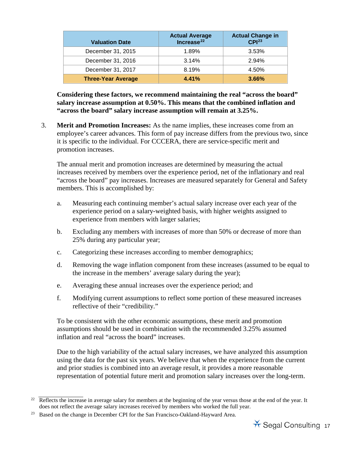| <b>Valuation Date</b>     | <b>Actual Average</b><br>Increase $^{22}$ | <b>Actual Change in</b><br>CPI <sup>23</sup> |
|---------------------------|-------------------------------------------|----------------------------------------------|
| December 31, 2015         | 1.89%                                     | 3.53%                                        |
| December 31, 2016         | 3.14%                                     | 2.94%                                        |
| December 31, 2017         | 8.19%                                     | 4.50%                                        |
| <b>Three-Year Average</b> | 4.41%                                     | 3.66%                                        |

**Considering these factors, we recommend maintaining the real "across the board" salary increase assumption at 0.50%. This means that the combined inflation and "across the board" salary increase assumption will remain at 3.25%.** 

3. **Merit and Promotion Increases:** As the name implies, these increases come from an employee's career advances. This form of pay increase differs from the previous two, since it is specific to the individual. For CCCERA, there are service-specific merit and promotion increases.

The annual merit and promotion increases are determined by measuring the actual increases received by members over the experience period, net of the inflationary and real "across the board" pay increases. Increases are measured separately for General and Safety members. This is accomplished by:

- a. Measuring each continuing member's actual salary increase over each year of the experience period on a salary-weighted basis, with higher weights assigned to experience from members with larger salaries;
- b. Excluding any members with increases of more than 50% or decrease of more than 25% during any particular year;
- c. Categorizing these increases according to member demographics;
- d. Removing the wage inflation component from these increases (assumed to be equal to the increase in the members' average salary during the year);
- e. Averaging these annual increases over the experience period; and
- f. Modifying current assumptions to reflect some portion of these measured increases reflective of their "credibility."

To be consistent with the other economic assumptions, these merit and promotion assumptions should be used in combination with the recommended 3.25% assumed inflation and real "across the board" increases.

Due to the high variability of the actual salary increases, we have analyzed this assumption using the data for the past six years. We believe that when the experience from the current and prior studies is combined into an average result, it provides a more reasonable representation of potential future merit and promotion salary increases over the long-term.

<span id="page-19-0"></span> $22$  Reflects the increase in average salary for members at the beginning of the year versus those at the end of the year. It does not reflect the average salary increases received by members who worked the full year.

<span id="page-19-1"></span><sup>&</sup>lt;sup>23</sup> Based on the change in December CPI for the San Francisco-Oakland-Hayward Area.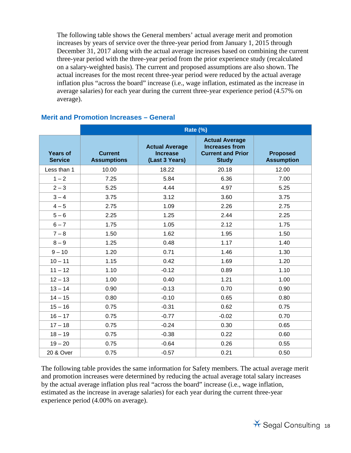The following table shows the General members' actual average merit and promotion increases by years of service over the three-year period from January 1, 2015 through December 31, 2017 along with the actual average increases based on combining the current three-year period with the three-year period from the prior experience study (recalculated on a salary-weighted basis). The current and proposed assumptions are also shown. The actual increases for the most recent three-year period were reduced by the actual average inflation plus "across the board" increase (i.e., wage inflation, estimated as the increase in average salaries) for each year during the current three-year experience period (4.57% on average).

|                                   | Rate (%)                             |                                                            |                                                                                            |                                      |  |
|-----------------------------------|--------------------------------------|------------------------------------------------------------|--------------------------------------------------------------------------------------------|--------------------------------------|--|
| <b>Years of</b><br><b>Service</b> | <b>Current</b><br><b>Assumptions</b> | <b>Actual Average</b><br><b>Increase</b><br>(Last 3 Years) | <b>Actual Average</b><br><b>Increases from</b><br><b>Current and Prior</b><br><b>Study</b> | <b>Proposed</b><br><b>Assumption</b> |  |
| Less than 1                       | 10.00                                | 18.22                                                      | 20.18                                                                                      | 12.00                                |  |
| $1 - 2$                           | 7.25                                 | 5.84                                                       | 6.36                                                                                       | 7.00                                 |  |
| $2 - 3$                           | 5.25                                 | 4.44                                                       | 4.97                                                                                       | 5.25                                 |  |
| $3 - 4$                           | 3.75                                 | 3.12                                                       | 3.60                                                                                       | 3.75                                 |  |
| $4 - 5$                           | 2.75                                 | 1.09                                                       | 2.26                                                                                       | 2.75                                 |  |
| $5 - 6$                           | 2.25                                 | 1.25                                                       | 2.44                                                                                       | 2.25                                 |  |
| $6 - 7$                           | 1.75                                 | 1.05                                                       | 2.12                                                                                       | 1.75                                 |  |
| $7 - 8$                           | 1.50                                 | 1.62                                                       | 1.95                                                                                       | 1.50                                 |  |
| $8 - 9$                           | 1.25                                 | 0.48                                                       | 1.17                                                                                       | 1.40                                 |  |
| $9 - 10$                          | 1.20                                 | 0.71                                                       | 1.46                                                                                       | 1.30                                 |  |
| $10 - 11$                         | 1.15                                 | 0.42                                                       | 1.69                                                                                       | 1.20                                 |  |
| $11 - 12$                         | 1.10                                 | $-0.12$                                                    | 0.89                                                                                       | 1.10                                 |  |
| $12 - 13$                         | 1.00                                 | 0.40                                                       | 1.21                                                                                       | 1.00                                 |  |
| $13 - 14$                         | 0.90                                 | $-0.13$                                                    | 0.70                                                                                       | 0.90                                 |  |
| $14 - 15$                         | 0.80                                 | $-0.10$                                                    | 0.65                                                                                       | 0.80                                 |  |
| $15 - 16$                         | 0.75                                 | $-0.31$                                                    | 0.62                                                                                       | 0.75                                 |  |
| $16 - 17$                         | 0.75                                 | $-0.77$                                                    | $-0.02$                                                                                    | 0.70                                 |  |
| $17 - 18$                         | 0.75                                 | $-0.24$                                                    | 0.30                                                                                       | 0.65                                 |  |
| $18 - 19$                         | 0.75                                 | $-0.38$                                                    | 0.22                                                                                       | 0.60                                 |  |
| $19 - 20$                         | 0.75                                 | $-0.64$                                                    | 0.26                                                                                       | 0.55                                 |  |
| 20 & Over                         | 0.75                                 | $-0.57$                                                    | 0.21                                                                                       | 0.50                                 |  |

#### **Merit and Promotion Increases – General**

The following table provides the same information for Safety members. The actual average merit and promotion increases were determined by reducing the actual average total salary increases by the actual average inflation plus real "across the board" increase (i.e., wage inflation, estimated as the increase in average salaries) for each year during the current three-year experience period (4.00% on average).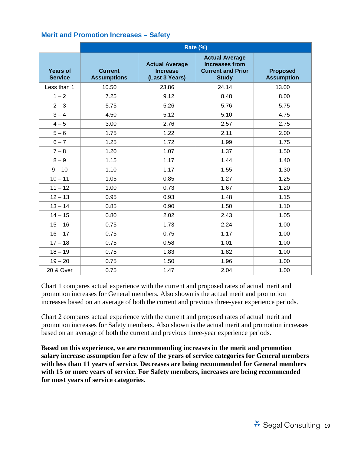#### **Merit and Promotion Increases – Safety**

|                                   | Rate (%)                             |                                                            |                                                                                            |                                      |  |
|-----------------------------------|--------------------------------------|------------------------------------------------------------|--------------------------------------------------------------------------------------------|--------------------------------------|--|
| <b>Years of</b><br><b>Service</b> | <b>Current</b><br><b>Assumptions</b> | <b>Actual Average</b><br><b>Increase</b><br>(Last 3 Years) | <b>Actual Average</b><br><b>Increases from</b><br><b>Current and Prior</b><br><b>Study</b> | <b>Proposed</b><br><b>Assumption</b> |  |
| Less than 1                       | 10.50                                | 23.86                                                      | 24.14                                                                                      | 13.00                                |  |
| $1 - 2$                           | 7.25                                 | 9.12                                                       | 8.48                                                                                       | 8.00                                 |  |
| $2 - 3$                           | 5.75                                 | 5.26                                                       | 5.76                                                                                       | 5.75                                 |  |
| $3 - 4$                           | 4.50                                 | 5.12                                                       | 5.10                                                                                       | 4.75                                 |  |
| $4 - 5$                           | 3.00                                 | 2.76                                                       | 2.57                                                                                       | 2.75                                 |  |
| $5-6$                             | 1.75                                 | 1.22                                                       | 2.11                                                                                       | 2.00                                 |  |
| $6 - 7$                           | 1.25                                 | 1.72                                                       | 1.99                                                                                       | 1.75                                 |  |
| $7 - 8$                           | 1.20                                 | 1.07                                                       | 1.37                                                                                       | 1.50                                 |  |
| $8 - 9$                           | 1.15                                 | 1.17                                                       | 1.44                                                                                       | 1.40                                 |  |
| $9 - 10$                          | 1.10                                 | 1.17                                                       | 1.55                                                                                       | 1.30                                 |  |
| $10 - 11$                         | 1.05                                 | 0.85                                                       | 1.27                                                                                       | 1.25                                 |  |
| $11 - 12$                         | 1.00                                 | 0.73                                                       | 1.67                                                                                       | 1.20                                 |  |
| $12 - 13$                         | 0.95                                 | 0.93                                                       | 1.48                                                                                       | 1.15                                 |  |
| $13 - 14$                         | 0.85                                 | 0.90                                                       | 1.50                                                                                       | 1.10                                 |  |
| $14 - 15$                         | 0.80                                 | 2.02                                                       | 2.43                                                                                       | 1.05                                 |  |
| $15 - 16$                         | 0.75                                 | 1.73                                                       | 2.24                                                                                       | 1.00                                 |  |
| $16 - 17$                         | 0.75                                 | 0.75                                                       | 1.17                                                                                       | 1.00                                 |  |
| $17 - 18$                         | 0.75                                 | 0.58                                                       | 1.01                                                                                       | 1.00                                 |  |
| $18 - 19$                         | 0.75                                 | 1.83                                                       | 1.82                                                                                       | 1.00                                 |  |
| $19 - 20$                         | 0.75                                 | 1.50                                                       | 1.96                                                                                       | 1.00                                 |  |
| 20 & Over                         | 0.75                                 | 1.47                                                       | 2.04                                                                                       | 1.00                                 |  |

Chart 1 compares actual experience with the current and proposed rates of actual merit and promotion increases for General members. Also shown is the actual merit and promotion increases based on an average of both the current and previous three-year experience periods.

Chart 2 compares actual experience with the current and proposed rates of actual merit and promotion increases for Safety members. Also shown is the actual merit and promotion increases based on an average of both the current and previous three-year experience periods.

**Based on this experience, we are recommending increases in the merit and promotion salary increase assumption for a few of the years of service categories for General members with less than 11 years of service. Decreases are being recommended for General members with 15 or more years of service. For Safety members, increases are being recommended for most years of service categories.**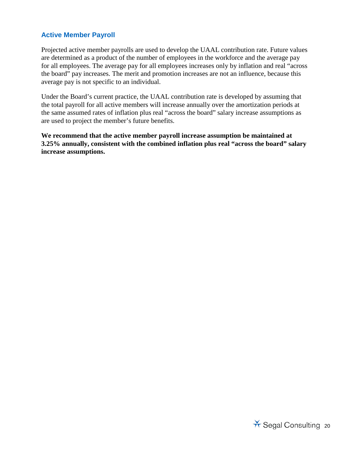#### **Active Member Payroll**

Projected active member payrolls are used to develop the UAAL contribution rate. Future values are determined as a product of the number of employees in the workforce and the average pay for all employees. The average pay for all employees increases only by inflation and real "across the board" pay increases. The merit and promotion increases are not an influence, because this average pay is not specific to an individual.

Under the Board's current practice, the UAAL contribution rate is developed by assuming that the total payroll for all active members will increase annually over the amortization periods at the same assumed rates of inflation plus real "across the board" salary increase assumptions as are used to project the member's future benefits.

**We recommend that the active member payroll increase assumption be maintained at 3.25% annually, consistent with the combined inflation plus real "across the board" salary increase assumptions.**

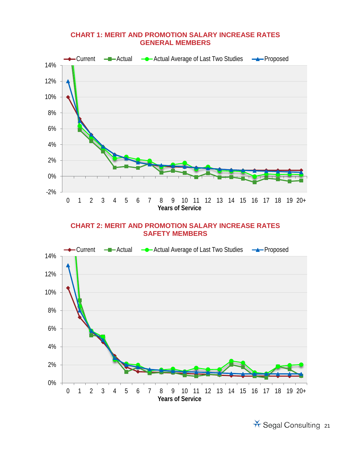#### **CHART 1: MERIT AND PROMOTION SALARY INCREASE RATES GENERAL MEMBERS**



#### **CHART 2: MERIT AND PROMOTION SALARY INCREASE RATES SAFETY MEMBERS**



X Segal Consulting 21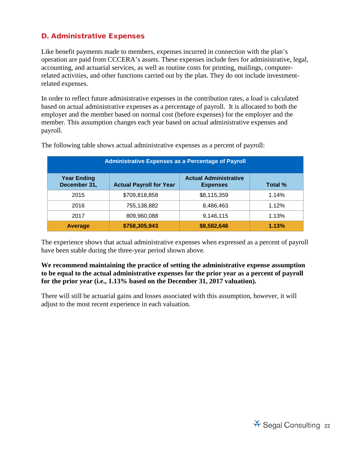#### <span id="page-24-0"></span>D. Administrative Expenses

Like benefit payments made to members, expenses incurred in connection with the plan's operation are paid from CCCERA's assets. These expenses include fees for administrative, legal, accounting, and actuarial services, as well as routine costs for printing, mailings, computerrelated activities, and other functions carried out by the plan. They do not include investmentrelated expenses.

In order to reflect future administrative expenses in the contribution rates, a load is calculated based on actual administrative expenses as a percentage of payroll. It is allocated to both the employer and the member based on normal cost (before expenses) for the employer and the member. This assumption changes each year based on actual administrative expenses and payroll.

| <b>Administrative Expenses as a Percentage of Payroll</b> |                                |                                                 |         |  |  |
|-----------------------------------------------------------|--------------------------------|-------------------------------------------------|---------|--|--|
| <b>Year Ending</b><br>December 31,                        | <b>Actual Payroll for Year</b> | <b>Actual Administrative</b><br><b>Expenses</b> | Total % |  |  |
| 2015                                                      | \$709,818,858                  | \$8,115,359                                     | 1.14%   |  |  |
| 2016                                                      | 755,138,882                    | 8,486,463                                       | 1.12%   |  |  |
| 2017                                                      | 809,960,088                    | 9,146,115                                       | 1.13%   |  |  |
| <b>Average</b>                                            | \$758,305,943                  | \$8,582,646                                     | 1.13%   |  |  |

The following table shows actual administrative expenses as a percent of payroll:

The experience shows that actual administrative expenses when expressed as a percent of payroll have been stable during the three-year period shown above.

#### **We recommend maintaining the practice of setting the administrative expense assumption to be equal to the actual administrative expenses for the prior year as a percent of payroll for the prior year (i.e., 1.13% based on the December 31, 2017 valuation).**

There will still be actuarial gains and losses associated with this assumption, however, it will adjust to the most recent experience in each valuation.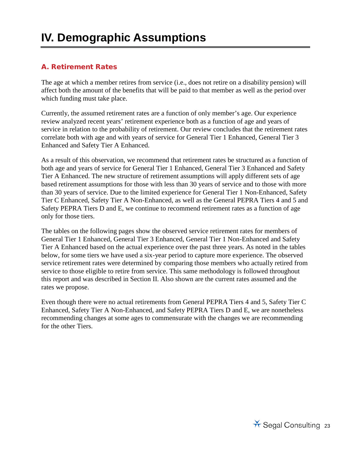### <span id="page-25-0"></span>**IV. Demographic Assumptions**

#### <span id="page-25-1"></span>A. Retirement Rates

The age at which a member retires from service (i.e., does not retire on a disability pension) will affect both the amount of the benefits that will be paid to that member as well as the period over which funding must take place.

Currently, the assumed retirement rates are a function of only member's age. Our experience review analyzed recent years' retirement experience both as a function of age and years of service in relation to the probability of retirement. Our review concludes that the retirement rates correlate both with age and with years of service for General Tier 1 Enhanced, General Tier 3 Enhanced and Safety Tier A Enhanced.

As a result of this observation, we recommend that retirement rates be structured as a function of both age and years of service for General Tier 1 Enhanced, General Tier 3 Enhanced and Safety Tier A Enhanced. The new structure of retirement assumptions will apply different sets of age based retirement assumptions for those with less than 30 years of service and to those with more than 30 years of service. Due to the limited experience for General Tier 1 Non-Enhanced, Safety Tier C Enhanced, Safety Tier A Non-Enhanced, as well as the General PEPRA Tiers 4 and 5 and Safety PEPRA Tiers D and E, we continue to recommend retirement rates as a function of age only for those tiers.

The tables on the following pages show the observed service retirement rates for members of General Tier 1 Enhanced, General Tier 3 Enhanced, General Tier 1 Non-Enhanced and Safety Tier A Enhanced based on the actual experience over the past three years. As noted in the tables below, for some tiers we have used a six-year period to capture more experience. The observed service retirement rates were determined by comparing those members who actually retired from service to those eligible to retire from service. This same methodology is followed throughout this report and was described in Section II. Also shown are the current rates assumed and the rates we propose.

Even though there were no actual retirements from General PEPRA Tiers 4 and 5, Safety Tier C Enhanced, Safety Tier A Non-Enhanced, and Safety PEPRA Tiers D and E, we are nonetheless recommending changes at some ages to commensurate with the changes we are recommending for the other Tiers.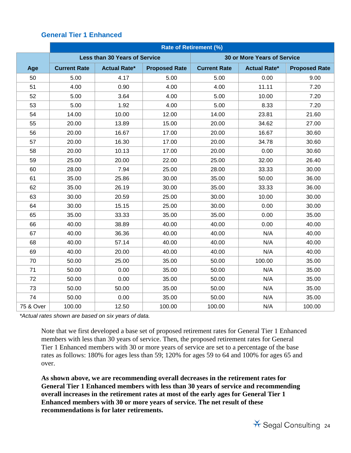#### **General Tier 1 Enhanced**

|           | <b>Rate of Retirement (%)</b> |                                      |                      |                                    |                     |                      |
|-----------|-------------------------------|--------------------------------------|----------------------|------------------------------------|---------------------|----------------------|
|           |                               | <b>Less than 30 Years of Service</b> |                      | <b>30 or More Years of Service</b> |                     |                      |
| Age       | <b>Current Rate</b>           | <b>Actual Rate*</b>                  | <b>Proposed Rate</b> | <b>Current Rate</b>                | <b>Actual Rate*</b> | <b>Proposed Rate</b> |
| 50        | 5.00                          | 4.17                                 | 5.00                 | 5.00                               | 0.00                | 9.00                 |
| 51        | 4.00                          | 0.90                                 | 4.00                 | 4.00                               | 11.11               | 7.20                 |
| 52        | 5.00                          | 3.64                                 | 4.00                 | 5.00                               | 10.00               | 7.20                 |
| 53        | 5.00                          | 1.92                                 | 4.00                 | 5.00                               | 8.33                | 7.20                 |
| 54        | 14.00                         | 10.00                                | 12.00                | 14.00                              | 23.81               | 21.60                |
| 55        | 20.00                         | 13.89                                | 15.00                | 20.00                              | 34.62               | 27.00                |
| 56        | 20.00                         | 16.67                                | 17.00                | 20.00                              | 16.67               | 30.60                |
| 57        | 20.00                         | 16.30                                | 17.00                | 20.00                              | 34.78               | 30.60                |
| 58        | 20.00                         | 10.13                                | 17.00                | 20.00                              | 0.00                | 30.60                |
| 59        | 25.00                         | 20.00                                | 22.00                | 25.00                              | 32.00               | 26.40                |
| 60        | 28.00                         | 7.94                                 | 25.00                | 28.00                              | 33.33               | 30.00                |
| 61        | 35.00                         | 25.86                                | 30.00                | 35.00                              | 50.00               | 36.00                |
| 62        | 35.00                         | 26.19                                | 30.00                | 35.00                              | 33.33               | 36.00                |
| 63        | 30.00                         | 20.59                                | 25.00                | 30.00                              | 10.00               | 30.00                |
| 64        | 30.00                         | 15.15                                | 25.00                | 30.00                              | 0.00                | 30.00                |
| 65        | 35.00                         | 33.33                                | 35.00                | 35.00                              | 0.00                | 35.00                |
| 66        | 40.00                         | 38.89                                | 40.00                | 40.00                              | 0.00                | 40.00                |
| 67        | 40.00                         | 36.36                                | 40.00                | 40.00                              | N/A                 | 40.00                |
| 68        | 40.00                         | 57.14                                | 40.00                | 40.00                              | N/A                 | 40.00                |
| 69        | 40.00                         | 20.00                                | 40.00                | 40.00                              | N/A                 | 40.00                |
| 70        | 50.00                         | 25.00                                | 35.00                | 50.00                              | 100.00              | 35.00                |
| 71        | 50.00                         | 0.00                                 | 35.00                | 50.00                              | N/A                 | 35.00                |
| 72        | 50.00                         | 0.00                                 | 35.00                | 50.00                              | N/A                 | 35.00                |
| 73        | 50.00                         | 50.00                                | 35.00                | 50.00                              | N/A                 | 35.00                |
| 74        | 50.00                         | 0.00                                 | 35.00                | 50.00                              | N/A                 | 35.00                |
| 75 & Over | 100.00                        | 12.50                                | 100.00               | 100.00                             | N/A                 | 100.00               |

*\*Actual rates shown are based on six years of data.* 

Note that we first developed a base set of proposed retirement rates for General Tier 1 Enhanced members with less than 30 years of service. Then, the proposed retirement rates for General Tier 1 Enhanced members with 30 or more years of service are set to a percentage of the base rates as follows: 180% for ages less than 59; 120% for ages 59 to 64 and 100% for ages 65 and over.

**As shown above, we are recommending overall decreases in the retirement rates for General Tier 1 Enhanced members with less than 30 years of service and recommending overall increases in the retirement rates at most of the early ages for General Tier 1 Enhanced members with 30 or more years of service. The net result of these recommendations is for later retirements.**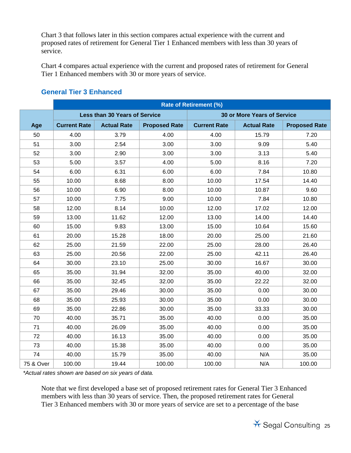Chart 3 that follows later in this section compares actual experience with the current and proposed rates of retirement for General Tier 1 Enhanced members with less than 30 years of service.

Chart 4 compares actual experience with the current and proposed rates of retirement for General Tier 1 Enhanced members with 30 or more years of service.

|           | <b>Rate of Retirement (%)</b> |                                      |                      |                                    |                    |                      |
|-----------|-------------------------------|--------------------------------------|----------------------|------------------------------------|--------------------|----------------------|
|           |                               | <b>Less than 30 Years of Service</b> |                      | <b>30 or More Years of Service</b> |                    |                      |
| Age       | <b>Current Rate</b>           | <b>Actual Rate</b>                   | <b>Proposed Rate</b> | <b>Current Rate</b>                | <b>Actual Rate</b> | <b>Proposed Rate</b> |
| 50        | 4.00                          | 3.79                                 | 4.00                 | 4.00                               | 15.79              | 7.20                 |
| 51        | 3.00                          | 2.54                                 | 3.00                 | 3.00                               | 9.09               | 5.40                 |
| 52        | 3.00                          | 2.90                                 | 3.00                 | 3.00                               | 3.13               | 5.40                 |
| 53        | 5.00                          | 3.57                                 | 4.00                 | 5.00                               | 8.16               | 7.20                 |
| 54        | 6.00                          | 6.31                                 | 6.00                 | 6.00                               | 7.84               | 10.80                |
| 55        | 10.00                         | 8.68                                 | 8.00                 | 10.00                              | 17.54              | 14.40                |
| 56        | 10.00                         | 6.90                                 | 8.00                 | 10.00                              | 10.87              | 9.60                 |
| 57        | 10.00                         | 7.75                                 | 9.00                 | 10.00                              | 7.84               | 10.80                |
| 58        | 12.00                         | 8.14                                 | 10.00                | 12.00                              | 17.02              | 12.00                |
| 59        | 13.00                         | 11.62                                | 12.00                | 13.00                              | 14.00              | 14.40                |
| 60        | 15.00                         | 9.83                                 | 13.00                | 15.00                              | 10.64              | 15.60                |
| 61        | 20.00                         | 15.28                                | 18.00                | 20.00                              | 25.00              | 21.60                |
| 62        | 25.00                         | 21.59                                | 22.00                | 25.00                              | 28.00              | 26.40                |
| 63        | 25.00                         | 20.56                                | 22.00                | 25.00                              | 42.11              | 26.40                |
| 64        | 30.00                         | 23.10                                | 25.00                | 30.00                              | 16.67              | 30.00                |
| 65        | 35.00                         | 31.94                                | 32.00                | 35.00                              | 40.00              | 32.00                |
| 66        | 35.00                         | 32.45                                | 32.00                | 35.00                              | 22.22              | 32.00                |
| 67        | 35.00                         | 29.46                                | 30.00                | 35.00                              | 0.00               | 30.00                |
| 68        | 35.00                         | 25.93                                | 30.00                | 35.00                              | 0.00               | 30.00                |
| 69        | 35.00                         | 22.86                                | 30.00                | 35.00                              | 33.33              | 30.00                |
| 70        | 40.00                         | 35.71                                | 35.00                | 40.00                              | 0.00               | 35.00                |
| 71        | 40.00                         | 26.09                                | 35.00                | 40.00                              | 0.00               | 35.00                |
| 72        | 40.00                         | 16.13                                | 35.00                | 40.00                              | 0.00               | 35.00                |
| 73        | 40.00                         | 15.38                                | 35.00                | 40.00                              | 0.00               | 35.00                |
| 74        | 40.00                         | 15.79                                | 35.00                | 40.00                              | N/A                | 35.00                |
| 75 & Over | 100.00                        | 19.44                                | 100.00               | 100.00                             | N/A                | 100.00               |

#### **General Tier 3 Enhanced**

*\*Actual rates shown are based on six years of data.* 

Note that we first developed a base set of proposed retirement rates for General Tier 3 Enhanced members with less than 30 years of service. Then, the proposed retirement rates for General Tier 3 Enhanced members with 30 or more years of service are set to a percentage of the base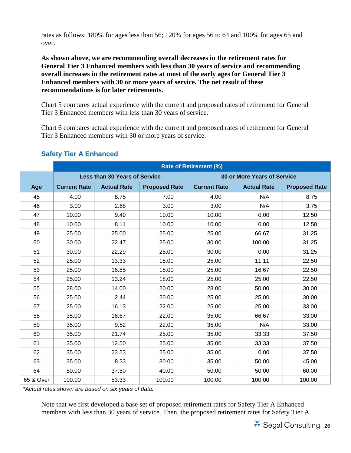rates as follows: 180% for ages less than 56; 120% for ages 56 to 64 and 100% for ages 65 and over.

**As shown above, we are recommending overall decreases in the retirement rates for General Tier 3 Enhanced members with less than 30 years of service and recommending overall increases in the retirement rates at most of the early ages for General Tier 3 Enhanced members with 30 or more years of service. The net result of these recommendations is for later retirements.**

Chart 5 compares actual experience with the current and proposed rates of retirement for General Tier 3 Enhanced members with less than 30 years of service.

Chart 6 compares actual experience with the current and proposed rates of retirement for General Tier 3 Enhanced members with 30 or more years of service.

|           | <b>Rate of Retirement (%)</b> |                                      |                      |                                    |                    |                      |
|-----------|-------------------------------|--------------------------------------|----------------------|------------------------------------|--------------------|----------------------|
|           |                               | <b>Less than 30 Years of Service</b> |                      | <b>30 or More Years of Service</b> |                    |                      |
| Age       | <b>Current Rate</b>           | <b>Actual Rate</b>                   | <b>Proposed Rate</b> | <b>Current Rate</b>                | <b>Actual Rate</b> | <b>Proposed Rate</b> |
| 45        | 4.00                          | 8.75                                 | 7.00                 | 4.00                               | N/A                | 8.75                 |
| 46        | 3.00                          | 2.68                                 | 3.00                 | 3.00                               | N/A                | 3.75                 |
| 47        | 10.00                         | 9.49                                 | 10.00                | 10.00                              | 0.00               | 12.50                |
| 48        | 10.00                         | 8.11                                 | 10.00                | 10.00                              | 0.00               | 12.50                |
| 49        | 25.00                         | 25.00                                | 25.00                | 25.00                              | 66.67              | 31.25                |
| 50        | 30.00                         | 22.47                                | 25.00                | 30.00                              | 100.00             | 31.25                |
| 51        | 30.00                         | 22.29                                | 25.00                | 30.00                              | 0.00               | 31.25                |
| 52        | 25.00                         | 13.33                                | 18.00                | 25.00                              | 11.11              | 22.50                |
| 53        | 25.00                         | 16.85                                | 18.00                | 25.00                              | 16.67              | 22.50                |
| 54        | 25.00                         | 13.24                                | 18.00                | 25.00                              | 25.00              | 22.50                |
| 55        | 28.00                         | 14.00                                | 20.00                | 28.00                              | 50.00              | 30.00                |
| 56        | 25.00                         | 2.44                                 | 20.00                | 25.00                              | 25.00              | 30.00                |
| 57        | 25.00                         | 16.13                                | 22.00                | 25.00                              | 25.00              | 33.00                |
| 58        | 35.00                         | 16.67                                | 22.00                | 35.00                              | 66.67              | 33.00                |
| 59        | 35.00                         | 9.52                                 | 22.00                | 35.00                              | N/A                | 33.00                |
| 60        | 35.00                         | 21.74                                | 25.00                | 35.00                              | 33.33              | 37.50                |
| 61        | 35.00                         | 12.50                                | 25.00                | 35.00                              | 33.33              | 37.50                |
| 62        | 35.00                         | 23.53                                | 25.00                | 35.00                              | 0.00               | 37.50                |
| 63        | 35.00                         | 8.33                                 | 30.00                | 35.00                              | 50.00              | 45.00                |
| 64        | 50.00                         | 37.50                                | 40.00                | 50.00                              | 50.00              | 60.00                |
| 65 & Over | 100.00                        | 53.33                                | 100.00               | 100.00                             | 100.00             | 100.00               |

#### **Safety Tier A Enhanced**

*\*Actual rates shown are based on six years of data.* 

Note that we first developed a base set of proposed retirement rates for Safety Tier A Enhanced members with less than 30 years of service. Then, the proposed retirement rates for Safety Tier A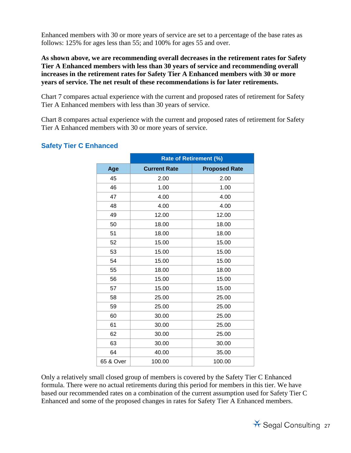Enhanced members with 30 or more years of service are set to a percentage of the base rates as follows: 125% for ages less than 55; and 100% for ages 55 and over.

**As shown above, we are recommending overall decreases in the retirement rates for Safety Tier A Enhanced members with less than 30 years of service and recommending overall increases in the retirement rates for Safety Tier A Enhanced members with 30 or more years of service. The net result of these recommendations is for later retirements.**

Chart 7 compares actual experience with the current and proposed rates of retirement for Safety Tier A Enhanced members with less than 30 years of service.

Chart 8 compares actual experience with the current and proposed rates of retirement for Safety Tier A Enhanced members with 30 or more years of service.

|           | <b>Rate of Retirement (%)</b> |                      |  |  |
|-----------|-------------------------------|----------------------|--|--|
| Age       | <b>Current Rate</b>           | <b>Proposed Rate</b> |  |  |
| 45        | 2.00                          | 2.00                 |  |  |
| 46        | 1.00                          | 1.00                 |  |  |
| 47        | 4.00                          | 4.00                 |  |  |
| 48        | 4.00                          | 4.00                 |  |  |
| 49        | 12.00                         | 12.00                |  |  |
| 50        | 18.00                         | 18.00                |  |  |
| 51        | 18.00                         | 18.00                |  |  |
| 52        | 15.00                         | 15.00                |  |  |
| 53        | 15.00                         | 15.00                |  |  |
| 54        | 15.00                         | 15.00                |  |  |
| 55        | 18.00                         | 18.00                |  |  |
| 56        | 15.00                         | 15.00                |  |  |
| 57        | 15.00                         | 15.00                |  |  |
| 58        | 25.00                         | 25.00                |  |  |
| 59        | 25.00                         | 25.00                |  |  |
| 60        | 30.00                         | 25.00                |  |  |
| 61        | 30.00                         | 25.00                |  |  |
| 62        | 30.00                         | 25.00                |  |  |
| 63        | 30.00                         | 30.00                |  |  |
| 64        | 40.00                         | 35.00                |  |  |
| 65 & Over | 100.00                        | 100.00               |  |  |

#### **Safety Tier C Enhanced**

Only a relatively small closed group of members is covered by the Safety Tier C Enhanced formula. There were no actual retirements during this period for members in this tier. We have based our recommended rates on a combination of the current assumption used for Safety Tier C Enhanced and some of the proposed changes in rates for Safety Tier A Enhanced members.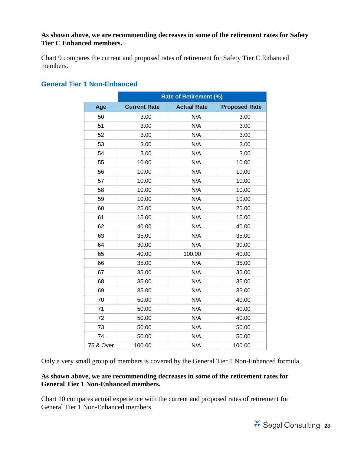#### **As shown above, we are recommending decreases in some of the retirement rates for Safety Tier C Enhanced members.**

Chart 9 compares the current and proposed rates of retirement for Safety Tier C Enhanced members.

|           |                     | <b>Rate of Retirement (%)</b> |                      |
|-----------|---------------------|-------------------------------|----------------------|
| Age       | <b>Current Rate</b> | <b>Actual Rate</b>            | <b>Proposed Rate</b> |
| 50        | 3.00                | N/A                           | 3.00                 |
| 51        | 3.00                | N/A                           | 3.00                 |
| 52        | 3.00                | N/A                           | 3.00                 |
| 53        | 3.00                | N/A                           | 3.00                 |
| 54        | 3.00                | N/A                           | 3.00                 |
| 55        | 10.00               | N/A                           | 10.00                |
| 56        | 10.00               | N/A                           | 10.00                |
| 57        | 10.00               | N/A                           | 10.00                |
| 58        | 10.00               | N/A                           | 10.00                |
| 59        | 10.00               | N/A                           | 10.00                |
| 60        | 25.00               | N/A                           | 25.00                |
| 61        | 15.00               | N/A                           | 15.00                |
| 62        | 40.00               | N/A                           | 40.00                |
| 63        | 35.00               | N/A                           | 35.00                |
| 64        | 30.00               | N/A                           | 30.00                |
| 65        | 40.00               | 100.00                        | 40.00                |
| 66        | 35.00               | N/A                           | 35.00                |
| 67        | 35.00               | N/A                           | 35.00                |
| 68        | 35.00               | N/A                           | 35.00                |
| 69        | 35.00               | N/A                           | 35.00                |
| 70        | 50.00               | N/A                           | 40.00                |
| 71        | 50.00               | N/A                           | 40.00                |
| 72        | 50.00               | N/A                           | 40.00                |
| 73        | 50.00               | N/A                           | 50.00                |
| 74        | 50.00               | N/A                           | 50.00                |
| 75 & Over | 100.00              | N/A                           | 100.00               |

#### **General Tier 1 Non-Enhanced**

Only a very small group of members is covered by the General Tier 1 Non-Enhanced formula.

#### **As shown above, we are recommending decreases in some of the retirement rates for General Tier 1 Non-Enhanced members.**

Chart 10 compares actual experience with the current and proposed rates of retirement for General Tier 1 Non-Enhanced members.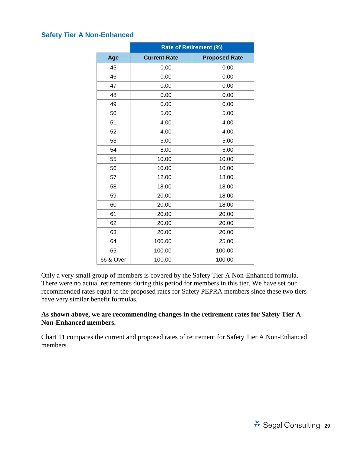#### **Safety Tier A Non-Enhanced**

|           | <b>Rate of Retirement (%)</b> |                      |  |  |
|-----------|-------------------------------|----------------------|--|--|
| Age       | <b>Current Rate</b>           | <b>Proposed Rate</b> |  |  |
| 45        | 0.00                          | 0.00                 |  |  |
| 46        | 0.00                          | 0.00                 |  |  |
| 47        | 0.00                          | 0.00                 |  |  |
| 48        | 0.00                          | 0.00                 |  |  |
| 49        | 0.00                          | 0.00                 |  |  |
| 50        | 5.00                          | 5.00                 |  |  |
| 51        | 4.00                          | 4.00                 |  |  |
| 52        | 4.00                          | 4.00                 |  |  |
| 53        | 5.00                          | 5.00                 |  |  |
| 54        | 8.00                          | 6.00                 |  |  |
| 55        | 10.00                         | 10.00                |  |  |
| 56        | 10.00                         | 10.00                |  |  |
| 57        | 12.00                         | 18.00                |  |  |
| 58        | 18.00                         | 18.00                |  |  |
| 59        | 20.00                         | 18.00                |  |  |
| 60        | 20.00                         | 18.00                |  |  |
| 61        | 20.00                         | 20.00                |  |  |
| 62        | 20.00                         | 20.00                |  |  |
| 63        | 20.00                         | 20.00                |  |  |
| 64        | 100.00                        | 25.00                |  |  |
| 65        | 100.00                        | 100.00               |  |  |
| 66 & Over | 100.00                        | 100.00               |  |  |

Only a very small group of members is covered by the Safety Tier A Non-Enhanced formula. There were no actual retirements during this period for members in this tier. We have set our recommended rates equal to the proposed rates for Safety PEPRA members since these two tiers have very similar benefit formulas.

#### **As shown above, we are recommending changes in the retirement rates for Safety Tier A Non-Enhanced members.**

Chart 11 compares the current and proposed rates of retirement for Safety Tier A Non-Enhanced members.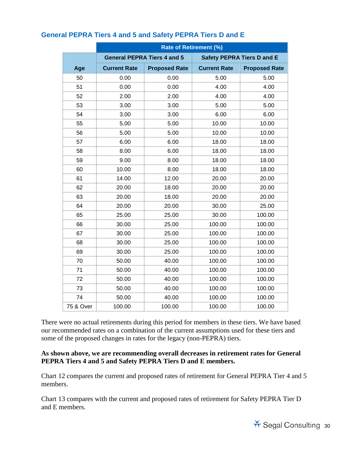|           | <b>Rate of Retirement (%)</b> |                                    |                     |                                   |  |  |
|-----------|-------------------------------|------------------------------------|---------------------|-----------------------------------|--|--|
|           |                               | <b>General PEPRA Tiers 4 and 5</b> |                     | <b>Safety PEPRA Tiers D and E</b> |  |  |
| Age       | <b>Current Rate</b>           | <b>Proposed Rate</b>               | <b>Current Rate</b> | <b>Proposed Rate</b>              |  |  |
| 50        | 0.00                          | 0.00                               | 5.00                | 5.00                              |  |  |
| 51        | 0.00                          | 0.00                               | 4.00                | 4.00                              |  |  |
| 52        | 2.00                          | 2.00                               | 4.00                | 4.00                              |  |  |
| 53        | 3.00                          | 3.00                               | 5.00                | 5.00                              |  |  |
| 54        | 3.00                          | 3.00                               | 6.00                | 6.00                              |  |  |
| 55        | 5.00                          | 5.00                               | 10.00               | 10.00                             |  |  |
| 56        | 5.00                          | 5.00                               | 10.00               | 10.00                             |  |  |
| 57        | 6.00                          | 6.00                               | 18.00               | 18.00                             |  |  |
| 58        | 8.00                          | 6.00                               | 18.00               | 18.00                             |  |  |
| 59        | 9.00                          | 8.00                               | 18.00               | 18.00                             |  |  |
| 60        | 10.00                         | 8.00                               | 18.00               | 18.00                             |  |  |
| 61        | 14.00                         | 12.00                              | 20.00               | 20.00                             |  |  |
| 62        | 20.00                         | 18.00                              | 20.00               | 20.00                             |  |  |
| 63        | 20.00                         | 18.00                              | 20.00               | 20.00                             |  |  |
| 64        | 20.00                         | 20.00                              | 30.00               | 25.00                             |  |  |
| 65        | 25.00                         | 25.00                              | 30.00               | 100.00                            |  |  |
| 66        | 30.00                         | 25.00                              | 100.00              | 100.00                            |  |  |
| 67        | 30.00                         | 25.00                              | 100.00              | 100.00                            |  |  |
| 68        | 30.00                         | 25.00                              | 100.00              | 100.00                            |  |  |
| 69        | 30.00                         | 25.00                              | 100.00              | 100.00                            |  |  |
| 70        | 50.00                         | 40.00                              | 100.00              | 100.00                            |  |  |
| 71        | 50.00                         | 40.00                              | 100.00              | 100.00                            |  |  |
| 72        | 50.00                         | 40.00                              | 100.00              | 100.00                            |  |  |
| 73        | 50.00                         | 40.00                              | 100.00              | 100.00                            |  |  |
| 74        | 50.00                         | 40.00                              | 100.00              | 100.00                            |  |  |
| 75 & Over | 100.00                        | 100.00                             | 100.00              | 100.00                            |  |  |

#### **General PEPRA Tiers 4 and 5 and Safety PEPRA Tiers D and E**

There were no actual retirements during this period for members in these tiers. We have based our recommended rates on a combination of the current assumptions used for these tiers and some of the proposed changes in rates for the legacy (non-PEPRA) tiers.

#### **As shown above, we are recommending overall decreases in retirement rates for General PEPRA Tiers 4 and 5 and Safety PEPRA Tiers D and E members.**

Chart 12 compares the current and proposed rates of retirement for General PEPRA Tier 4 and 5 members.

Chart 13 compares with the current and proposed rates of retirement for Safety PEPRA Tier D and E members.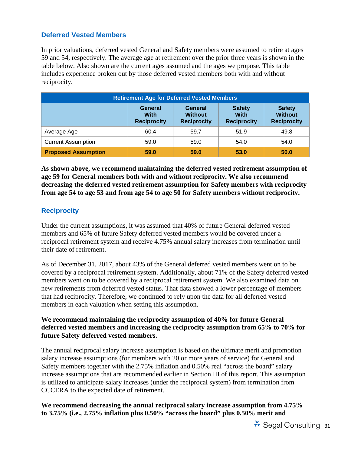#### **Deferred Vested Members**

In prior valuations, deferred vested General and Safety members were assumed to retire at ages 59 and 54, respectively. The average age at retirement over the prior three years is shown in the table below. Also shown are the current ages assumed and the ages we propose. This table includes experience broken out by those deferred vested members both with and without reciprocity.

| <b>Retirement Age for Deferred Vested Members</b>         |                                                                                                                                                                                                                       |      |      |      |  |  |  |  |
|-----------------------------------------------------------|-----------------------------------------------------------------------------------------------------------------------------------------------------------------------------------------------------------------------|------|------|------|--|--|--|--|
|                                                           | <b>Safety</b><br><b>General</b><br><b>Safety</b><br>General<br><b>Without</b><br><b>With</b><br><b>With</b><br><b>Without</b><br><b>Reciprocity</b><br><b>Reciprocity</b><br><b>Reciprocity</b><br><b>Reciprocity</b> |      |      |      |  |  |  |  |
| Average Age                                               | 60.4                                                                                                                                                                                                                  | 59.7 | 51.9 | 49.8 |  |  |  |  |
| <b>Current Assumption</b><br>59.0<br>54.0<br>59.0<br>54.0 |                                                                                                                                                                                                                       |      |      |      |  |  |  |  |
| <b>Proposed Assumption</b>                                | 59.0                                                                                                                                                                                                                  | 59.0 | 53.0 | 50.0 |  |  |  |  |

**As shown above, we recommend maintaining the deferred vested retirement assumption of age 59 for General members both with and without reciprocity. We also recommend decreasing the deferred vested retirement assumption for Safety members with reciprocity from age 54 to age 53 and from age 54 to age 50 for Safety members without reciprocity.** 

#### **Reciprocity**

Under the current assumptions, it was assumed that 40% of future General deferred vested members and 65% of future Safety deferred vested members would be covered under a reciprocal retirement system and receive 4.75% annual salary increases from termination until their date of retirement.

As of December 31, 2017, about 43% of the General deferred vested members went on to be covered by a reciprocal retirement system. Additionally, about 71% of the Safety deferred vested members went on to be covered by a reciprocal retirement system. We also examined data on new retirements from deferred vested status. That data showed a lower percentage of members that had reciprocity. Therefore, we continued to rely upon the data for all deferred vested members in each valuation when setting this assumption.

#### **We recommend maintaining the reciprocity assumption of 40% for future General deferred vested members and increasing the reciprocity assumption from 65% to 70% for future Safety deferred vested members.**

The annual reciprocal salary increase assumption is based on the ultimate merit and promotion salary increase assumptions (for members with 20 or more years of service) for General and Safety members together with the 2.75% inflation and 0.50% real "across the board" salary increase assumptions that are recommended earlier in Section III of this report. This assumption is utilized to anticipate salary increases (under the reciprocal system) from termination from CCCERA to the expected date of retirement.

**We recommend decreasing the annual reciprocal salary increase assumption from 4.75% to 3.75% (i.e., 2.75% inflation plus 0.50% "across the board" plus 0.50% merit and**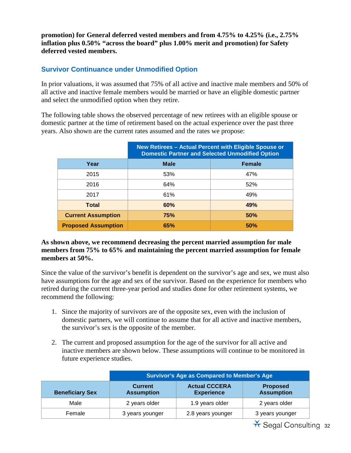**promotion) for General deferred vested members and from 4.75% to 4.25% (i.e., 2.75% inflation plus 0.50% "across the board" plus 1.00% merit and promotion) for Safety deferred vested members.** 

#### **Survivor Continuance under Unmodified Option**

In prior valuations, it was assumed that 75% of all active and inactive male members and 50% of all active and inactive female members would be married or have an eligible domestic partner and select the unmodified option when they retire.

The following table shows the observed percentage of new retirees with an eligible spouse or domestic partner at the time of retirement based on the actual experience over the past three years. Also shown are the current rates assumed and the rates we propose:

|                            | <b>New Retirees - Actual Percent with Eligible Spouse or</b><br><b>Domestic Partner and Selected Unmodified Option</b> |               |
|----------------------------|------------------------------------------------------------------------------------------------------------------------|---------------|
| Year                       | <b>Male</b>                                                                                                            | <b>Female</b> |
| 2015                       | 53%                                                                                                                    | 47%           |
| 2016                       | 64%                                                                                                                    | 52%           |
| 2017                       | 61%                                                                                                                    | 49%           |
| <b>Total</b>               | 60%                                                                                                                    | 49%           |
| <b>Current Assumption</b>  | 75%                                                                                                                    | 50%           |
| <b>Proposed Assumption</b> | 65%                                                                                                                    | 50%           |

#### **As shown above, we recommend decreasing the percent married assumption for male members from 75% to 65% and maintaining the percent married assumption for female members at 50%.**

Since the value of the survivor's benefit is dependent on the survivor's age and sex, we must also have assumptions for the age and sex of the survivor. Based on the experience for members who retired during the current three-year period and studies done for other retirement systems, we recommend the following:

- 1. Since the majority of survivors are of the opposite sex, even with the inclusion of domestic partners, we will continue to assume that for all active and inactive members, the survivor's sex is the opposite of the member.
- 2. The current and proposed assumption for the age of the survivor for all active and inactive members are shown below. These assumptions will continue to be monitored in future experience studies.

|                        | <b>Survivor's Age as Compared to Member's Age</b> |                                           |                                      |
|------------------------|---------------------------------------------------|-------------------------------------------|--------------------------------------|
| <b>Beneficiary Sex</b> | <b>Current</b><br><b>Assumption</b>               | <b>Actual CCCERA</b><br><b>Experience</b> | <b>Proposed</b><br><b>Assumption</b> |
| Male                   | 2 years older                                     | 1.9 years older                           | 2 years older                        |
| Female                 | 3 years younger                                   | 2.8 years younger                         | 3 years younger                      |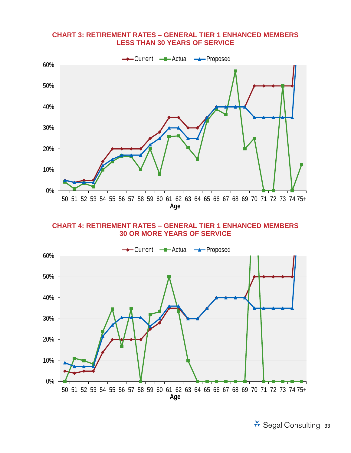#### **CHART 3: RETIREMENT RATES – GENERAL TIER 1 ENHANCED MEMBERS LESS THAN 30 YEARS OF SERVICE**



**CHART 4: RETIREMENT RATES – GENERAL TIER 1 ENHANCED MEMBERS 30 OR MORE YEARS OF SERVICE**



\* Segal Consulting 33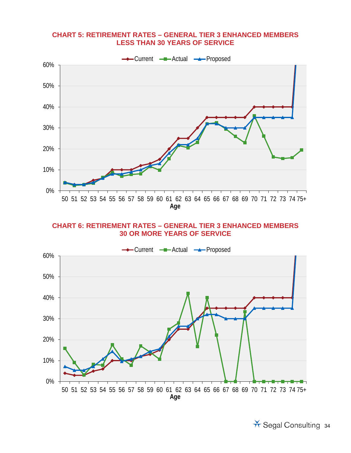#### **CHART 5: RETIREMENT RATES – GENERAL TIER 3 ENHANCED MEMBERS LESS THAN 30 YEARS OF SERVICE**



#### **CHART 6: RETIREMENT RATES – GENERAL TIER 3 ENHANCED MEMBERS 30 OR MORE YEARS OF SERVICE**

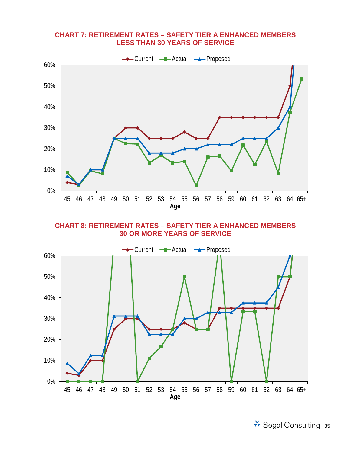#### **CHART 7: RETIREMENT RATES – SAFETY TIER A ENHANCED MEMBERS LESS THAN 30 YEARS OF SERVICE**



**CHART 8: RETIREMENT RATES – SAFETY TIER A ENHANCED MEMBERS 30 OR MORE YEARS OF SERVICE**

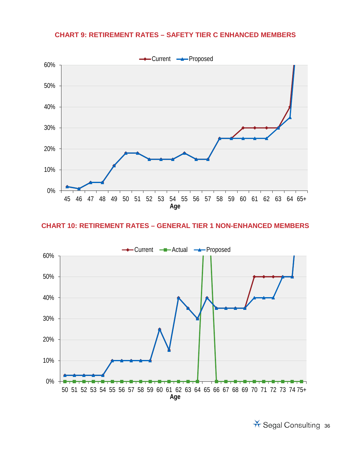#### **CHART 9: RETIREMENT RATES – SAFETY TIER C ENHANCED MEMBERS**



#### **CHART 10: RETIREMENT RATES – GENERAL TIER 1 NON-ENHANCED MEMBERS**

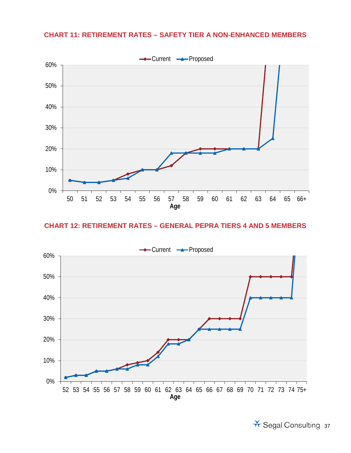#### **CHART 11: RETIREMENT RATES – SAFETY TIER A NON-ENHANCED MEMBERS**



#### **CHART 12: RETIREMENT RATES – GENERAL PEPRA TIERS 4 AND 5 MEMBERS**

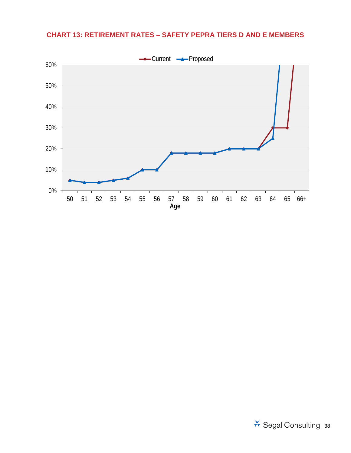## **CHART 13: RETIREMENT RATES – SAFETY PEPRA TIERS D AND E MEMBERS**

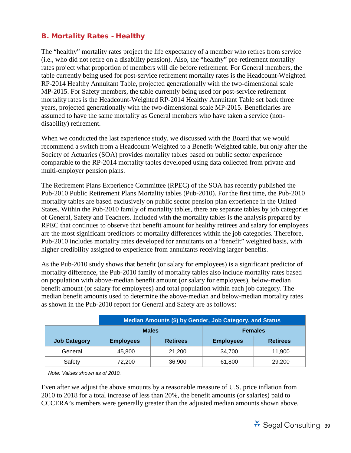## B. Mortality Rates - Healthy

The "healthy" mortality rates project the life expectancy of a member who retires from service (i.e., who did not retire on a disability pension). Also, the "healthy" pre-retirement mortality rates project what proportion of members will die before retirement. For General members, the table currently being used for post-service retirement mortality rates is the Headcount-Weighted RP-2014 Healthy Annuitant Table, projected generationally with the two-dimensional scale MP-2015. For Safety members, the table currently being used for post-service retirement mortality rates is the Headcount-Weighted RP-2014 Healthy Annuitant Table set back three years, projected generationally with the two-dimensional scale MP-2015. Beneficiaries are assumed to have the same mortality as General members who have taken a service (nondisability) retirement.

When we conducted the last experience study, we discussed with the Board that we would recommend a switch from a Headcount-Weighted to a Benefit-Weighted table, but only after the Society of Actuaries (SOA) provides mortality tables based on public sector experience comparable to the RP-2014 mortality tables developed using data collected from private and multi-employer pension plans.

The Retirement Plans Experience Committee (RPEC) of the SOA has recently published the Pub-2010 Public Retirement Plans Mortality tables (Pub-2010). For the first time, the Pub-2010 mortality tables are based exclusively on public sector pension plan experience in the United States. Within the Pub-2010 family of mortality tables, there are separate tables by job categories of General, Safety and Teachers. Included with the mortality tables is the analysis prepared by RPEC that continues to observe that benefit amount for healthy retirees and salary for employees are the most significant predictors of mortality differences within the job categories. Therefore, Pub-2010 includes mortality rates developed for annuitants on a "benefit" weighted basis, with higher credibility assigned to experience from annuitants receiving larger benefits.

As the Pub-2010 study shows that benefit (or salary for employees) is a significant predictor of mortality difference, the Pub-2010 family of mortality tables also include mortality rates based on population with above-median benefit amount (or salary for employees), below-median benefit amount (or salary for employees) and total population within each job category. The median benefit amounts used to determine the above-median and below-median mortality rates as shown in the Pub-2010 report for General and Safety are as follows:

|                     | Median Amounts (\$) by Gender, Job Category, and Status |                 |                  |                 |  |  |
|---------------------|---------------------------------------------------------|-----------------|------------------|-----------------|--|--|
|                     |                                                         | <b>Males</b>    |                  | <b>Females</b>  |  |  |
| <b>Job Category</b> | <b>Employees</b>                                        | <b>Retirees</b> | <b>Employees</b> | <b>Retirees</b> |  |  |
| General             | 45,800                                                  | 21,200          | 34.700           | 11.900          |  |  |
| Safety              | 72,200                                                  | 36,900          | 61,800           | 29,200          |  |  |

*Note: Values shown as of 2010.*

Even after we adjust the above amounts by a reasonable measure of U.S. price inflation from 2010 to 2018 for a total increase of less than 20%, the benefit amounts (or salaries) paid to CCCERA's members were generally greater than the adjusted median amounts shown above.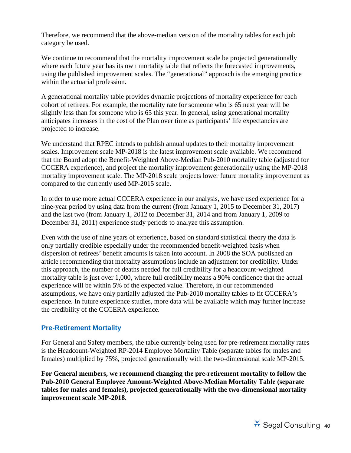Therefore, we recommend that the above-median version of the mortality tables for each job category be used.

We continue to recommend that the mortality improvement scale be projected generationally where each future year has its own mortality table that reflects the forecasted improvements, using the published improvement scales. The "generational" approach is the emerging practice within the actuarial profession.

A generational mortality table provides dynamic projections of mortality experience for each cohort of retirees. For example, the mortality rate for someone who is 65 next year will be slightly less than for someone who is 65 this year. In general, using generational mortality anticipates increases in the cost of the Plan over time as participants' life expectancies are projected to increase.

We understand that RPEC intends to publish annual updates to their mortality improvement scales. Improvement scale MP-2018 is the latest improvement scale available. We recommend that the Board adopt the Benefit-Weighted Above-Median Pub-2010 mortality table (adjusted for CCCERA experience), and project the mortality improvement generationally using the MP-2018 mortality improvement scale. The MP-2018 scale projects lower future mortality improvement as compared to the currently used MP-2015 scale.

In order to use more actual CCCERA experience in our analysis, we have used experience for a nine-year period by using data from the current (from January 1, 2015 to December 31, 2017) and the last two (from January 1, 2012 to December 31, 2014 and from January 1, 2009 to December 31, 2011) experience study periods to analyze this assumption.

Even with the use of nine years of experience, based on standard statistical theory the data is only partially credible especially under the recommended benefit-weighted basis when dispersion of retirees' benefit amounts is taken into account. In 2008 the SOA published an article recommending that mortality assumptions include an adjustment for credibility. Under this approach, the number of deaths needed for full credibility for a headcount-weighted mortality table is just over 1,000, where full credibility means a 90% confidence that the actual experience will be within 5% of the expected value. Therefore, in our recommended assumptions, we have only partially adjusted the Pub-2010 mortality tables to fit CCCERA's experience. In future experience studies, more data will be available which may further increase the credibility of the CCCERA experience.

#### **Pre-Retirement Mortality**

For General and Safety members, the table currently being used for pre-retirement mortality rates is the Headcount-Weighted RP-2014 Employee Mortality Table (separate tables for males and females) multiplied by 75%, projected generationally with the two-dimensional scale MP-2015.

**For General members, we recommend changing the pre-retirement mortality to follow the Pub-2010 General Employee Amount-Weighted Above-Median Mortality Table (separate tables for males and females), projected generationally with the two-dimensional mortality improvement scale MP-2018.**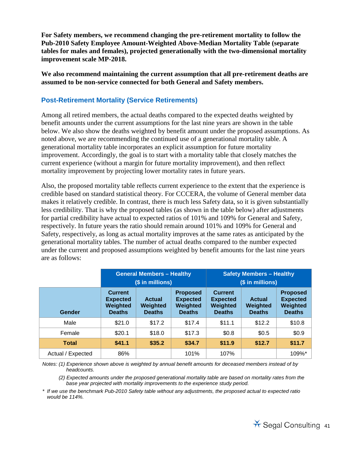**For Safety members, we recommend changing the pre-retirement mortality to follow the Pub-2010 Safety Employee Amount-Weighted Above-Median Mortality Table (separate tables for males and females), projected generationally with the two-dimensional mortality improvement scale MP-2018.** 

**We also recommend maintaining the current assumption that all pre-retirement deaths are assumed to be non-service connected for both General and Safety members.**

#### **Post-Retirement Mortality (Service Retirements)**

Among all retired members, the actual deaths compared to the expected deaths weighted by benefit amounts under the current assumptions for the last nine years are shown in the table below. We also show the deaths weighted by benefit amount under the proposed assumptions. As noted above, we are recommending the continued use of a generational mortality table. A generational mortality table incorporates an explicit assumption for future mortality improvement. Accordingly, the goal is to start with a mortality table that closely matches the current experience (without a margin for future mortality improvement), and then reflect mortality improvement by projecting lower mortality rates in future years.

Also, the proposed mortality table reflects current experience to the extent that the experience is credible based on standard statistical theory. For CCCERA, the volume of General member data makes it relatively credible. In contrast, there is much less Safety data, so it is given substantially less credibility. That is why the proposed tables (as shown in the table below) after adjustments for partial credibility have actual to expected ratios of 101% and 109% for General and Safety, respectively. In future years the ratio should remain around 101% and 109% for General and Safety, respectively, as long as actual mortality improves at the same rates as anticipated by the generational mortality tables. The number of actual deaths compared to the number expected under the current and proposed assumptions weighted by benefit amounts for the last nine years are as follows:

|                   | <b>General Members - Healthy</b><br>(\$ in millions)           |                                            |                                                                 |                                                                | <b>Safety Members - Healthy</b><br>(\$ in millions) |                                                                 |
|-------------------|----------------------------------------------------------------|--------------------------------------------|-----------------------------------------------------------------|----------------------------------------------------------------|-----------------------------------------------------|-----------------------------------------------------------------|
| Gender            | <b>Current</b><br><b>Expected</b><br>Weighted<br><b>Deaths</b> | <b>Actual</b><br>Weighted<br><b>Deaths</b> | <b>Proposed</b><br><b>Expected</b><br>Weighted<br><b>Deaths</b> | <b>Current</b><br><b>Expected</b><br>Weighted<br><b>Deaths</b> | <b>Actual</b><br>Weighted<br><b>Deaths</b>          | <b>Proposed</b><br><b>Expected</b><br>Weighted<br><b>Deaths</b> |
| Male              | \$21.0                                                         | \$17.2                                     | \$17.4                                                          | \$11.1                                                         | \$12.2                                              | \$10.8                                                          |
| Female            | \$20.1                                                         | \$18.0                                     | \$17.3                                                          | \$0.8                                                          | \$0.5                                               | \$0.9                                                           |
| <b>Total</b>      | \$41.1                                                         | \$35.2                                     | \$34.7                                                          | \$11.9                                                         | \$12.7                                              | \$11.7                                                          |
| Actual / Expected | 86%                                                            |                                            | 101%                                                            | 107%                                                           |                                                     | 109%*                                                           |

*Notes: (1) Experience shown above is weighted by annual benefit amounts for deceased members instead of by headcounts.*

*Notes: (2) Expected amounts under the proposed generational mortality table are based on mortality rates from the base year projected with mortality improvements to the experience study period.*

*\* If we use the benchmark Pub-2010 Safety table without any adjustments, the proposed actual to expected ratio would be 114%.*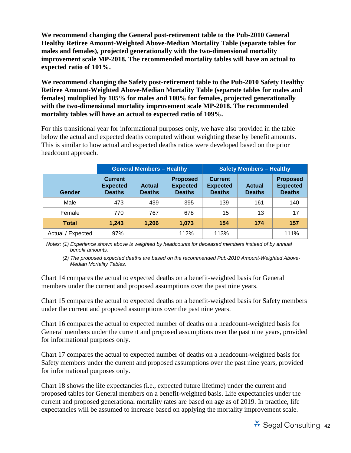**We recommend changing the General post-retirement table to the Pub-2010 General Healthy Retiree Amount-Weighted Above-Median Mortality Table (separate tables for males and females), projected generationally with the two-dimensional mortality improvement scale MP-2018. The recommended mortality tables will have an actual to expected ratio of 101%.**

**We recommend changing the Safety post-retirement table to the Pub-2010 Safety Healthy Retiree Amount-Weighted Above-Median Mortality Table (separate tables for males and females) multiplied by 105% for males and 100% for females, projected generationally with the two-dimensional mortality improvement scale MP-2018. The recommended mortality tables will have an actual to expected ratio of 109%.**

For this transitional year for informational purposes only, we have also provided in the table below the actual and expected deaths computed without weighting these by benefit amounts. This is similar to how actual and expected deaths ratios were developed based on the prior headcount approach.

|                   |                                                    | <b>General Members - Healthy</b> |                                                     |                                                    | <b>Safety Members - Healthy</b> |                                                     |
|-------------------|----------------------------------------------------|----------------------------------|-----------------------------------------------------|----------------------------------------------------|---------------------------------|-----------------------------------------------------|
| Gender            | <b>Current</b><br><b>Expected</b><br><b>Deaths</b> | <b>Actual</b><br><b>Deaths</b>   | <b>Proposed</b><br><b>Expected</b><br><b>Deaths</b> | <b>Current</b><br><b>Expected</b><br><b>Deaths</b> | <b>Actual</b><br><b>Deaths</b>  | <b>Proposed</b><br><b>Expected</b><br><b>Deaths</b> |
| Male              | 473                                                | 439                              | 395                                                 | 139                                                | 161                             | 140                                                 |
| Female            | 770                                                | 767                              | 678                                                 | 15                                                 | 13                              | 17                                                  |
| <b>Total</b>      | 1.243                                              | 1.206                            | 1.073                                               | 154                                                | 174                             | 157                                                 |
| Actual / Expected | 97%                                                |                                  | 112%                                                | 113%                                               |                                 | 111%                                                |

*Notes: (1) Experience shown above is weighted by headcounts for deceased members instead of by annual benefit amounts.*

(2) The proposed expected deaths are based on the recommended Pub-2010 Amount-Weighted Above-*Median Mortality Tables.*

Chart 14 compares the actual to expected deaths on a benefit-weighted basis for General members under the current and proposed assumptions over the past nine years.

Chart 15 compares the actual to expected deaths on a benefit-weighted basis for Safety members under the current and proposed assumptions over the past nine years.

Chart 16 compares the actual to expected number of deaths on a headcount-weighted basis for General members under the current and proposed assumptions over the past nine years, provided for informational purposes only.

Chart 17 compares the actual to expected number of deaths on a headcount-weighted basis for Safety members under the current and proposed assumptions over the past nine years, provided for informational purposes only.

Chart 18 shows the life expectancies (i.e., expected future lifetime) under the current and proposed tables for General members on a benefit-weighted basis. Life expectancies under the current and proposed generational mortality rates are based on age as of 2019. In practice, life expectancies will be assumed to increase based on applying the mortality improvement scale.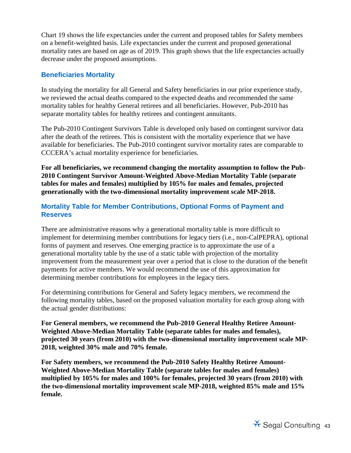Chart 19 shows the life expectancies under the current and proposed tables for Safety members on a benefit-weighted basis. Life expectancies under the current and proposed generational mortality rates are based on age as of 2019. This graph shows that the life expectancies actually decrease under the proposed assumptions.

#### **Beneficiaries Mortality**

In studying the mortality for all General and Safety beneficiaries in our prior experience study, we reviewed the actual deaths compared to the expected deaths and recommended the same mortality tables for healthy General retirees and all beneficiaries. However, Pub-2010 has separate mortality tables for healthy retirees and contingent annuitants.

The Pub-2010 Contingent Survivors Table is developed only based on contingent survivor data after the death of the retirees. This is consistent with the mortality experience that we have available for beneficiaries. The Pub-2010 contingent survivor mortality rates are comparable to CCCERA's actual mortality experience for beneficiaries.

**For all beneficiaries, we recommend changing the mortality assumption to follow the Pub-2010 Contingent Survivor Amount-Weighted Above-Median Mortality Table (separate tables for males and females) multiplied by 105% for males and females, projected generationally with the two-dimensional mortality improvement scale MP-2018.** 

#### **Mortality Table for Member Contributions, Optional Forms of Payment and Reserves**

There are administrative reasons why a generational mortality table is more difficult to implement for determining member contributions for legacy tiers (i.e., non-CalPEPRA), optional forms of payment and reserves. One emerging practice is to approximate the use of a generational mortality table by the use of a static table with projection of the mortality improvement from the measurement year over a period that is close to the duration of the benefit payments for active members. We would recommend the use of this approximation for determining member contributions for employees in the legacy tiers.

For determining contributions for General and Safety legacy members, we recommend the following mortality tables, based on the proposed valuation mortality for each group along with the actual gender distributions:

**For General members, we recommend the Pub-2010 General Healthy Retiree Amount-Weighted Above-Median Mortality Table (separate tables for males and females), projected 30 years (from 2010) with the two-dimensional mortality improvement scale MP-2018, weighted 30% male and 70% female.** 

**For Safety members, we recommend the Pub-2010 Safety Healthy Retiree Amount-Weighted Above-Median Mortality Table (separate tables for males and females) multiplied by 105% for males and 100% for females, projected 30 years (from 2010) with the two-dimensional mortality improvement scale MP-2018, weighted 85% male and 15% female.**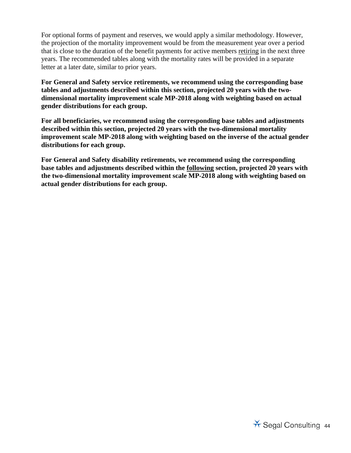For optional forms of payment and reserves, we would apply a similar methodology. However, the projection of the mortality improvement would be from the measurement year over a period that is close to the duration of the benefit payments for active members retiring in the next three years. The recommended tables along with the mortality rates will be provided in a separate letter at a later date, similar to prior years.

**For General and Safety service retirements, we recommend using the corresponding base tables and adjustments described within this section, projected 20 years with the twodimensional mortality improvement scale MP-2018 along with weighting based on actual gender distributions for each group.** 

**For all beneficiaries, we recommend using the corresponding base tables and adjustments described within this section, projected 20 years with the two-dimensional mortality improvement scale MP-2018 along with weighting based on the inverse of the actual gender distributions for each group.**

**For General and Safety disability retirements, we recommend using the corresponding base tables and adjustments described within the following section, projected 20 years with the two-dimensional mortality improvement scale MP-2018 along with weighting based on actual gender distributions for each group.**

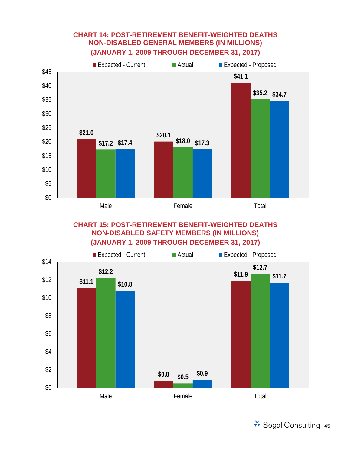## **CHART 14: POST-RETIREMENT BENEFIT-WEIGHTED DEATHS NON-DISABLED GENERAL MEMBERS (IN MILLIONS) (JANUARY 1, 2009 THROUGH DECEMBER 31, 2017)**



## **CHART 15: POST-RETIREMENT BENEFIT-WEIGHTED DEATHS NON-DISABLED SAFETY MEMBERS (IN MILLIONS) (JANUARY 1, 2009 THROUGH DECEMBER 31, 2017)**



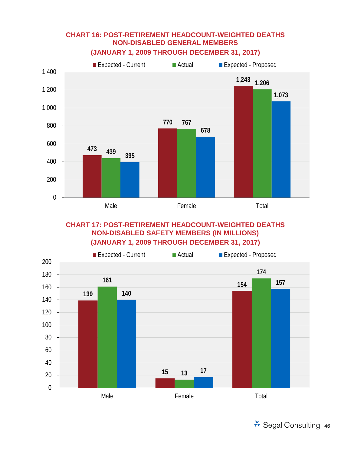

## **CHART 16: POST-RETIREMENT HEADCOUNT-WEIGHTED DEATHS NON-DISABLED GENERAL MEMBERS**

**CHART 17: POST-RETIREMENT HEADCOUNT-WEIGHTED DEATHS NON-DISABLED SAFETY MEMBERS (IN MILLIONS) (JANUARY 1, 2009 THROUGH DECEMBER 31, 2017)**



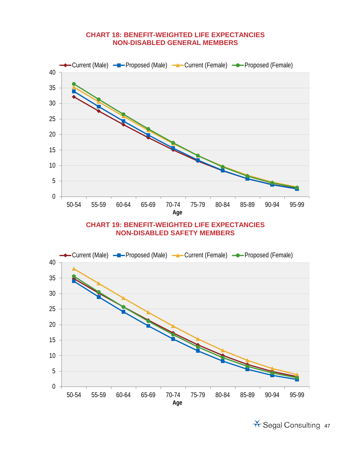#### **CHART 18: BENEFIT-WEIGHTED LIFE EXPECTANCIES NON-DISABLED GENERAL MEMBERS**

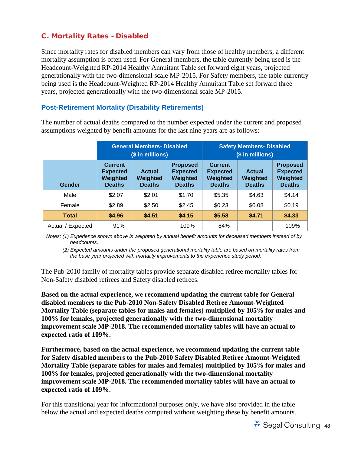## C. Mortality Rates - Disabled

Since mortality rates for disabled members can vary from those of healthy members, a different mortality assumption is often used. For General members, the table currently being used is the Headcount-Weighted RP-2014 Healthy Annuitant Table set forward eight years, projected generationally with the two-dimensional scale MP-2015. For Safety members, the table currently being used is the Headcount-Weighted RP-2014 Healthy Annuitant Table set forward three years, projected generationally with the two-dimensional scale MP-2015.

## **Post-Retirement Mortality (Disability Retirements)**

The number of actual deaths compared to the number expected under the current and proposed assumptions weighted by benefit amounts for the last nine years are as follows:

|                   |                                                                | <b>General Members- Disabled</b><br>(\$ in millions) |                                                                 |                                                                | <b>Safety Members- Disabled</b><br>(\$ in millions) |                                                                 |
|-------------------|----------------------------------------------------------------|------------------------------------------------------|-----------------------------------------------------------------|----------------------------------------------------------------|-----------------------------------------------------|-----------------------------------------------------------------|
| Gender            | <b>Current</b><br><b>Expected</b><br>Weighted<br><b>Deaths</b> | <b>Actual</b><br>Weighted<br><b>Deaths</b>           | <b>Proposed</b><br><b>Expected</b><br>Weighted<br><b>Deaths</b> | <b>Current</b><br><b>Expected</b><br>Weighted<br><b>Deaths</b> | <b>Actual</b><br>Weighted<br><b>Deaths</b>          | <b>Proposed</b><br><b>Expected</b><br>Weighted<br><b>Deaths</b> |
| Male              | \$2.07                                                         | \$2.01                                               | \$1.70                                                          | \$5.35                                                         | \$4.63                                              | \$4.14                                                          |
| Female            | \$2.89                                                         | \$2.50                                               | \$2.45                                                          | \$0.23                                                         | \$0.08                                              | \$0.19                                                          |
| <b>Total</b>      | \$4.96                                                         | \$4.51                                               | \$4.15                                                          | \$5.58                                                         | \$4.71                                              | \$4.33                                                          |
| Actual / Expected | 91%                                                            |                                                      | 109%                                                            | 84%                                                            |                                                     | 109%                                                            |

*Notes: (1) Experience shown above is weighted by annual benefit amounts for deceased members instead of by headcounts.*

*Notes: (2) Expected amounts under the proposed generational mortality table are based on mortality rates from the base year projected with mortality improvements to the experience study period.*

The Pub-2010 family of mortality tables provide separate disabled retiree mortality tables for Non-Safety disabled retirees and Safety disabled retirees.

**Based on the actual experience, we recommend updating the current table for General disabled members to the Pub-2010 Non-Safety Disabled Retiree Amount-Weighted Mortality Table (separate tables for males and females) multiplied by 105% for males and 100% for females, projected generationally with the two-dimensional mortality improvement scale MP-2018. The recommended mortality tables will have an actual to expected ratio of 109%.**

**Furthermore, based on the actual experience, we recommend updating the current table for Safety disabled members to the Pub-2010 Safety Disabled Retiree Amount-Weighted Mortality Table (separate tables for males and females) multiplied by 105% for males and 100% for females, projected generationally with the two-dimensional mortality improvement scale MP-2018. The recommended mortality tables will have an actual to expected ratio of 109%.**

For this transitional year for informational purposes only, we have also provided in the table below the actual and expected deaths computed without weighting these by benefit amounts.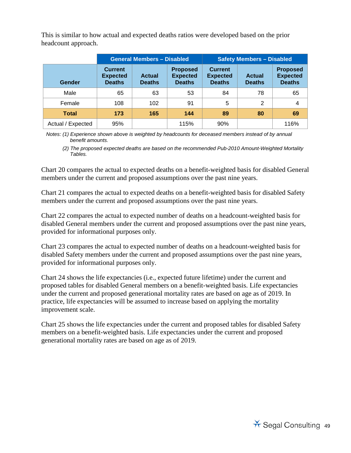This is similar to how actual and expected deaths ratios were developed based on the prior headcount approach.

|                   |                                                    | <b>General Members - Disabled</b> |                                                     |                                                    | <b>Safety Members - Disabled</b> |                                                     |
|-------------------|----------------------------------------------------|-----------------------------------|-----------------------------------------------------|----------------------------------------------------|----------------------------------|-----------------------------------------------------|
| Gender            | <b>Current</b><br><b>Expected</b><br><b>Deaths</b> | <b>Actual</b><br><b>Deaths</b>    | <b>Proposed</b><br><b>Expected</b><br><b>Deaths</b> | <b>Current</b><br><b>Expected</b><br><b>Deaths</b> | <b>Actual</b><br><b>Deaths</b>   | <b>Proposed</b><br><b>Expected</b><br><b>Deaths</b> |
| Male              | 65                                                 | 63                                | 53                                                  | 84                                                 | 78                               | 65                                                  |
| Female            | 108                                                | 102                               | 91                                                  | 5                                                  | $\overline{2}$                   | 4                                                   |
| <b>Total</b>      | 173                                                | 165                               | 144                                                 | 89                                                 | 80                               | 69                                                  |
| Actual / Expected | 95%                                                |                                   | 115%                                                | 90%                                                |                                  | 116%                                                |

*Notes: (1) Experience shown above is weighted by headcounts for deceased members instead of by annual benefit amounts.*

*Notes: (2) The proposed expected deaths are based on the recommended Pub-2010 Amount-Weighted Mortality Tables.*

Chart 20 compares the actual to expected deaths on a benefit-weighted basis for disabled General members under the current and proposed assumptions over the past nine years.

Chart 21 compares the actual to expected deaths on a benefit-weighted basis for disabled Safety members under the current and proposed assumptions over the past nine years.

Chart 22 compares the actual to expected number of deaths on a headcount-weighted basis for disabled General members under the current and proposed assumptions over the past nine years, provided for informational purposes only.

Chart 23 compares the actual to expected number of deaths on a headcount-weighted basis for disabled Safety members under the current and proposed assumptions over the past nine years, provided for informational purposes only.

Chart 24 shows the life expectancies (i.e., expected future lifetime) under the current and proposed tables for disabled General members on a benefit-weighted basis. Life expectancies under the current and proposed generational mortality rates are based on age as of 2019. In practice, life expectancies will be assumed to increase based on applying the mortality improvement scale.

Chart 25 shows the life expectancies under the current and proposed tables for disabled Safety members on a benefit-weighted basis. Life expectancies under the current and proposed generational mortality rates are based on age as of 2019.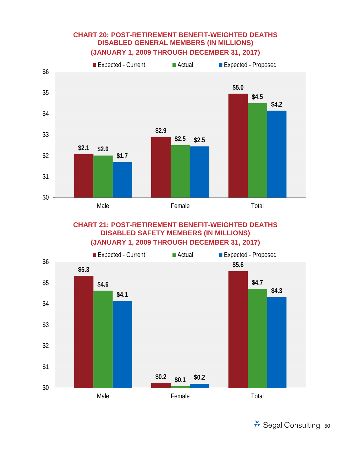## **CHART 20: POST-RETIREMENT BENEFIT-WEIGHTED DEATHS DISABLED GENERAL MEMBERS (IN MILLIONS) (JANUARY 1, 2009 THROUGH DECEMBER 31, 2017)**



## **CHART 21: POST-RETIREMENT BENEFIT-WEIGHTED DEATHS DISABLED SAFETY MEMBERS (IN MILLIONS) (JANUARY 1, 2009 THROUGH DECEMBER 31, 2017)**



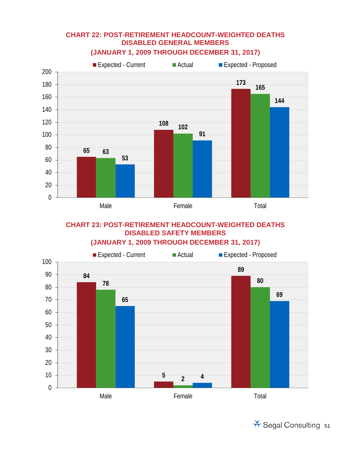## **CHART 22: POST-RETIREMENT HEADCOUNT-WEIGHTED DEATHS DISABLED GENERAL MEMBERS**



## **(JANUARY 1, 2009 THROUGH DECEMBER 31, 2017)**

## **CHART 23: POST-RETIREMENT HEADCOUNT-WEIGHTED DEATHS DISABLED SAFETY MEMBERS**

#### **(JANUARY 1, 2009 THROUGH DECEMBER 31, 2017)**



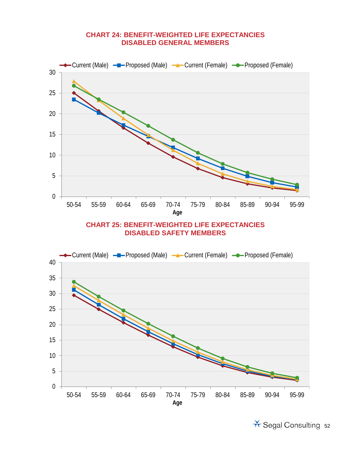#### **CHART 24: BENEFIT-WEIGHTED LIFE EXPECTANCIES DISABLED GENERAL MEMBERS**

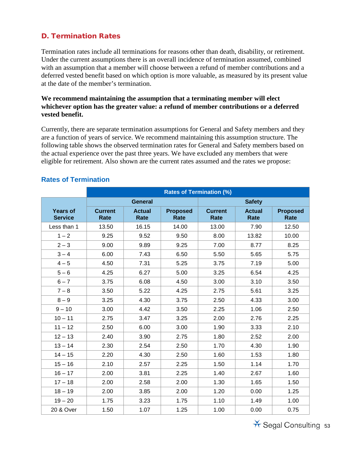## D. Termination Rates

Termination rates include all terminations for reasons other than death, disability, or retirement. Under the current assumptions there is an overall incidence of termination assumed, combined with an assumption that a member will choose between a refund of member contributions and a deferred vested benefit based on which option is more valuable, as measured by its present value at the date of the member's termination.

#### **We recommend maintaining the assumption that a terminating member will elect whichever option has the greater value: a refund of member contributions or a deferred vested benefit.**

Currently, there are separate termination assumptions for General and Safety members and they are a function of years of service. We recommend maintaining this assumption structure. The following table shows the observed termination rates for General and Safety members based on the actual experience over the past three years. We have excluded any members that were eligible for retirement. Also shown are the current rates assumed and the rates we propose:

|                                   | <b>Rates of Termination (%)</b> |                       |                         |                               |                       |                                |  |  |  |
|-----------------------------------|---------------------------------|-----------------------|-------------------------|-------------------------------|-----------------------|--------------------------------|--|--|--|
|                                   |                                 | <b>General</b>        |                         |                               | <b>Safety</b>         |                                |  |  |  |
| <b>Years of</b><br><b>Service</b> | <b>Current</b><br>Rate          | <b>Actual</b><br>Rate | <b>Proposed</b><br>Rate | <b>Current</b><br><b>Rate</b> | <b>Actual</b><br>Rate | <b>Proposed</b><br><b>Rate</b> |  |  |  |
| Less than 1                       | 13.50                           | 16.15                 | 14.00                   | 13.00                         | 7.90                  | 12.50                          |  |  |  |
| $1 - 2$                           | 9.25                            | 9.52                  | 9.50                    | 8.00                          | 13.82                 | 10.00                          |  |  |  |
| $2 - 3$                           | 9.00                            | 9.89                  | 9.25                    | 7.00                          | 8.77                  | 8.25                           |  |  |  |
| $3 - 4$                           | 6.00                            | 7.43                  | 6.50                    | 5.50                          | 5.65                  | 5.75                           |  |  |  |
| $4 - 5$                           | 4.50                            | 7.31                  | 5.25                    | 3.75                          | 7.19                  | 5.00                           |  |  |  |
| $5 - 6$                           | 4.25                            | 6.27                  | 5.00                    | 3.25                          | 6.54                  | 4.25                           |  |  |  |
| $6 - 7$                           | 3.75                            | 6.08                  | 4.50                    | 3.00                          | 3.10                  | 3.50                           |  |  |  |
| $7 - 8$                           | 3.50                            | 5.22                  | 4.25                    | 2.75                          | 5.61                  | 3.25                           |  |  |  |
| $8 - 9$                           | 3.25                            | 4.30                  | 3.75                    | 2.50                          | 4.33                  | 3.00                           |  |  |  |
| $9 - 10$                          | 3.00                            | 4.42                  | 3.50                    | 2.25                          | 1.06                  | 2.50                           |  |  |  |
| $10 - 11$                         | 2.75                            | 3.47                  | 3.25                    | 2.00                          | 2.76                  | 2.25                           |  |  |  |
| $11 - 12$                         | 2.50                            | 6.00                  | 3.00                    | 1.90                          | 3.33                  | 2.10                           |  |  |  |
| $12 - 13$                         | 2.40                            | 3.90                  | 2.75                    | 1.80                          | 2.52                  | 2.00                           |  |  |  |
| $13 - 14$                         | 2.30                            | 2.54                  | 2.50                    | 1.70                          | 4.30                  | 1.90                           |  |  |  |
| $14 - 15$                         | 2.20                            | 4.30                  | 2.50                    | 1.60                          | 1.53                  | 1.80                           |  |  |  |
| $15 - 16$                         | 2.10                            | 2.57                  | 2.25                    | 1.50                          | 1.14                  | 1.70                           |  |  |  |
| $16 - 17$                         | 2.00                            | 3.81                  | 2.25                    | 1.40                          | 2.67                  | 1.60                           |  |  |  |
| $17 - 18$                         | 2.00                            | 2.58                  | 2.00                    | 1.30                          | 1.65                  | 1.50                           |  |  |  |
| $18 - 19$                         | 2.00                            | 3.85                  | 2.00                    | 1.20                          | 0.00                  | 1.25                           |  |  |  |
| $19 - 20$                         | 1.75                            | 3.23                  | 1.75                    | 1.10                          | 1.49                  | 1.00                           |  |  |  |
| 20 & Over                         | 1.50                            | 1.07                  | 1.25                    | 1.00                          | 0.00                  | 0.75                           |  |  |  |

## **Rates of Termination**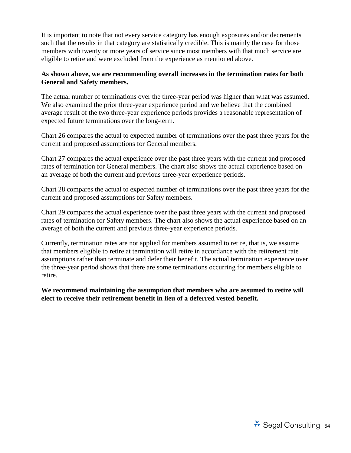It is important to note that not every service category has enough exposures and/or decrements such that the results in that category are statistically credible. This is mainly the case for those members with twenty or more years of service since most members with that much service are eligible to retire and were excluded from the experience as mentioned above.

#### **As shown above, we are recommending overall increases in the termination rates for both General and Safety members.**

The actual number of terminations over the three-year period was higher than what was assumed. We also examined the prior three-year experience period and we believe that the combined average result of the two three-year experience periods provides a reasonable representation of expected future terminations over the long-term.

Chart 26 compares the actual to expected number of terminations over the past three years for the current and proposed assumptions for General members.

Chart 27 compares the actual experience over the past three years with the current and proposed rates of termination for General members. The chart also shows the actual experience based on an average of both the current and previous three-year experience periods.

Chart 28 compares the actual to expected number of terminations over the past three years for the current and proposed assumptions for Safety members.

Chart 29 compares the actual experience over the past three years with the current and proposed rates of termination for Safety members. The chart also shows the actual experience based on an average of both the current and previous three-year experience periods.

Currently, termination rates are not applied for members assumed to retire, that is, we assume that members eligible to retire at termination will retire in accordance with the retirement rate assumptions rather than terminate and defer their benefit. The actual termination experience over the three-year period shows that there are some terminations occurring for members eligible to retire.

**We recommend maintaining the assumption that members who are assumed to retire will elect to receive their retirement benefit in lieu of a deferred vested benefit.**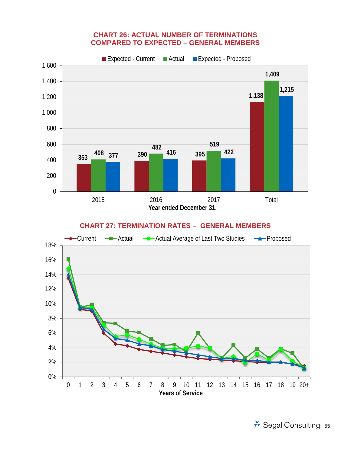#### **CHART 26: ACTUAL NUMBER OF TERMINATIONS COMPARED TO EXPECTED – GENERAL MEMBERS**



#### **CHART 27: TERMINATION RATES – GENERAL MEMBERS**

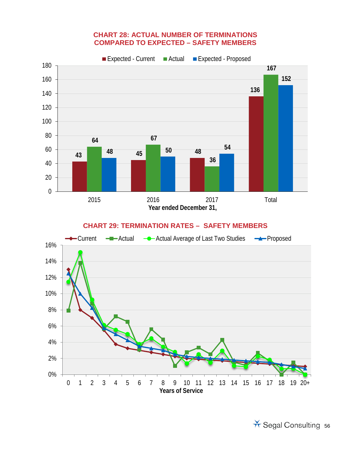#### **CHART 28: ACTUAL NUMBER OF TERMINATIONS COMPARED TO EXPECTED – SAFETY MEMBERS**



#### **CHART 29: TERMINATION RATES – SAFETY MEMBERS**

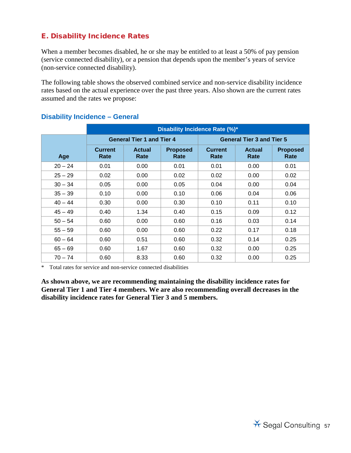## E. Disability Incidence Rates

When a member becomes disabled, he or she may be entitled to at least a 50% of pay pension (service connected disability), or a pension that depends upon the member's years of service (non-service connected disability).

The following table shows the observed combined service and non-service disability incidence rates based on the actual experience over the past three years. Also shown are the current rates assumed and the rates we propose:

|           | <b>Disability Incidence Rate (%)*</b> |                                  |                         |                                  |                       |                         |  |  |
|-----------|---------------------------------------|----------------------------------|-------------------------|----------------------------------|-----------------------|-------------------------|--|--|
|           |                                       | <b>General Tier 1 and Tier 4</b> |                         | <b>General Tier 3 and Tier 5</b> |                       |                         |  |  |
| Age       | <b>Current</b><br>Rate                | <b>Actual</b><br>Rate            | <b>Proposed</b><br>Rate | <b>Current</b><br>Rate           | <b>Actual</b><br>Rate | <b>Proposed</b><br>Rate |  |  |
| $20 - 24$ | 0.01                                  | 0.00                             | 0.01                    | 0.01                             | 0.00                  | 0.01                    |  |  |
| $25 - 29$ | 0.02                                  | 0.00                             | 0.02                    | 0.02                             | 0.00                  | 0.02                    |  |  |
| $30 - 34$ | 0.05                                  | 0.00                             | 0.05                    | 0.04                             | 0.00                  | 0.04                    |  |  |
| $35 - 39$ | 0.10                                  | 0.00                             | 0.10                    | 0.06                             | 0.04                  | 0.06                    |  |  |
| $40 - 44$ | 0.30                                  | 0.00                             | 0.30                    | 0.10                             | 0.11                  | 0.10                    |  |  |
| $45 - 49$ | 0.40                                  | 1.34                             | 0.40                    | 0.15                             | 0.09                  | 0.12                    |  |  |
| $50 - 54$ | 0.60                                  | 0.00                             | 0.60                    | 0.16                             | 0.03                  | 0.14                    |  |  |
| $55 - 59$ | 0.60                                  | 0.00                             | 0.60                    | 0.22                             | 0.17                  | 0.18                    |  |  |
| $60 - 64$ | 0.60                                  | 0.51                             | 0.60                    | 0.32                             | 0.14                  | 0.25                    |  |  |
| $65 - 69$ | 0.60                                  | 1.67                             | 0.60                    | 0.32                             | 0.00                  | 0.25                    |  |  |
| $70 - 74$ | 0.60                                  | 8.33                             | 0.60                    | 0.32                             | 0.00                  | 0.25                    |  |  |

#### **Disability Incidence – General**

\* Total rates for service and non-service connected disabilities

**As shown above, we are recommending maintaining the disability incidence rates for General Tier 1 and Tier 4 members. We are also recommending overall decreases in the disability incidence rates for General Tier 3 and 5 members.**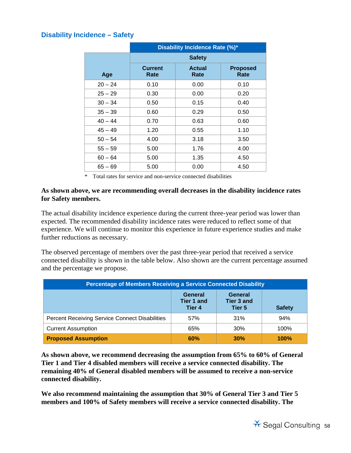## **Disability Incidence – Safety**

|           | Disability Incidence Rate (%)* |                       |                         |  |  |  |  |
|-----------|--------------------------------|-----------------------|-------------------------|--|--|--|--|
|           | <b>Safety</b>                  |                       |                         |  |  |  |  |
| Age       | <b>Current</b><br>Rate         | <b>Actual</b><br>Rate | <b>Proposed</b><br>Rate |  |  |  |  |
| $20 - 24$ | 0.10                           | 0.00                  | 0.10                    |  |  |  |  |
| $25 - 29$ | 0.30                           | 0.00                  | 0.20                    |  |  |  |  |
| $30 - 34$ | 0.50                           | 0.15                  | 0.40                    |  |  |  |  |
| $35 - 39$ | 0.60                           | 0.29                  | 0.50                    |  |  |  |  |
| $40 - 44$ | 0.70                           | 0.63                  | 0.60                    |  |  |  |  |
| $45 - 49$ | 1.20                           | 0.55                  | 1.10                    |  |  |  |  |
| $50 - 54$ | 4.00                           | 3.18                  | 3.50                    |  |  |  |  |
| $55 - 59$ | 5.00                           | 1.76                  | 4.00                    |  |  |  |  |
| $60 - 64$ | 5.00                           | 1.35                  | 4.50                    |  |  |  |  |
| $65 - 69$ | 5.00                           | 0.00                  | 4.50                    |  |  |  |  |

\* Total rates for service and non-service connected disabilities

#### **As shown above, we are recommending overall decreases in the disability incidence rates for Safety members.**

The actual disability incidence experience during the current three-year period was lower than expected. The recommended disability incidence rates were reduced to reflect some of that experience. We will continue to monitor this experience in future experience studies and make further reductions as necessary.

The observed percentage of members over the past three-year period that received a service connected disability is shown in the table below. Also shown are the current percentage assumed and the percentage we propose.

| <b>Percentage of Members Receiving a Service Connected Disability</b>                      |     |     |      |  |  |  |  |
|--------------------------------------------------------------------------------------------|-----|-----|------|--|--|--|--|
| General<br>General<br>Tier 3 and<br><b>Tier 1 and</b><br>Tier 4<br>Tier 5<br><b>Safety</b> |     |     |      |  |  |  |  |
| <b>Percent Receiving Service Connect Disabilities</b>                                      | 57% | 31% | 94%  |  |  |  |  |
| <b>Current Assumption</b>                                                                  | 65% | 30% | 100% |  |  |  |  |
| <b>Proposed Assumption</b><br>60%<br>30%<br>100%                                           |     |     |      |  |  |  |  |

**As shown above, we recommend decreasing the assumption from 65% to 60% of General Tier 1 and Tier 4 disabled members will receive a service connected disability. The remaining 40% of General disabled members will be assumed to receive a non-service connected disability.** 

**We also recommend maintaining the assumption that 30% of General Tier 3 and Tier 5 members and 100% of Safety members will receive a service connected disability. The**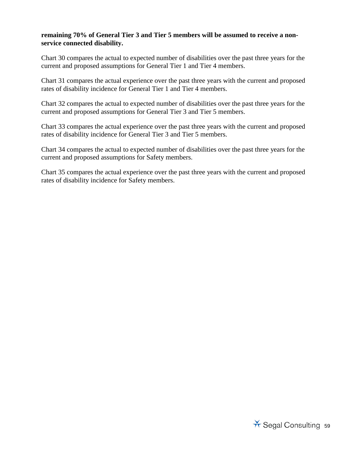#### **remaining 70% of General Tier 3 and Tier 5 members will be assumed to receive a nonservice connected disability.**

Chart 30 compares the actual to expected number of disabilities over the past three years for the current and proposed assumptions for General Tier 1 and Tier 4 members.

Chart 31 compares the actual experience over the past three years with the current and proposed rates of disability incidence for General Tier 1 and Tier 4 members.

Chart 32 compares the actual to expected number of disabilities over the past three years for the current and proposed assumptions for General Tier 3 and Tier 5 members.

Chart 33 compares the actual experience over the past three years with the current and proposed rates of disability incidence for General Tier 3 and Tier 5 members.

Chart 34 compares the actual to expected number of disabilities over the past three years for the current and proposed assumptions for Safety members.

Chart 35 compares the actual experience over the past three years with the current and proposed rates of disability incidence for Safety members.

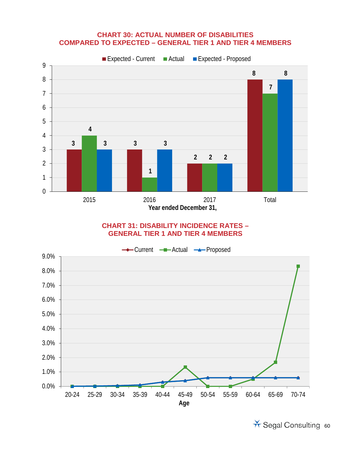#### **CHART 30: ACTUAL NUMBER OF DISABILITIES COMPARED TO EXPECTED – GENERAL TIER 1 AND TIER 4 MEMBERS**



#### **CHART 31: DISABILITY INCIDENCE RATES – GENERAL TIER 1 AND TIER 4 MEMBERS**

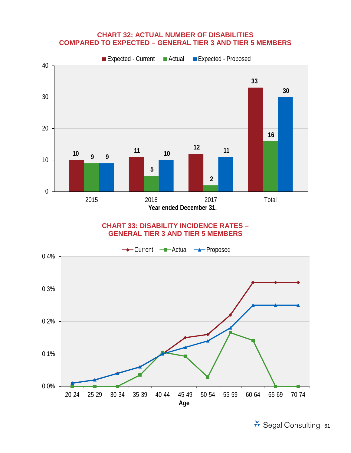#### **CHART 32: ACTUAL NUMBER OF DISABILITIES COMPARED TO EXPECTED – GENERAL TIER 3 AND TIER 5 MEMBERS**



#### **CHART 33: DISABILITY INCIDENCE RATES – GENERAL TIER 3 AND TIER 5 MEMBERS**

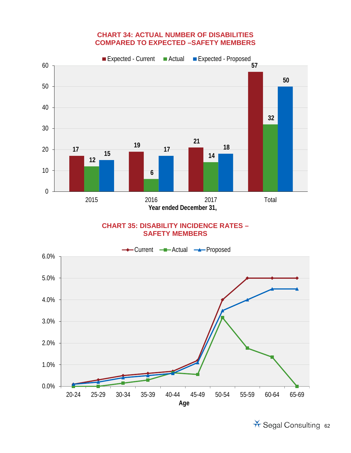#### **CHART 34: ACTUAL NUMBER OF DISABILITIES COMPARED TO EXPECTED –SAFETY MEMBERS**



#### **CHART 35: DISABILITY INCIDENCE RATES – SAFETY MEMBERS**

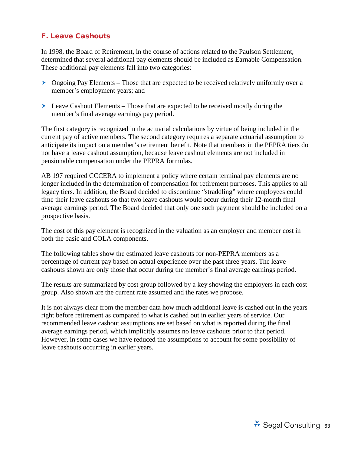## F. Leave Cashouts

In 1998, the Board of Retirement, in the course of actions related to the Paulson Settlement, determined that several additional pay elements should be included as Earnable Compensation. These additional pay elements fall into two categories:

- $\geq$  Ongoing Pay Elements Those that are expected to be received relatively uniformly over a member's employment years; and
- Leave Cashout Elements Those that are expected to be received mostly during the member's final average earnings pay period.

The first category is recognized in the actuarial calculations by virtue of being included in the current pay of active members. The second category requires a separate actuarial assumption to anticipate its impact on a member's retirement benefit. Note that members in the PEPRA tiers do not have a leave cashout assumption, because leave cashout elements are not included in pensionable compensation under the PEPRA formulas.

AB 197 required CCCERA to implement a policy where certain terminal pay elements are no longer included in the determination of compensation for retirement purposes. This applies to all legacy tiers. In addition, the Board decided to discontinue "straddling" where employees could time their leave cashouts so that two leave cashouts would occur during their 12-month final average earnings period. The Board decided that only one such payment should be included on a prospective basis.

The cost of this pay element is recognized in the valuation as an employer and member cost in both the basic and COLA components.

The following tables show the estimated leave cashouts for non-PEPRA members as a percentage of current pay based on actual experience over the past three years. The leave cashouts shown are only those that occur during the member's final average earnings period.

The results are summarized by cost group followed by a key showing the employers in each cost group. Also shown are the current rate assumed and the rates we propose.

It is not always clear from the member data how much additional leave is cashed out in the years right before retirement as compared to what is cashed out in earlier years of service. Our recommended leave cashout assumptions are set based on what is reported during the final average earnings period, which implicitly assumes no leave cashouts prior to that period. However, in some cases we have reduced the assumptions to account for some possibility of leave cashouts occurring in earlier years.

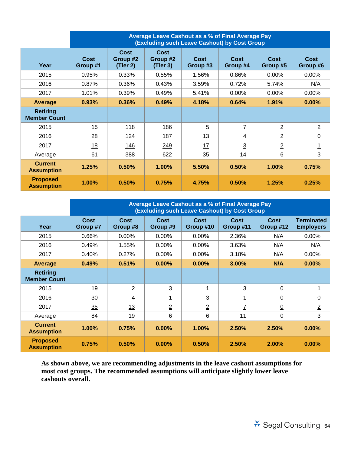|                                        | <b>Average Leave Cashout as a % of Final Average Pay</b><br>(Excluding such Leave Cashout) by Cost Group |                              |                                     |                  |                  |                  |                  |  |
|----------------------------------------|----------------------------------------------------------------------------------------------------------|------------------------------|-------------------------------------|------------------|------------------|------------------|------------------|--|
| Year                                   | Cost<br>Group #1                                                                                         | Cost<br>Group #2<br>(Tier 2) | <b>Cost</b><br>Group #2<br>(Tier 3) | Cost<br>Group #3 | Cost<br>Group #4 | Cost<br>Group #5 | Cost<br>Group #6 |  |
| 2015                                   | 0.95%                                                                                                    | 0.33%                        | 0.55%                               | 1.56%            | 0.86%            | $0.00\%$         | 0.00%            |  |
| 2016                                   | 0.87%                                                                                                    | 0.36%                        | 0.43%                               | 3.59%            | 0.72%            | 5.74%            | N/A              |  |
| 2017                                   | 1.01%                                                                                                    | 0.39%                        | 0.49%                               | 5.41%            | 0.00%            | 0.00%            | 0.00%            |  |
| <b>Average</b>                         | 0.93%                                                                                                    | 0.36%                        | 0.49%                               | 4.18%            | 0.64%            | 1.91%            | 0.00%            |  |
| <b>Retiring</b><br><b>Member Count</b> |                                                                                                          |                              |                                     |                  |                  |                  |                  |  |
| 2015                                   | 15                                                                                                       | 118                          | 186                                 | 5                | $\overline{7}$   | 2                | 2                |  |
| 2016                                   | 28                                                                                                       | 124                          | 187                                 | 13               | $\overline{4}$   | $\overline{2}$   | $\mathbf 0$      |  |
| 2017                                   | 18                                                                                                       | 146                          | 249                                 | 17               | $\overline{3}$   | $\overline{2}$   | <u> 1</u>        |  |
| Average                                | 61                                                                                                       | 388                          | 622                                 | 35               | 14               | 6                | 3                |  |
| <b>Current</b><br><b>Assumption</b>    | 1.25%                                                                                                    | 0.50%                        | 1.00%                               | 5.50%            | 0.50%            | 1.00%            | 0.75%            |  |
| <b>Proposed</b><br><b>Assumption</b>   | 1.00%                                                                                                    | 0.50%                        | 0.75%                               | 4.75%            | 0.50%            | 1.25%            | 0.25%            |  |

|                                        | Average Leave Cashout as a % of Final Average Pay<br>(Excluding such Leave Cashout) by Cost Group |                  |                  |                   |                   |                   |                                       |
|----------------------------------------|---------------------------------------------------------------------------------------------------|------------------|------------------|-------------------|-------------------|-------------------|---------------------------------------|
| Year                                   | <b>Cost</b><br>Group #7                                                                           | Cost<br>Group #8 | Cost<br>Group #9 | Cost<br>Group #10 | Cost<br>Group #11 | Cost<br>Group #12 | <b>Terminated</b><br><b>Employers</b> |
| 2015                                   | 0.66%                                                                                             | $0.00\%$         | $0.00\%$         | $0.00\%$          | 2.36%             | N/A               | 0.00%                                 |
| 2016                                   | 0.49%                                                                                             | 1.55%            | 0.00%            | 0.00%             | 3.63%             | N/A               | N/A                                   |
| 2017                                   | 0.40%                                                                                             | 0.27%            | 0.00%            | 0.00%             | 3.18%             | N/A               | 0.00%                                 |
| Average                                | 0.49%                                                                                             | 0.51%            | 0.00%            | 0.00%             | 3.00%             | N/A               | 0.00%                                 |
| <b>Retiring</b><br><b>Member Count</b> |                                                                                                   |                  |                  |                   |                   |                   |                                       |
| 2015                                   | 19                                                                                                | 2                | 3                | 1                 | 3                 | $\Omega$          | 1                                     |
| 2016                                   | 30                                                                                                | 4                | 1                | 3                 | 1                 | $\Omega$          | 0                                     |
| 2017                                   | 35                                                                                                | 13               | $\overline{2}$   | $\overline{2}$    | 7                 | $\underline{0}$   | $\overline{2}$                        |
| Average                                | 84                                                                                                | 19               | $6\phantom{1}6$  | 6                 | 11                | $\mathbf 0$       | 3                                     |
| <b>Current</b><br><b>Assumption</b>    | 1.00%                                                                                             | 0.75%            | $0.00\%$         | $1.00\%$          | 2.50%             | 2.50%             | 0.00%                                 |
| <b>Proposed</b><br><b>Assumption</b>   | 0.75%                                                                                             | 0.50%            | $0.00\%$         | 0.50%             | 2.50%             | 2.00%             | 0.00%                                 |

**As shown above, we are recommending adjustments in the leave cashout assumptions for most cost groups. The recommended assumptions will anticipate slightly lower leave cashouts overall.**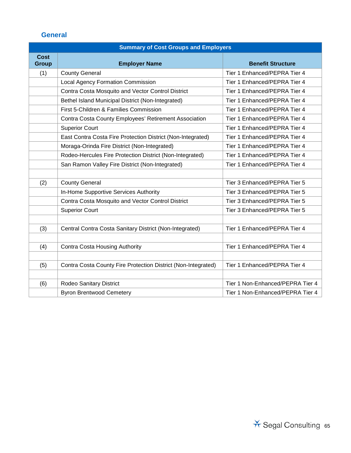## **General**

|                      | <b>Summary of Cost Groups and Employers</b>                   |                                  |  |  |  |  |  |  |
|----------------------|---------------------------------------------------------------|----------------------------------|--|--|--|--|--|--|
| Cost<br><b>Group</b> | <b>Employer Name</b>                                          | <b>Benefit Structure</b>         |  |  |  |  |  |  |
| (1)                  | <b>County General</b>                                         | Tier 1 Enhanced/PEPRA Tier 4     |  |  |  |  |  |  |
|                      | <b>Local Agency Formation Commission</b>                      | Tier 1 Enhanced/PEPRA Tier 4     |  |  |  |  |  |  |
|                      | Contra Costa Mosquito and Vector Control District             | Tier 1 Enhanced/PEPRA Tier 4     |  |  |  |  |  |  |
|                      | Bethel Island Municipal District (Non-Integrated)             | Tier 1 Enhanced/PEPRA Tier 4     |  |  |  |  |  |  |
|                      | First 5-Children & Families Commission                        | Tier 1 Enhanced/PEPRA Tier 4     |  |  |  |  |  |  |
|                      | Contra Costa County Employees' Retirement Association         | Tier 1 Enhanced/PEPRA Tier 4     |  |  |  |  |  |  |
|                      | <b>Superior Court</b>                                         | Tier 1 Enhanced/PEPRA Tier 4     |  |  |  |  |  |  |
|                      | East Contra Costa Fire Protection District (Non-Integrated)   | Tier 1 Enhanced/PEPRA Tier 4     |  |  |  |  |  |  |
|                      | Moraga-Orinda Fire District (Non-Integrated)                  | Tier 1 Enhanced/PEPRA Tier 4     |  |  |  |  |  |  |
|                      | Rodeo-Hercules Fire Protection District (Non-Integrated)      | Tier 1 Enhanced/PEPRA Tier 4     |  |  |  |  |  |  |
|                      | San Ramon Valley Fire District (Non-Integrated)               | Tier 1 Enhanced/PEPRA Tier 4     |  |  |  |  |  |  |
|                      |                                                               |                                  |  |  |  |  |  |  |
| (2)                  | <b>County General</b>                                         | Tier 3 Enhanced/PEPRA Tier 5     |  |  |  |  |  |  |
|                      | In-Home Supportive Services Authority                         | Tier 3 Enhanced/PEPRA Tier 5     |  |  |  |  |  |  |
|                      | Contra Costa Mosquito and Vector Control District             | Tier 3 Enhanced/PEPRA Tier 5     |  |  |  |  |  |  |
|                      | <b>Superior Court</b>                                         | Tier 3 Enhanced/PEPRA Tier 5     |  |  |  |  |  |  |
|                      |                                                               |                                  |  |  |  |  |  |  |
| (3)                  | Central Contra Costa Sanitary District (Non-Integrated)       | Tier 1 Enhanced/PEPRA Tier 4     |  |  |  |  |  |  |
|                      |                                                               |                                  |  |  |  |  |  |  |
| (4)                  | <b>Contra Costa Housing Authority</b>                         | Tier 1 Enhanced/PEPRA Tier 4     |  |  |  |  |  |  |
|                      |                                                               |                                  |  |  |  |  |  |  |
| (5)                  | Contra Costa County Fire Protection District (Non-Integrated) | Tier 1 Enhanced/PEPRA Tier 4     |  |  |  |  |  |  |
|                      |                                                               |                                  |  |  |  |  |  |  |
| (6)                  | Rodeo Sanitary District                                       | Tier 1 Non-Enhanced/PEPRA Tier 4 |  |  |  |  |  |  |
|                      | <b>Byron Brentwood Cemetery</b>                               | Tier 1 Non-Enhanced/PEPRA Tier 4 |  |  |  |  |  |  |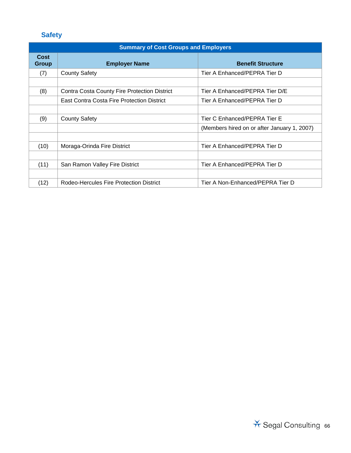# **Safety**

## **Summary of Cost Groups and Employers**

| Cost<br>Group | <b>Employer Name</b>                                | <b>Benefit Structure</b>                    |
|---------------|-----------------------------------------------------|---------------------------------------------|
| (7)           | <b>County Safety</b>                                | Tier A Enhanced/PEPRA Tier D                |
|               |                                                     |                                             |
| (8)           | <b>Contra Costa County Fire Protection District</b> | Tier A Enhanced/PEPRA Tier D/E              |
|               | East Contra Costa Fire Protection District          | Tier A Enhanced/PEPRA Tier D                |
|               |                                                     |                                             |
| (9)           | <b>County Safety</b>                                | Tier C Enhanced/PEPRA Tier E                |
|               |                                                     | (Members hired on or after January 1, 2007) |
|               |                                                     |                                             |
| (10)          | Moraga-Orinda Fire District                         | Tier A Enhanced/PEPRA Tier D                |
|               |                                                     |                                             |
| (11)          | San Ramon Valley Fire District                      | Tier A Enhanced/PEPRA Tier D                |
|               |                                                     |                                             |
| (12)          | Rodeo-Hercules Fire Protection District             | Tier A Non-Enhanced/PEPRA Tier D            |

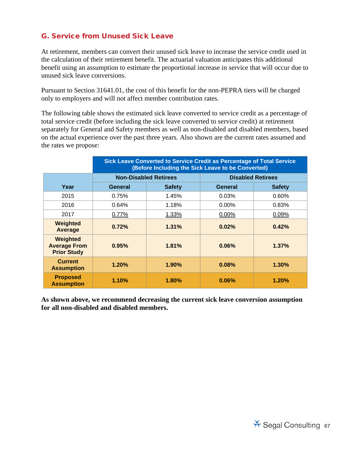## G. Service from Unused Sick Leave

At retirement, members can convert their unused sick leave to increase the service credit used in the calculation of their retirement benefit. The actuarial valuation anticipates this additional benefit using an assumption to estimate the proportional increase in service that will occur due to unused sick leave conversions.

Pursuant to Section 31641.01, the cost of this benefit for the non-PEPRA tiers will be charged only to employers and will not affect member contribution rates.

The following table shows the estimated sick leave converted to service credit as a percentage of total service credit (before including the sick leave converted to service credit) at retirement separately for General and Safety members as well as non-disabled and disabled members, based on the actual experience over the past three years. Also shown are the current rates assumed and the rates we propose:

|                                                       | Sick Leave Converted to Service Credit as Percentage of Total Service<br>(Before Including the Sick Leave to be Converted) |               |                          |               |  |  |
|-------------------------------------------------------|----------------------------------------------------------------------------------------------------------------------------|---------------|--------------------------|---------------|--|--|
|                                                       | <b>Non-Disabled Retirees</b>                                                                                               |               | <b>Disabled Retirees</b> |               |  |  |
| Year                                                  | General                                                                                                                    | <b>Safety</b> | General                  | <b>Safety</b> |  |  |
| 2015                                                  | 0.75%                                                                                                                      | 1.45%         | 0.03%                    | $0.60\%$      |  |  |
| 2016                                                  | 0.64%                                                                                                                      | 1.18%         | $0.00\%$                 | 0.83%         |  |  |
| 2017                                                  | 0.77%                                                                                                                      | 1.33%         | 0.00%                    | 0.09%         |  |  |
| Weighted<br>Average                                   | 0.72%                                                                                                                      | 1.31%         | 0.02%                    | 0.42%         |  |  |
| Weighted<br><b>Average From</b><br><b>Prior Study</b> | 0.95%                                                                                                                      | 1.81%         | 0.06%                    | 1.37%         |  |  |
| <b>Current</b><br><b>Assumption</b>                   | 1.20%                                                                                                                      | $1.90\%$      | 0.08%                    | 1.30%         |  |  |
| <b>Proposed</b><br><b>Assumption</b>                  | 1.10%                                                                                                                      | 1.80%         | 0.06%                    | 1.20%         |  |  |

**As shown above, we recommend decreasing the current sick leave conversion assumption for all non-disabled and disabled members.**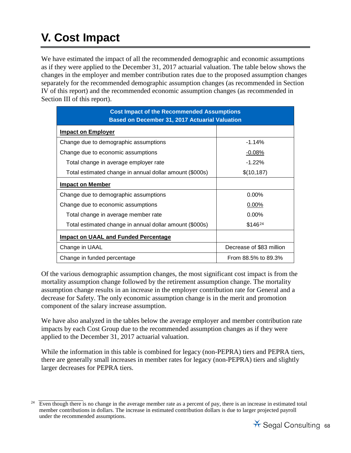# **V. Cost Impact**

We have estimated the impact of all the recommended demographic and economic assumptions as if they were applied to the December 31, 2017 actuarial valuation. The table below shows the changes in the employer and member contribution rates due to the proposed assumption changes separately for the recommended demographic assumption changes (as recommended in Section IV of this report) and the recommended economic assumption changes (as recommended in Section III of this report).

| <b>Cost Impact of the Recommended Assumptions</b><br><b>Based on December 31, 2017 Actuarial Valuation</b> |                          |  |  |  |
|------------------------------------------------------------------------------------------------------------|--------------------------|--|--|--|
| <b>Impact on Employer</b>                                                                                  |                          |  |  |  |
| Change due to demographic assumptions                                                                      | $-1.14%$                 |  |  |  |
| Change due to economic assumptions                                                                         | $-0.08%$                 |  |  |  |
| Total change in average employer rate                                                                      | $-1.22%$                 |  |  |  |
| Total estimated change in annual dollar amount (\$000s)                                                    | \$(10, 187)              |  |  |  |
| <b>Impact on Member</b>                                                                                    |                          |  |  |  |
| Change due to demographic assumptions                                                                      | $0.00\%$                 |  |  |  |
| Change due to economic assumptions                                                                         | $0.00\%$                 |  |  |  |
| Total change in average member rate                                                                        | $0.00\%$                 |  |  |  |
| Total estimated change in annual dollar amount (\$000s)                                                    | \$14624                  |  |  |  |
| <b>Impact on UAAL and Funded Percentage</b>                                                                |                          |  |  |  |
| Change in UAAL                                                                                             | Decrease of \$83 million |  |  |  |
| Change in funded percentage                                                                                | From 88.5% to 89.3%      |  |  |  |

Of the various demographic assumption changes, the most significant cost impact is from the mortality assumption change followed by the retirement assumption change. The mortality assumption change results in an increase in the employer contribution rate for General and a decrease for Safety. The only economic assumption change is in the merit and promotion component of the salary increase assumption.

We have also analyzed in the tables below the average employer and member contribution rate impacts by each Cost Group due to the recommended assumption changes as if they were applied to the December 31, 2017 actuarial valuation.

While the information in this table is combined for legacy (non-PEPRA) tiers and PEPRA tiers, there are generally small increases in member rates for legacy (non-PEPRA) tiers and slightly larger decreases for PEPRA tiers.

<span id="page-70-0"></span>Even though there is no change in the average member rate as a percent of pay, there is an increase in estimated total member contributions in dollars. The increase in estimated contribution dollars is due to larger projected payroll under the recommended assumptions.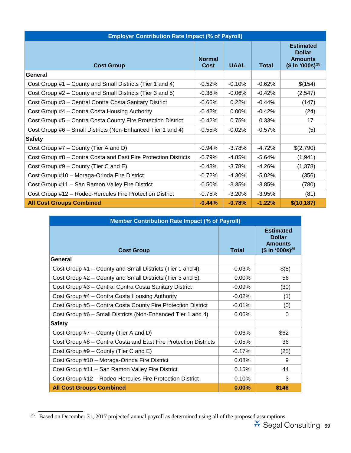| <b>Employer Contribution Rate Impact (% of Payroll)</b>         |                              |             |              |                                                                                     |  |
|-----------------------------------------------------------------|------------------------------|-------------|--------------|-------------------------------------------------------------------------------------|--|
| <b>Cost Group</b>                                               | <b>Normal</b><br><b>Cost</b> | <b>UAAL</b> | <b>Total</b> | <b>Estimated</b><br><b>Dollar</b><br><b>Amounts</b><br>$($$ in '000s) <sup>25</sup> |  |
| General                                                         |                              |             |              |                                                                                     |  |
| Cost Group #1 – County and Small Districts (Tier 1 and 4)       | $-0.52%$                     | $-0.10%$    | $-0.62%$     | \$(154)                                                                             |  |
| Cost Group #2 – County and Small Districts (Tier 3 and 5)       | $-0.36%$                     | $-0.06%$    | $-0.42%$     | (2,547)                                                                             |  |
| Cost Group #3 - Central Contra Costa Sanitary District          | $-0.66%$                     | 0.22%       | $-0.44%$     | (147)                                                                               |  |
| Cost Group #4 – Contra Costa Housing Authority                  | $-0.42%$                     | 0.00%       | $-0.42%$     | (24)                                                                                |  |
| Cost Group #5 - Contra Costa County Fire Protection District    | $-0.42%$                     | 0.75%       | 0.33%        | 17                                                                                  |  |
| Cost Group #6 – Small Districts (Non-Enhanced Tier 1 and 4)     | $-0.55%$                     | $-0.02%$    | $-0.57%$     | (5)                                                                                 |  |
| <b>Safety</b>                                                   |                              |             |              |                                                                                     |  |
| Cost Group #7 – County (Tier A and D)                           | $-0.94%$                     | $-3.78%$    | $-4.72%$     | \$(2,790)                                                                           |  |
| Cost Group #8 - Contra Costa and East Fire Protection Districts | $-0.79%$                     | $-4.85%$    | $-5.64%$     | (1,941)                                                                             |  |
| Cost Group #9 – County (Tier C and E)                           | $-0.48%$                     | $-3.78%$    | $-4.26%$     | (1,378)                                                                             |  |
| Cost Group #10 - Moraga-Orinda Fire District                    | $-0.72%$                     | $-4.30%$    | $-5.02%$     | (356)                                                                               |  |
| Cost Group #11 - San Ramon Valley Fire District                 | $-0.50%$                     | $-3.35%$    | $-3.85%$     | (780)                                                                               |  |
| Cost Group #12 - Rodeo-Hercules Fire Protection District        | $-0.75%$                     | $-3.20%$    | $-3.95%$     | (81)                                                                                |  |
| <b>All Cost Groups Combined</b>                                 |                              | $-0.78%$    | $-1.22%$     | \$(10, 187)                                                                         |  |

| <b>Member Contribution Rate Impact (% of Payroll)</b>           |              |                                                                                     |  |  |
|-----------------------------------------------------------------|--------------|-------------------------------------------------------------------------------------|--|--|
| <b>Cost Group</b>                                               | <b>Total</b> | <b>Estimated</b><br><b>Dollar</b><br><b>Amounts</b><br>$($$ in '000s) <sup>25</sup> |  |  |
| General                                                         |              |                                                                                     |  |  |
| Cost Group #1 – County and Small Districts (Tier 1 and 4)       | $-0.03%$     | \$(8)                                                                               |  |  |
| Cost Group #2 – County and Small Districts (Tier 3 and 5)       | $0.00\%$     | 56                                                                                  |  |  |
| Cost Group #3 - Central Contra Costa Sanitary District          | $-0.09\%$    | (30)                                                                                |  |  |
| Cost Group #4 – Contra Costa Housing Authority                  | $-0.02%$     | (1)                                                                                 |  |  |
| Cost Group #5 - Contra Costa County Fire Protection District    | $-0.01%$     | (0)                                                                                 |  |  |
| Cost Group #6 - Small Districts (Non-Enhanced Tier 1 and 4)     | 0.06%        | 0                                                                                   |  |  |
| <b>Safety</b>                                                   |              |                                                                                     |  |  |
| Cost Group #7 – County (Tier A and D)                           | 0.06%        | \$62                                                                                |  |  |
| Cost Group #8 – Contra Costa and East Fire Protection Districts | 0.05%        | 36                                                                                  |  |  |
| Cost Group #9 - County (Tier C and E)                           | $-0.17%$     | (25)                                                                                |  |  |
| Cost Group #10 - Moraga-Orinda Fire District                    | 0.08%        | 9                                                                                   |  |  |
| Cost Group #11 - San Ramon Valley Fire District                 | 0.15%        | 44                                                                                  |  |  |
| Cost Group #12 - Rodeo-Hercules Fire Protection District        | 0.10%        | 3                                                                                   |  |  |
| <b>All Cost Groups Combined</b>                                 | $0.00\%$     | \$146                                                                               |  |  |

<span id="page-71-0"></span><sup>&</sup>lt;sup>25</sup> Based on December 31, 2017 projected annual payroll as determined using all of the proposed assumptions.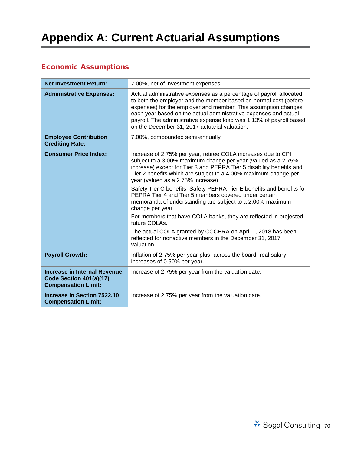# **Appendix A: Current Actuarial Assumptions**

# Economic Assumptions

| <b>Net Investment Return:</b>                                                         | 7.00%, net of investment expenses.                                                                                                                                                                                                                                                                                                                                                                                                                                                                                                 |
|---------------------------------------------------------------------------------------|------------------------------------------------------------------------------------------------------------------------------------------------------------------------------------------------------------------------------------------------------------------------------------------------------------------------------------------------------------------------------------------------------------------------------------------------------------------------------------------------------------------------------------|
| <b>Administrative Expenses:</b>                                                       | Actual administrative expenses as a percentage of payroll allocated<br>to both the employer and the member based on normal cost (before<br>expenses) for the employer and member. This assumption changes<br>each year based on the actual administrative expenses and actual<br>payroll. The administrative expense load was 1.13% of payroll based<br>on the December 31, 2017 actuarial valuation.                                                                                                                              |
| <b>Employee Contribution</b><br><b>Crediting Rate:</b>                                | 7.00%, compounded semi-annually                                                                                                                                                                                                                                                                                                                                                                                                                                                                                                    |
| <b>Consumer Price Index:</b>                                                          | Increase of 2.75% per year; retiree COLA increases due to CPI<br>subject to a 3.00% maximum change per year (valued as a 2.75%<br>increase) except for Tier 3 and PEPRA Tier 5 disability benefits and<br>Tier 2 benefits which are subject to a 4.00% maximum change per<br>year (valued as a 2.75% increase).<br>Safety Tier C benefits, Safety PEPRA Tier E benefits and benefits for<br>PEPRA Tier 4 and Tier 5 members covered under certain<br>memoranda of understanding are subject to a 2.00% maximum<br>change per year. |
|                                                                                       | For members that have COLA banks, they are reflected in projected<br>future COLAs.                                                                                                                                                                                                                                                                                                                                                                                                                                                 |
|                                                                                       | The actual COLA granted by CCCERA on April 1, 2018 has been<br>reflected for nonactive members in the December 31, 2017<br>valuation.                                                                                                                                                                                                                                                                                                                                                                                              |
| <b>Payroll Growth:</b>                                                                | Inflation of 2.75% per year plus "across the board" real salary<br>increases of 0.50% per year.                                                                                                                                                                                                                                                                                                                                                                                                                                    |
| Increase in Internal Revenue<br>Code Section 401(a)(17)<br><b>Compensation Limit:</b> | Increase of 2.75% per year from the valuation date.                                                                                                                                                                                                                                                                                                                                                                                                                                                                                |
| Increase in Section 7522.10<br><b>Compensation Limit:</b>                             | Increase of 2.75% per year from the valuation date.                                                                                                                                                                                                                                                                                                                                                                                                                                                                                |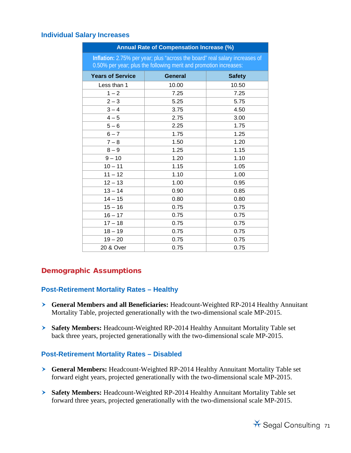### **Individual Salary Increases**

| Annual Rate of Compensation Increase (%)                                                                                                         |                |               |  |
|--------------------------------------------------------------------------------------------------------------------------------------------------|----------------|---------------|--|
| Inflation: 2.75% per year; plus "across the board" real salary increases of<br>0.50% per year; plus the following merit and promotion increases: |                |               |  |
| <b>Years of Service</b>                                                                                                                          | <b>General</b> | <b>Safety</b> |  |
| Less than 1                                                                                                                                      | 10.00          | 10.50         |  |
| $1 - 2$                                                                                                                                          | 7.25           | 7.25          |  |
| $2 - 3$                                                                                                                                          | 5.25           | 5.75          |  |
| $3 - 4$                                                                                                                                          | 3.75           | 4.50          |  |
| $4 - 5$                                                                                                                                          | 2.75           | 3.00          |  |
| $5-6$                                                                                                                                            | 2.25           | 1.75          |  |
| $6 - 7$                                                                                                                                          | 1.75           | 1.25          |  |
| $7 - 8$                                                                                                                                          | 1.50           | 1.20          |  |
| $8 - 9$                                                                                                                                          | 1.25           | 1.15          |  |
| $9 - 10$                                                                                                                                         | 1.20           | 1.10          |  |
| $10 - 11$                                                                                                                                        | 1.15           | 1.05          |  |
| $11 - 12$                                                                                                                                        | 1.10           | 1.00          |  |
| $12 - 13$                                                                                                                                        | 1.00           | 0.95          |  |
| $13 - 14$                                                                                                                                        | 0.90           | 0.85          |  |
| $14 - 15$                                                                                                                                        | 0.80           | 0.80          |  |
| $15 - 16$                                                                                                                                        | 0.75           | 0.75          |  |
| $16 - 17$                                                                                                                                        | 0.75           | 0.75          |  |
| $17 - 18$                                                                                                                                        | 0.75           | 0.75          |  |
| $18 - 19$                                                                                                                                        | 0.75           | 0.75          |  |
| $19 - 20$                                                                                                                                        | 0.75           | 0.75          |  |
| 20 & Over                                                                                                                                        | 0.75           | 0.75          |  |

## Demographic Assumptions

### **Post-Retirement Mortality Rates – Healthy**

- **General Members and all Beneficiaries:** Headcount-Weighted RP-2014 Healthy Annuitant Mortality Table, projected generationally with the two-dimensional scale MP-2015.
- **Safety Members:** Headcount-Weighted RP-2014 Healthy Annuitant Mortality Table set back three years, projected generationally with the two-dimensional scale MP-2015.

### **Post-Retirement Mortality Rates – Disabled**

- **General Members:** Headcount-Weighted RP-2014 Healthy Annuitant Mortality Table set forward eight years, projected generationally with the two-dimensional scale MP-2015.
- **Safety Members:** Headcount-Weighted RP-2014 Healthy Annuitant Mortality Table set forward three years, projected generationally with the two-dimensional scale MP-2015.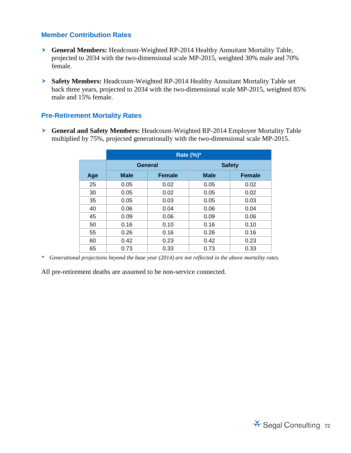### **Member Contribution Rates**

- **General Members:** Headcount-Weighted RP-2014 Healthy Annuitant Mortality Table, projected to 2034 with the two-dimensional scale MP-2015, weighted 30% male and 70% female.
- **Safety Members:** Headcount-Weighted RP-2014 Healthy Annuitant Mortality Table set back three years, projected to 2034 with the two-dimensional scale MP-2015, weighted 85% male and 15% female.

### **Pre-Retirement Mortality Rates**

 **General and Safety Members:** Headcount-Weighted RP-2014 Employee Mortality Table multiplied by 75%, projected generationally with the two-dimensional scale MP-2015.

|     | <b>Rate (%)*</b> |               |               |               |
|-----|------------------|---------------|---------------|---------------|
|     | General          |               | <b>Safety</b> |               |
| Age | <b>Male</b>      | <b>Female</b> | <b>Male</b>   | <b>Female</b> |
| 25  | 0.05             | 0.02          | 0.05          | 0.02          |
| 30  | 0.05             | 0.02          | 0.05          | 0.02          |
| 35  | 0.05             | 0.03          | 0.05          | 0.03          |
| 40  | 0.06             | 0.04          | 0.06          | 0.04          |
| 45  | 0.09             | 0.06          | 0.09          | 0.06          |
| 50  | 0.16             | 0.10          | 0.16          | 0.10          |
| 55  | 0.26             | 0.16          | 0.26          | 0.16          |
| 60  | 0.42             | 0.23          | 0.42          | 0.23          |
| 65  | 0.73             | 0.33          | 0.73          | 0.33          |

*\* Generational projections beyond the base year (2014) are not reflected in the above mortality rates.*

All pre-retirement deaths are assumed to be non-service connected.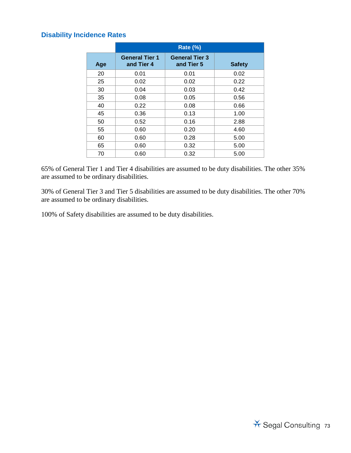### **Disability Incidence Rates**

|     | <b>Rate (%)</b>                     |                                     |               |
|-----|-------------------------------------|-------------------------------------|---------------|
| Age | <b>General Tier 1</b><br>and Tier 4 | <b>General Tier 3</b><br>and Tier 5 | <b>Safety</b> |
| 20  | 0.01                                | 0.01                                | 0.02          |
| 25  | 0.02                                | 0.02                                | 0.22          |
| 30  | 0.04                                | 0.03                                | 0.42          |
| 35  | 0.08                                | 0.05                                | 0.56          |
| 40  | 0.22                                | 0.08                                | 0.66          |
| 45  | 0.36                                | 0.13                                | 1.00          |
| 50  | 0.52                                | 0.16                                | 2.88          |
| 55  | 0.60                                | 0.20                                | 4.60          |
| 60  | 0.60                                | 0.28                                | 5.00          |
| 65  | 0.60                                | 0.32                                | 5.00          |
| 70  | 0.60                                | 0.32                                | 5.00          |

65% of General Tier 1 and Tier 4 disabilities are assumed to be duty disabilities. The other 35% are assumed to be ordinary disabilities.

30% of General Tier 3 and Tier 5 disabilities are assumed to be duty disabilities. The other 70% are assumed to be ordinary disabilities.

100% of Safety disabilities are assumed to be duty disabilities.

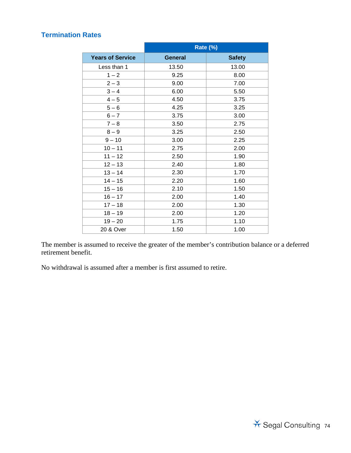### **Termination Rates**

|                         | Rate (%)       |               |  |
|-------------------------|----------------|---------------|--|
| <b>Years of Service</b> | <b>General</b> | <b>Safety</b> |  |
| Less than 1             | 13.50          | 13.00         |  |
| $1 - 2$                 | 9.25           | 8.00          |  |
| $2 - 3$                 | 9.00           | 7.00          |  |
| $3 - 4$                 | 6.00           | 5.50          |  |
| $4 - 5$                 | 4.50           | 3.75          |  |
| $5 - 6$                 | 4.25           | 3.25          |  |
| $6 - 7$                 | 3.75           | 3.00          |  |
| $7 - 8$                 | 3.50           | 2.75          |  |
| $8 - 9$                 | 3.25           | 2.50          |  |
| $9 - 10$                | 3.00           | 2.25          |  |
| $10 - 11$               | 2.75           | 2.00          |  |
| $11 - 12$               | 2.50           | 1.90          |  |
| $12 - 13$               | 2.40           | 1.80          |  |
| $13 - 14$               | 2.30           | 1.70          |  |
| $14 - 15$               | 2.20           | 1.60          |  |
| $15 - 16$               | 2.10           | 1.50          |  |
| $16 - 17$               | 2.00           | 1.40          |  |
| $17 - 18$               | 2.00           | 1.30          |  |
| $18 - 19$               | 2.00           | 1.20          |  |
| $19 - 20$               | 1.75           | 1.10          |  |
| 20 & Over               | 1.50           | 1.00          |  |

The member is assumed to receive the greater of the member's contribution balance or a deferred retirement benefit.

No withdrawal is assumed after a member is first assumed to retire.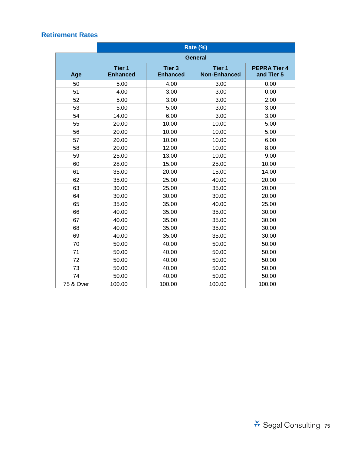|           | Rate (%)                             |                                  |                                          |                                   |
|-----------|--------------------------------------|----------------------------------|------------------------------------------|-----------------------------------|
|           | <b>General</b>                       |                                  |                                          |                                   |
| Age       | Tier <sub>1</sub><br><b>Enhanced</b> | <b>Tier 3</b><br><b>Enhanced</b> | Tier <sub>1</sub><br><b>Non-Enhanced</b> | <b>PEPRA Tier 4</b><br>and Tier 5 |
| 50        | 5.00                                 | 4.00                             | 3.00                                     | 0.00                              |
| 51        | 4.00                                 | 3.00                             | 3.00                                     | 0.00                              |
| 52        | 5.00                                 | 3.00                             | 3.00                                     | 2.00                              |
| 53        | 5.00                                 | 5.00                             | 3.00                                     | 3.00                              |
| 54        | 14.00                                | 6.00                             | 3.00                                     | 3.00                              |
| 55        | 20.00                                | 10.00                            | 10.00                                    | 5.00                              |
| 56        | 20.00                                | 10.00                            | 10.00                                    | 5.00                              |
| 57        | 20.00                                | 10.00                            | 10.00                                    | 6.00                              |
| 58        | 20.00                                | 12.00                            | 10.00                                    | 8.00                              |
| 59        | 25.00                                | 13.00                            | 10.00                                    | 9.00                              |
| 60        | 28.00                                | 15.00                            | 25.00                                    | 10.00                             |
| 61        | 35.00                                | 20.00                            | 15.00                                    | 14.00                             |
| 62        | 35.00                                | 25.00                            | 40.00                                    | 20.00                             |
| 63        | 30.00                                | 25.00                            | 35.00                                    | 20.00                             |
| 64        | 30.00                                | 30.00                            | 30.00                                    | 20.00                             |
| 65        | 35.00                                | 35.00                            | 40.00                                    | 25.00                             |
| 66        | 40.00                                | 35.00                            | 35.00                                    | 30.00                             |
| 67        | 40.00                                | 35.00                            | 35.00                                    | 30.00                             |
| 68        | 40.00                                | 35.00                            | 35.00                                    | 30.00                             |
| 69        | 40.00                                | 35.00                            | 35.00                                    | 30.00                             |
| 70        | 50.00                                | 40.00                            | 50.00                                    | 50.00                             |
| 71        | 50.00                                | 40.00                            | 50.00                                    | 50.00                             |
| 72        | 50.00                                | 40.00                            | 50.00                                    | 50.00                             |
| 73        | 50.00                                | 40.00                            | 50.00                                    | 50.00                             |
| 74        | 50.00                                | 40.00                            | 50.00                                    | 50.00                             |
| 75 & Over | 100.00                               | 100.00                           | 100.00                                   | 100.00                            |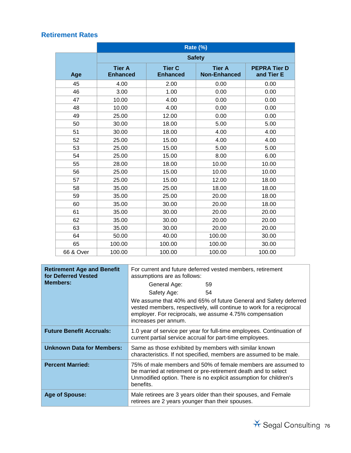|           | <b>Rate (%)</b>                  |                                  |                                      |                                   |
|-----------|----------------------------------|----------------------------------|--------------------------------------|-----------------------------------|
|           | <b>Safety</b>                    |                                  |                                      |                                   |
| Age       | <b>Tier A</b><br><b>Enhanced</b> | <b>Tier C</b><br><b>Enhanced</b> | <b>Tier A</b><br><b>Non-Enhanced</b> | <b>PEPRA Tier D</b><br>and Tier E |
| 45        | 4.00                             | 2.00                             | 0.00                                 | 0.00                              |
| 46        | 3.00                             | 1.00                             | 0.00                                 | 0.00                              |
| 47        | 10.00                            | 4.00                             | 0.00                                 | 0.00                              |
| 48        | 10.00                            | 4.00                             | 0.00                                 | 0.00                              |
| 49        | 25.00                            | 12.00                            | 0.00                                 | 0.00                              |
| 50        | 30.00                            | 18.00                            | 5.00                                 | 5.00                              |
| 51        | 30.00                            | 18.00                            | 4.00                                 | 4.00                              |
| 52        | 25.00                            | 15.00                            | 4.00                                 | 4.00                              |
| 53        | 25.00                            | 15.00                            | 5.00                                 | 5.00                              |
| 54        | 25.00                            | 15.00                            | 8.00                                 | 6.00                              |
| 55        | 28.00                            | 18.00                            | 10.00                                | 10.00                             |
| 56        | 25.00                            | 15.00                            | 10.00                                | 10.00                             |
| 57        | 25.00                            | 15.00                            | 12.00                                | 18.00                             |
| 58        | 35.00                            | 25.00                            | 18.00                                | 18.00                             |
| 59        | 35.00                            | 25.00                            | 20.00                                | 18.00                             |
| 60        | 35.00                            | 30.00                            | 20.00                                | 18.00                             |
| 61        | 35.00                            | 30.00                            | 20.00                                | 20.00                             |
| 62        | 35.00                            | 30.00                            | 20.00                                | 20.00                             |
| 63        | 35.00                            | 30.00                            | 20.00                                | 20.00                             |
| 64        | 50.00                            | 40.00                            | 100.00                               | 30.00                             |
| 65        | 100.00                           | 100.00                           | 100.00                               | 30.00                             |
| 66 & Over | 100.00                           | 100.00                           | 100.00                               | 100.00                            |

| <b>Retirement Age and Benefit</b><br>for Deferred Vested<br><b>Members:</b> | For current and future deferred vested members, retirement<br>assumptions are as follows:<br>General Age:<br>59<br>54<br>Safety Age:<br>We assume that 40% and 65% of future General and Safety deferred<br>vested members, respectively, will continue to work for a reciprocal<br>employer. For reciprocals, we assume 4.75% compensation<br>increases per annum. |  |  |
|-----------------------------------------------------------------------------|---------------------------------------------------------------------------------------------------------------------------------------------------------------------------------------------------------------------------------------------------------------------------------------------------------------------------------------------------------------------|--|--|
|                                                                             |                                                                                                                                                                                                                                                                                                                                                                     |  |  |
| <b>Future Benefit Accruals:</b>                                             | 1.0 year of service per year for full-time employees. Continuation of<br>current partial service accrual for part-time employees.                                                                                                                                                                                                                                   |  |  |
| <b>Unknown Data for Members:</b>                                            | Same as those exhibited by members with similar known<br>characteristics. If not specified, members are assumed to be male.                                                                                                                                                                                                                                         |  |  |
| <b>Percent Married:</b>                                                     | 75% of male members and 50% of female members are assumed to<br>be married at retirement or pre-retirement death and to select<br>Unmodified option. There is no explicit assumption for children's<br>benefits.                                                                                                                                                    |  |  |
| Age of Spouse:                                                              | Male retirees are 3 years older than their spouses, and Female<br>retirees are 2 years younger than their spouses.                                                                                                                                                                                                                                                  |  |  |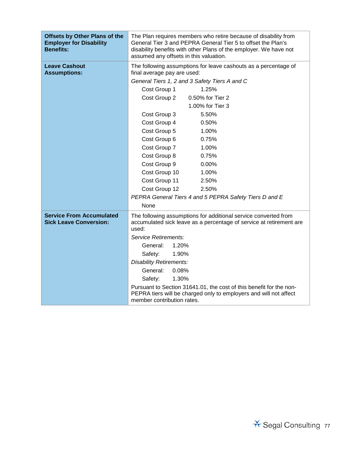| <b>Offsets by Other Plans of the</b><br><b>Employer for Disability</b><br><b>Benefits:</b> | The Plan requires members who retire because of disability from<br>General Tier 3 and PEPRA General Tier 5 to offset the Plan's<br>disability benefits with other Plans of the employer. We have not<br>assumed any offsets in this valuation. |  |  |
|--------------------------------------------------------------------------------------------|------------------------------------------------------------------------------------------------------------------------------------------------------------------------------------------------------------------------------------------------|--|--|
| <b>Leave Cashout</b><br><b>Assumptions:</b>                                                | The following assumptions for leave cashouts as a percentage of<br>final average pay are used:                                                                                                                                                 |  |  |
|                                                                                            | General Tiers 1, 2 and 3 Safety Tiers A and C                                                                                                                                                                                                  |  |  |
|                                                                                            | Cost Group 1<br>1.25%                                                                                                                                                                                                                          |  |  |
|                                                                                            | Cost Group 2<br>0.50% for Tier 2                                                                                                                                                                                                               |  |  |
|                                                                                            | 1.00% for Tier 3                                                                                                                                                                                                                               |  |  |
|                                                                                            | Cost Group 3<br>5.50%                                                                                                                                                                                                                          |  |  |
|                                                                                            | Cost Group 4<br>0.50%                                                                                                                                                                                                                          |  |  |
|                                                                                            | Cost Group 5<br>1.00%                                                                                                                                                                                                                          |  |  |
|                                                                                            | Cost Group 6<br>0.75%                                                                                                                                                                                                                          |  |  |
|                                                                                            | Cost Group 7<br>1.00%                                                                                                                                                                                                                          |  |  |
|                                                                                            | Cost Group 8<br>0.75%                                                                                                                                                                                                                          |  |  |
|                                                                                            | Cost Group 9<br>0.00%                                                                                                                                                                                                                          |  |  |
|                                                                                            | Cost Group 10<br>1.00%                                                                                                                                                                                                                         |  |  |
|                                                                                            | Cost Group 11<br>2.50%                                                                                                                                                                                                                         |  |  |
|                                                                                            | Cost Group 12<br>2.50%                                                                                                                                                                                                                         |  |  |
|                                                                                            | PEPRA General Tiers 4 and 5 PEPRA Safety Tiers D and E                                                                                                                                                                                         |  |  |
|                                                                                            | None                                                                                                                                                                                                                                           |  |  |
| <b>Service From Accumulated</b><br><b>Sick Leave Conversion:</b>                           | The following assumptions for additional service converted from<br>accumulated sick leave as a percentage of service at retirement are<br>used:                                                                                                |  |  |
|                                                                                            | <b>Service Retirements:</b>                                                                                                                                                                                                                    |  |  |
|                                                                                            | 1.20%<br>General:                                                                                                                                                                                                                              |  |  |
|                                                                                            | 1.90%<br>Safety:                                                                                                                                                                                                                               |  |  |
|                                                                                            | <b>Disability Retirements:</b>                                                                                                                                                                                                                 |  |  |
|                                                                                            | General:<br>0.08%                                                                                                                                                                                                                              |  |  |
|                                                                                            | 1.30%<br>Safety:                                                                                                                                                                                                                               |  |  |
|                                                                                            | Pursuant to Section 31641.01, the cost of this benefit for the non-<br>PEPRA tiers will be charged only to employers and will not affect<br>member contribution rates.                                                                         |  |  |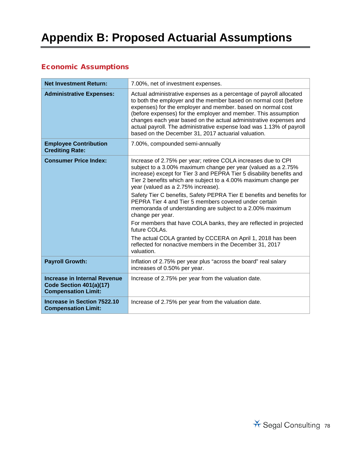# **Appendix B: Proposed Actuarial Assumptions**

# Economic Assumptions

| <b>Net Investment Return:</b>                                                         | 7.00%, net of investment expenses.                                                                                                                                                                                                                                                                                                                                                                                                                                                                                                                                                                                                                                                                                                                                |
|---------------------------------------------------------------------------------------|-------------------------------------------------------------------------------------------------------------------------------------------------------------------------------------------------------------------------------------------------------------------------------------------------------------------------------------------------------------------------------------------------------------------------------------------------------------------------------------------------------------------------------------------------------------------------------------------------------------------------------------------------------------------------------------------------------------------------------------------------------------------|
| <b>Administrative Expenses:</b>                                                       | Actual administrative expenses as a percentage of payroll allocated<br>to both the employer and the member based on normal cost (before<br>expenses) for the employer and member. based on normal cost<br>(before expenses) for the employer and member. This assumption<br>changes each year based on the actual administrative expenses and<br>actual payroll. The administrative expense load was 1.13% of payroll<br>based on the December 31, 2017 actuarial valuation.                                                                                                                                                                                                                                                                                      |
| <b>Employee Contribution</b><br><b>Crediting Rate:</b>                                | 7.00%, compounded semi-annually                                                                                                                                                                                                                                                                                                                                                                                                                                                                                                                                                                                                                                                                                                                                   |
| <b>Consumer Price Index:</b>                                                          | Increase of 2.75% per year; retiree COLA increases due to CPI<br>subject to a 3.00% maximum change per year (valued as a 2.75%<br>increase) except for Tier 3 and PEPRA Tier 5 disability benefits and<br>Tier 2 benefits which are subject to a 4.00% maximum change per<br>year (valued as a 2.75% increase).<br>Safety Tier C benefits, Safety PEPRA Tier E benefits and benefits for<br>PEPRA Tier 4 and Tier 5 members covered under certain<br>memoranda of understanding are subject to a 2.00% maximum<br>change per year.<br>For members that have COLA banks, they are reflected in projected<br>future COLAs.<br>The actual COLA granted by CCCERA on April 1, 2018 has been<br>reflected for nonactive members in the December 31, 2017<br>valuation. |
| <b>Payroll Growth:</b>                                                                | Inflation of 2.75% per year plus "across the board" real salary<br>increases of 0.50% per year.                                                                                                                                                                                                                                                                                                                                                                                                                                                                                                                                                                                                                                                                   |
| Increase in Internal Revenue<br>Code Section 401(a)(17)<br><b>Compensation Limit:</b> | Increase of 2.75% per year from the valuation date.                                                                                                                                                                                                                                                                                                                                                                                                                                                                                                                                                                                                                                                                                                               |
| <b>Increase in Section 7522.10</b><br><b>Compensation Limit:</b>                      | Increase of 2.75% per year from the valuation date.                                                                                                                                                                                                                                                                                                                                                                                                                                                                                                                                                                                                                                                                                                               |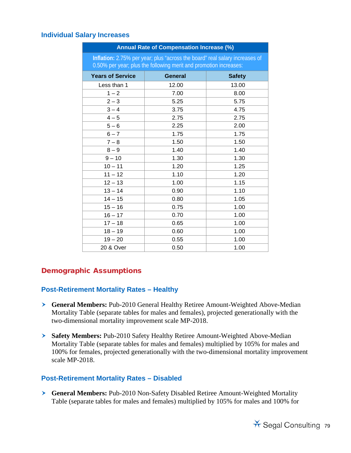### **Individual Salary Increases**

| Annual Rate of Compensation Increase (%)                                                                                                         |                |               |  |
|--------------------------------------------------------------------------------------------------------------------------------------------------|----------------|---------------|--|
| Inflation: 2.75% per year; plus "across the board" real salary increases of<br>0.50% per year; plus the following merit and promotion increases: |                |               |  |
| <b>Years of Service</b>                                                                                                                          | <b>General</b> | <b>Safety</b> |  |
| Less than 1                                                                                                                                      | 12.00          | 13.00         |  |
| $1 - 2$                                                                                                                                          | 7.00           | 8.00          |  |
| $2 - 3$                                                                                                                                          | 5.25           | 5.75          |  |
| $3 - 4$                                                                                                                                          | 3.75           | 4.75          |  |
| $4 - 5$                                                                                                                                          | 2.75           | 2.75          |  |
| $5-6$                                                                                                                                            | 2.25           | 2.00          |  |
| $6 - 7$                                                                                                                                          | 1.75           | 1.75          |  |
| $7 - 8$                                                                                                                                          | 1.50           | 1.50          |  |
| $8 - 9$                                                                                                                                          | 1.40           | 1.40          |  |
| $9 - 10$                                                                                                                                         | 1.30           | 1.30          |  |
| $10 - 11$                                                                                                                                        | 1.20           | 1.25          |  |
| $11 - 12$                                                                                                                                        | 1.10           | 1.20          |  |
| $12 - 13$                                                                                                                                        | 1.00           | 1.15          |  |
| $13 - 14$                                                                                                                                        | 0.90           | 1.10          |  |
| $14 - 15$                                                                                                                                        | 0.80           | 1.05          |  |
| $15 - 16$                                                                                                                                        | 0.75           | 1.00          |  |
| $16 - 17$                                                                                                                                        | 0.70           | 1.00          |  |
| $17 - 18$                                                                                                                                        | 0.65           | 1.00          |  |
| $18 - 19$                                                                                                                                        | 0.60           | 1.00          |  |
| $19 - 20$                                                                                                                                        | 0.55           | 1.00          |  |
| 20 & Over                                                                                                                                        | 0.50           | 1.00          |  |

## Demographic Assumptions

### **Post-Retirement Mortality Rates – Healthy**

- **General Members:** Pub-2010 General Healthy Retiree Amount-Weighted Above-Median Mortality Table (separate tables for males and females), projected generationally with the two-dimensional mortality improvement scale MP-2018.
- **Safety Members:** Pub-2010 Safety Healthy Retiree Amount-Weighted Above-Median Mortality Table (separate tables for males and females) multiplied by 105% for males and 100% for females, projected generationally with the two-dimensional mortality improvement scale MP-2018.

### **Post-Retirement Mortality Rates – Disabled**

 **General Members:** Pub-2010 Non-Safety Disabled Retiree Amount-Weighted Mortality Table (separate tables for males and females) multiplied by 105% for males and 100% for

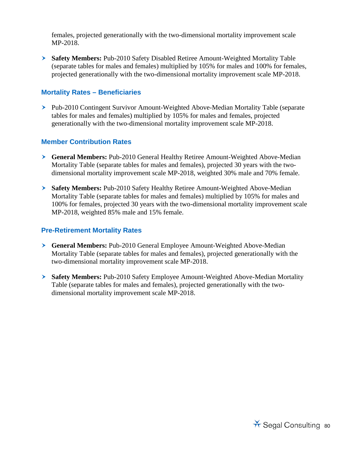females, projected generationally with the two-dimensional mortality improvement scale MP-2018.

 **Safety Members:** Pub-2010 Safety Disabled Retiree Amount-Weighted Mortality Table (separate tables for males and females) multiplied by 105% for males and 100% for females, projected generationally with the two-dimensional mortality improvement scale MP-2018.

### **Mortality Rates – Beneficiaries**

 Pub-2010 Contingent Survivor Amount-Weighted Above-Median Mortality Table (separate tables for males and females) multiplied by 105% for males and females, projected generationally with the two-dimensional mortality improvement scale MP-2018.

### **Member Contribution Rates**

- **General Members:** Pub-2010 General Healthy Retiree Amount-Weighted Above-Median Mortality Table (separate tables for males and females), projected 30 years with the twodimensional mortality improvement scale MP-2018, weighted 30% male and 70% female.
- **Safety Members:** Pub-2010 Safety Healthy Retiree Amount-Weighted Above-Median Mortality Table (separate tables for males and females) multiplied by 105% for males and 100% for females, projected 30 years with the two-dimensional mortality improvement scale MP-2018, weighted 85% male and 15% female.

#### **Pre-Retirement Mortality Rates**

- **General Members:** Pub-2010 General Employee Amount-Weighted Above-Median Mortality Table (separate tables for males and females), projected generationally with the two-dimensional mortality improvement scale MP-2018.
- **Safety Members:** Pub-2010 Safety Employee Amount-Weighted Above-Median Mortality Table (separate tables for males and females), projected generationally with the twodimensional mortality improvement scale MP-2018.

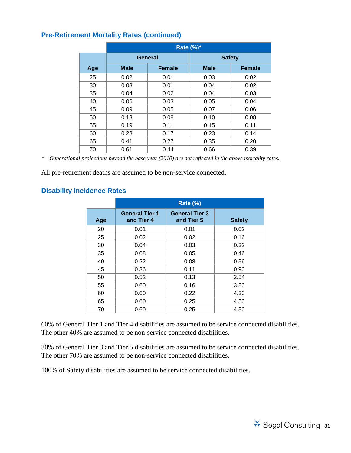|     | Rate (%)*   |               |               |               |
|-----|-------------|---------------|---------------|---------------|
|     | General     |               | <b>Safety</b> |               |
| Age | <b>Male</b> | <b>Female</b> | <b>Male</b>   | <b>Female</b> |
| 25  | 0.02        | 0.01          | 0.03          | 0.02          |
| 30  | 0.03        | 0.01          | 0.04          | 0.02          |
| 35  | 0.04        | 0.02          | 0.04          | 0.03          |
| 40  | 0.06        | 0.03          | 0.05          | 0.04          |
| 45  | 0.09        | 0.05          | 0.07          | 0.06          |
| 50  | 0.13        | 0.08          | 0.10          | 0.08          |
| 55  | 0.19        | 0.11          | 0.15          | 0.11          |
| 60  | 0.28        | 0.17          | 0.23          | 0.14          |
| 65  | 0.41        | 0.27          | 0.35          | 0.20          |
| 70  | 0.61        | 0.44          | 0.66          | 0.39          |

*\* Generational projections beyond the base year (2010) are not reflected in the above mortality rates.*

All pre-retirement deaths are assumed to be non-service connected.

### **Disability Incidence Rates**

|     | <b>Rate (%)</b>                     |                                     |               |
|-----|-------------------------------------|-------------------------------------|---------------|
| Age | <b>General Tier 1</b><br>and Tier 4 | <b>General Tier 3</b><br>and Tier 5 | <b>Safety</b> |
| 20  | 0.01                                | 0.01                                | 0.02          |
| 25  | 0.02                                | 0.02                                | 0.16          |
| 30  | 0.04                                | 0.03                                | 0.32          |
| 35  | 0.08                                | 0.05                                | 0.46          |
| 40  | 0.22                                | 0.08                                | 0.56          |
| 45  | 0.36                                | 0.11                                | 0.90          |
| 50  | 0.52                                | 0.13                                | 2.54          |
| 55  | 0.60                                | 0.16                                | 3.80          |
| 60  | 0.60                                | 0.22                                | 4.30          |
| 65  | 0.60                                | 0.25                                | 4.50          |
| 70  | 0.60                                | 0.25                                | 4.50          |

60% of General Tier 1 and Tier 4 disabilities are assumed to be service connected disabilities. The other 40% are assumed to be non-service connected disabilities.

30% of General Tier 3 and Tier 5 disabilities are assumed to be service connected disabilities. The other 70% are assumed to be non-service connected disabilities.

100% of Safety disabilities are assumed to be service connected disabilities.

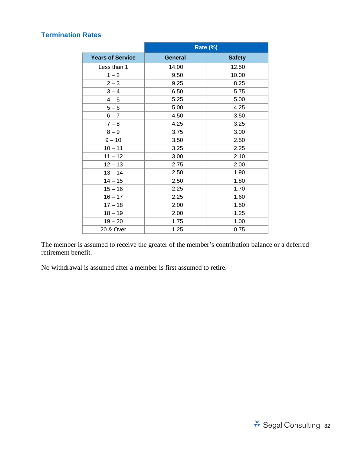### **Termination Rates**

|                         | Rate (%)       |               |
|-------------------------|----------------|---------------|
| <b>Years of Service</b> | <b>General</b> | <b>Safety</b> |
| Less than 1             | 14.00          | 12.50         |
| $1 - 2$                 | 9.50           | 10.00         |
| $2 - 3$                 | 9.25           | 8.25          |
| $3 - 4$                 | 6.50           | 5.75          |
| $4 - 5$                 | 5.25           | 5.00          |
| $5 - 6$                 | 5.00           | 4.25          |
| $6 - 7$                 | 4.50           | 3.50          |
| $7 - 8$                 | 4.25           | 3.25          |
| $8 - 9$                 | 3.75           | 3.00          |
| $9 - 10$                | 3.50           | 2.50          |
| $10 - 11$               | 3.25           | 2.25          |
| $11 - 12$               | 3.00           | 2.10          |
| $12 - 13$               | 2.75           | 2.00          |
| $13 - 14$               | 2.50           | 1.90          |
| $14 - 15$               | 2.50           | 1.80          |
| $15 - 16$               | 2.25           | 1.70          |
| $16 - 17$               | 2.25           | 1.60          |
| $17 - 18$               | 2.00           | 1.50          |
| $18 - 19$               | 2.00           | 1.25          |
| $19 - 20$               | 1.75           | 1.00          |
| 20 & Over               | 1.25           | 0.75          |

The member is assumed to receive the greater of the member's contribution balance or a deferred retirement benefit.

No withdrawal is assumed after a member is first assumed to retire.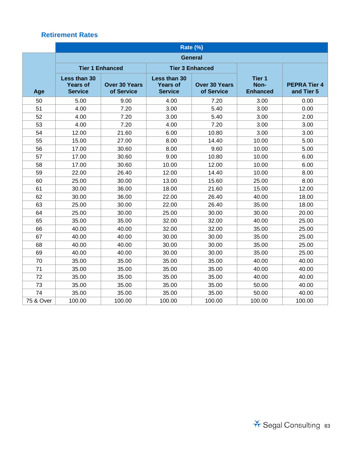|           | Rate (%)                                          |                                    |                                                   |                                    |                                              |                                   |
|-----------|---------------------------------------------------|------------------------------------|---------------------------------------------------|------------------------------------|----------------------------------------------|-----------------------------------|
|           | <b>General</b>                                    |                                    |                                                   |                                    |                                              |                                   |
|           | <b>Tier 1 Enhanced</b>                            |                                    | <b>Tier 3 Enhanced</b>                            |                                    |                                              |                                   |
| Age       | Less than 30<br><b>Years of</b><br><b>Service</b> | <b>Over 30 Years</b><br>of Service | Less than 30<br><b>Years of</b><br><b>Service</b> | <b>Over 30 Years</b><br>of Service | Tier <sub>1</sub><br>Non-<br><b>Enhanced</b> | <b>PEPRA Tier 4</b><br>and Tier 5 |
| 50        | 5.00                                              | 9.00                               | 4.00                                              | 7.20                               | 3.00                                         | 0.00                              |
| 51        | 4.00                                              | 7.20                               | 3.00                                              | 5.40                               | 3.00                                         | 0.00                              |
| 52        | 4.00                                              | 7.20                               | 3.00                                              | 5.40                               | 3.00                                         | 2.00                              |
| 53        | 4.00                                              | 7.20                               | 4.00                                              | 7.20                               | 3.00                                         | 3.00                              |
| 54        | 12.00                                             | 21.60                              | 6.00                                              | 10.80                              | 3.00                                         | 3.00                              |
| 55        | 15.00                                             | 27.00                              | 8.00                                              | 14.40                              | 10.00                                        | 5.00                              |
| 56        | 17.00                                             | 30.60                              | 8.00                                              | 9.60                               | 10.00                                        | 5.00                              |
| 57        | 17.00                                             | 30.60                              | 9.00                                              | 10.80                              | 10.00                                        | 6.00                              |
| 58        | 17.00                                             | 30.60                              | 10.00                                             | 12.00                              | 10.00                                        | 6.00                              |
| 59        | 22.00                                             | 26.40                              | 12.00                                             | 14.40                              | 10.00                                        | 8.00                              |
| 60        | 25.00                                             | 30.00                              | 13.00                                             | 15.60                              | 25.00                                        | 8.00                              |
| 61        | 30.00                                             | 36.00                              | 18.00                                             | 21.60                              | 15.00                                        | 12.00                             |
| 62        | 30.00                                             | 36.00                              | 22.00                                             | 26.40                              | 40.00                                        | 18.00                             |
| 63        | 25.00                                             | 30.00                              | 22.00                                             | 26.40                              | 35.00                                        | 18.00                             |
| 64        | 25.00                                             | 30.00                              | 25.00                                             | 30.00                              | 30.00                                        | 20.00                             |
| 65        | 35.00                                             | 35.00                              | 32.00                                             | 32.00                              | 40.00                                        | 25.00                             |
| 66        | 40.00                                             | 40.00                              | 32.00                                             | 32.00                              | 35.00                                        | 25.00                             |
| 67        | 40.00                                             | 40.00                              | 30.00                                             | 30.00                              | 35.00                                        | 25.00                             |
| 68        | 40.00                                             | 40.00                              | 30.00                                             | 30.00                              | 35.00                                        | 25.00                             |
| 69        | 40.00                                             | 40.00                              | 30.00                                             | 30.00                              | 35.00                                        | 25.00                             |
| 70        | 35.00                                             | 35.00                              | 35.00                                             | 35.00                              | 40.00                                        | 40.00                             |
| 71        | 35.00                                             | 35.00                              | 35.00                                             | 35.00                              | 40.00                                        | 40.00                             |
| 72        | 35.00                                             | 35.00                              | 35.00                                             | 35.00                              | 40.00                                        | 40.00                             |
| 73        | 35.00                                             | 35.00                              | 35.00                                             | 35.00                              | 50.00                                        | 40.00                             |
| 74        | 35.00                                             | 35.00                              | 35.00                                             | 35.00                              | 50.00                                        | 40.00                             |
| 75 & Over | 100.00                                            | 100.00                             | 100.00                                            | 100.00                             | 100.00                                       | 100.00                            |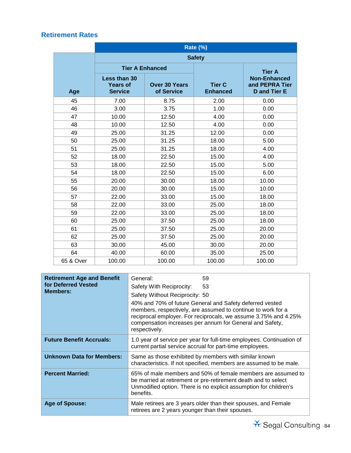|           | Rate (%)                                          |                                    |                                  |                                                              |
|-----------|---------------------------------------------------|------------------------------------|----------------------------------|--------------------------------------------------------------|
|           |                                                   |                                    | <b>Safety</b>                    |                                                              |
|           | <b>Tier A Enhanced</b>                            |                                    |                                  | <b>Tier A</b>                                                |
| Age       | Less than 30<br><b>Years of</b><br><b>Service</b> | <b>Over 30 Years</b><br>of Service | <b>Tier C</b><br><b>Enhanced</b> | <b>Non-Enhanced</b><br>and PEPRA Tier<br><b>D</b> and Tier E |
| 45        | 7.00                                              | 8.75                               | 2.00                             | 0.00                                                         |
| 46        | 3.00                                              | 3.75                               | 1.00                             | 0.00                                                         |
| 47        | 10.00                                             | 12.50                              | 4.00                             | 0.00                                                         |
| 48        | 10.00                                             | 12.50                              | 4.00                             | 0.00                                                         |
| 49        | 25.00                                             | 31.25                              | 12.00                            | 0.00                                                         |
| 50        | 25.00                                             | 31.25                              | 18.00                            | 5.00                                                         |
| 51        | 25.00                                             | 31.25                              | 18.00                            | 4.00                                                         |
| 52        | 18.00                                             | 22.50                              | 15.00                            | 4.00                                                         |
| 53        | 18.00                                             | 22.50                              | 15.00                            | 5.00                                                         |
| 54        | 18.00                                             | 22.50                              | 15.00                            | 6.00                                                         |
| 55        | 20.00                                             | 30.00                              | 18.00                            | 10.00                                                        |
| 56        | 20.00                                             | 30.00                              | 15.00                            | 10.00                                                        |
| 57        | 22.00                                             | 33.00                              | 15.00                            | 18.00                                                        |
| 58        | 22.00                                             | 33.00                              | 25.00                            | 18.00                                                        |
| 59        | 22.00                                             | 33.00                              | 25.00                            | 18.00                                                        |
| 60        | 25.00                                             | 37.50                              | 25.00                            | 18.00                                                        |
| 61        | 25.00                                             | 37.50                              | 25.00                            | 20.00                                                        |
| 62        | 25.00                                             | 37.50                              | 25.00                            | 20.00                                                        |
| 63        | 30.00                                             | 45.00                              | 30.00                            | 20.00                                                        |
| 64        | 40.00                                             | 60.00                              | 35.00                            | 25.00                                                        |
| 65 & Over | 100.00                                            | 100.00                             | 100.00                           | 100.00                                                       |

| <b>Retirement Age and Benefit</b><br>for Deferred Vested<br><b>Members:</b> | General:<br>Safety With Reciprocity:<br>Safety Without Reciprocity: 50<br>respectively.                                           | 59<br>53<br>40% and 70% of future General and Safety deferred vested<br>members, respectively, are assumed to continue to work for a<br>reciprocal employer. For reciprocals, we assume 3.75% and 4.25%<br>compensation increases per annum for General and Safety, |  |
|-----------------------------------------------------------------------------|-----------------------------------------------------------------------------------------------------------------------------------|---------------------------------------------------------------------------------------------------------------------------------------------------------------------------------------------------------------------------------------------------------------------|--|
| <b>Future Benefit Accruals:</b>                                             | 1.0 year of service per year for full-time employees. Continuation of<br>current partial service accrual for part-time employees. |                                                                                                                                                                                                                                                                     |  |
| <b>Unknown Data for Members:</b>                                            |                                                                                                                                   | Same as those exhibited by members with similar known<br>characteristics. If not specified, members are assumed to be male.                                                                                                                                         |  |
| <b>Percent Married:</b>                                                     | benefits.                                                                                                                         | 65% of male members and 50% of female members are assumed to<br>be married at retirement or pre-retirement death and to select<br>Unmodified option. There is no explicit assumption for children's                                                                 |  |
| <b>Age of Spouse:</b>                                                       | retirees are 2 years younger than their spouses.                                                                                  | Male retirees are 3 years older than their spouses, and Female                                                                                                                                                                                                      |  |